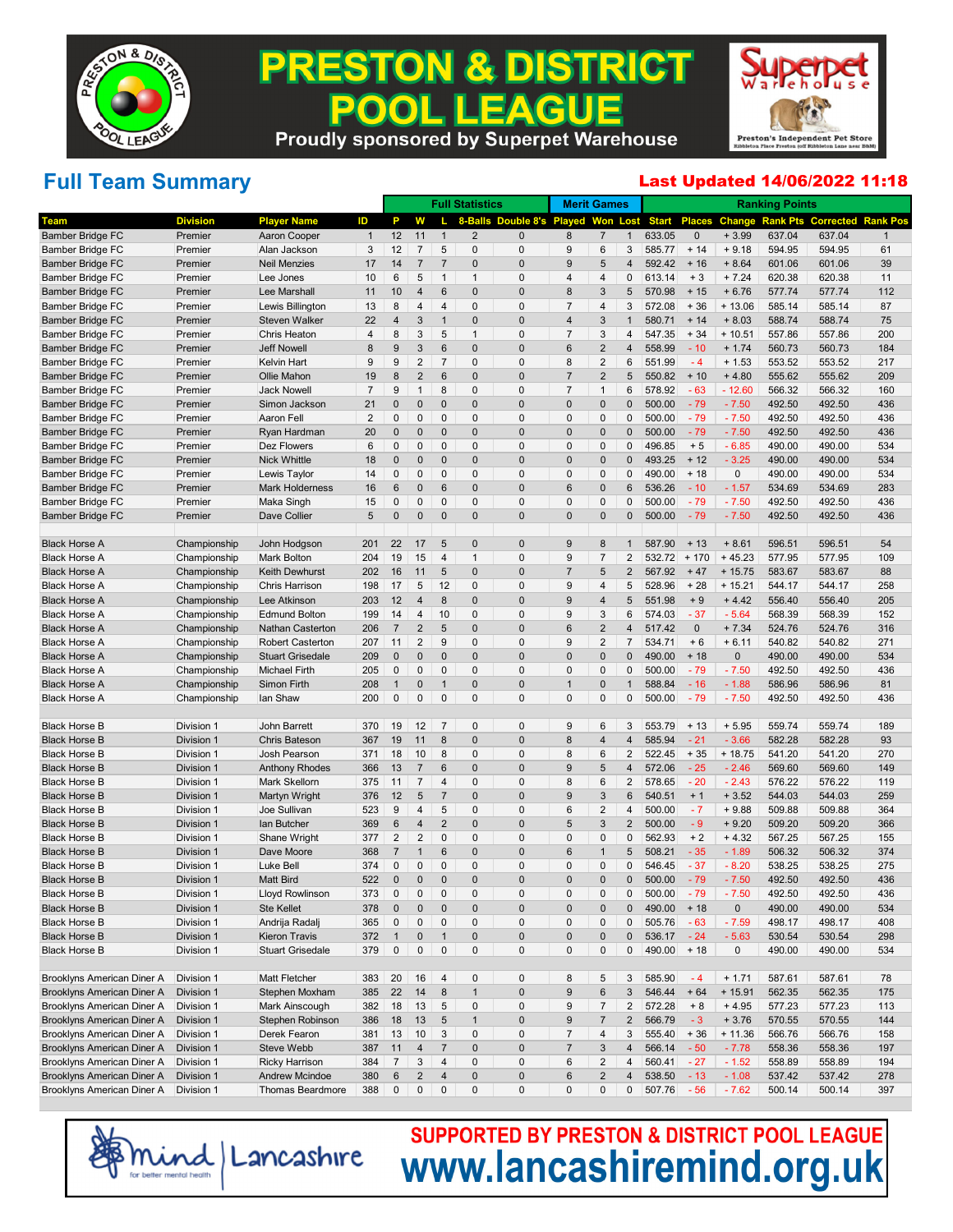

#### **PRESTON & DISTRICT EAGUE POO** . IL **Proudly sponsored by Superpet Warehouse**



# **Full Team Summary**

#### Last Updated 14/06/2022 11:18

|                            |                          |                         |                |                 |                |                 | <b>Full Statistics</b>  |                   |                 | <b>Merit Games</b>      |                |              |               |               | <b>Ranking Points</b> |                  |                 |
|----------------------------|--------------------------|-------------------------|----------------|-----------------|----------------|-----------------|-------------------------|-------------------|-----------------|-------------------------|----------------|--------------|---------------|---------------|-----------------------|------------------|-----------------|
| Team                       | <b>Division</b>          | <b>Player Name</b>      | ID             | Р               | W              |                 | 8-Balls                 | Double 8's Played |                 | Won                     | Lost           | <b>Start</b> | <b>Places</b> | <b>Change</b> | <b>Rank Pts</b>       | <b>Corrected</b> | <b>Rank Pos</b> |
| <b>Bamber Bridge FC</b>    | Premier                  | Aaron Cooper            | $\mathbf{1}$   | 12              | 11             | $\mathbf{1}$    | $\overline{\mathbf{c}}$ | $\mathbf 0$       | 8               | $\overline{7}$          | $\mathbf{1}$   | 633.05       | $\mathbf{0}$  | $+3.99$       | 637.04                | 637.04           | $\mathbf{1}$    |
| <b>Bamber Bridge FC</b>    | Premier                  | Alan Jackson            | 3              | 12              | $\overline{7}$ | 5               | 0                       | 0                 | 9               | 6                       | 3              | 585.77       | $+14$         | $+9.18$       | 594.95                | 594.95           | 61              |
| <b>Bamber Bridge FC</b>    | Premier                  | <b>Neil Menzies</b>     | 17             | 14              | $\overline{7}$ | $\overline{7}$  | $\pmb{0}$               | $\overline{0}$    | 9               | 5                       | $\overline{4}$ | 592.42       | $+16$         | $+8.64$       | 601.06                | 601.06           | 39              |
| Bamber Bridge FC           | Premier                  | Lee Jones               | 10             | 6               | 5              | $\mathbf{1}$    | $\mathbf{1}$            | $\Omega$          | $\overline{4}$  | 4                       | 0              | 613.14       | $+3$          | $+7.24$       | 620.38                | 620.38           | 11              |
| <b>Bamber Bridge FC</b>    | Premier                  | Lee Marshall            | 11             | 10              | $\overline{4}$ | $6\,$           | $\pmb{0}$               | $\mathbf 0$       | 8               | $\sqrt{3}$              | 5              | 570.98       | $+15$         | $+6.76$       | 577.74                | 577.74           | 112             |
| <b>Bamber Bridge FC</b>    | Premier                  | Lewis Billington        | 13             | 8               | 4              | $\overline{4}$  | 0                       | 0                 | $\overline{7}$  | 4                       | 3              | 572.08       | $+36$         | $+13.06$      | 585.14                | 585.14           | 87              |
| <b>Bamber Bridge FC</b>    | Premier                  | Steven Walker           | 22             | $\overline{4}$  | 3              | $\mathbf{1}$    | $\pmb{0}$               | $\mathbf 0$       | $\overline{4}$  | $\sqrt{3}$              | $\overline{1}$ | 580.71       | $+ 14$        | $+8.03$       | 588.74                | 588.74           | 75              |
| Bamber Bridge FC           | Premier                  | Chris Heaton            | 4              | 8               | 3              | 5               | $\mathbf{1}$            | $\Omega$          | $\overline{7}$  | 3                       | $\overline{4}$ | 547.35       | $+34$         | $+10.51$      | 557.86                | 557.86           | 200             |
| <b>Bamber Bridge FC</b>    | Premier                  | <b>Jeff Nowell</b>      | 8              | 9               | $\mathbf{3}$   | $6\,$           | $\pmb{0}$               | $\mathbf 0$       | $6\phantom{1}6$ | $\overline{c}$          | $\overline{4}$ | 558.99       | $-10$         | $+ 1.74$      | 560.73                | 560.73           | 184             |
| Bamber Bridge FC           | Premier                  | Kelvin Hart             | 9              | 9               | $\overline{c}$ | $\overline{7}$  | 0                       | $\mathbf 0$       | 8               | $\sqrt{2}$              | 6              | 551.99       | $-4$          | $+1.53$       | 553.52                | 553.52           | 217             |
| <b>Bamber Bridge FC</b>    | Premier                  | Ollie Mahon             | 19             | 8               | $\overline{2}$ | $6\,$           | $\pmb{0}$               | $\overline{0}$    | $\overline{7}$  | $\sqrt{2}$              | 5              | 550.82       | $+10$         | $+4.80$       | 555.62                | 555.62           | 209             |
| Bamber Bridge FC           | Premier                  | <b>Jack Nowell</b>      | 7              | 9               | $\mathbf{1}$   | 8               | 0                       | 0                 | $\overline{7}$  | $\mathbf{1}$            | 6              | 578.92       | $-63$         | $-12.60$      | 566.32                | 566.32           | 160             |
| <b>Bamber Bridge FC</b>    | Premier                  | Simon Jackson           | 21             | $\mathbf 0$     | $\pmb{0}$      | $\mathbf{0}$    | $\pmb{0}$               | $\mathbf 0$       | $\mathbf 0$     | $\pmb{0}$               | $\mathbf 0$    | 500.00       | $-79$         | $-7.50$       | 492.50                | 492.50           | 436             |
| Bamber Bridge FC           | Premier                  | Aaron Fell              | $\overline{2}$ | 0               | $\pmb{0}$      | 0               | 0                       | $\mathbf 0$       | $\mathbf 0$     | $\pmb{0}$               | 0              | 500.00       | $-79$         | $-7.50$       | 492.50                | 492.50           | 436             |
| <b>Bamber Bridge FC</b>    | Premier                  | Ryan Hardman            | 20             | $\mathbf 0$     | $\mathbf{0}$   | $\mathbf{0}$    | $\pmb{0}$               | $\mathbf 0$       | $\mathbf 0$     | $\pmb{0}$               | $\mathbf 0$    | 500.00       | $-79$         | $-7.50$       | 492.50                | 492.50           | 436             |
| Bamber Bridge FC           | Premier                  | Dez Flowers             | 6              | 0               | 0              | 0               | 0                       | 0                 | $\mathbf 0$     | 0                       | 0              | 496.85       | $+5$          | $-6.85$       | 490.00                | 490.00           | 534             |
| <b>Bamber Bridge FC</b>    | Premier                  | Nick Whittle            | 18             | $\mathbf 0$     | $\mathbf{0}$   | $\mathbf{0}$    | $\pmb{0}$               | $\overline{0}$    | $\mathbf 0$     | $\pmb{0}$               | $\mathbf 0$    | 493.25       | $+12$         | $-3.25$       | 490.00                | 490.00           | 534             |
| Bamber Bridge FC           | Premier                  | Lewis Taylor            | 14             | 0               | 0              | 0               | 0                       | $\mathbf 0$       | $\mathbf 0$     | $\pmb{0}$               | 0              | 490.00       | $+18$         | 0             | 490.00                | 490.00           | 534             |
| <b>Bamber Bridge FC</b>    | Premier                  | <b>Mark Holderness</b>  | 16             | 6               | $\mathbf{0}$   | $6\,$           | $\pmb{0}$               | $\mathbf 0$       | $6\phantom{1}6$ | $\pmb{0}$               | 6              | 536.26       | $-10$         | $-1.57$       | 534.69                | 534.69           | 283             |
| Bamber Bridge FC           | Premier                  | Maka Singh              | 15             | 0               | 0              | $\pmb{0}$       | 0                       | $\Omega$          | $\mathbf 0$     | 0                       | 0              | 500.00       | $-79$         | $-7.50$       | 492.50                | 492.50           | 436             |
| <b>Bamber Bridge FC</b>    | Premier                  | Dave Collier            | 5              | $\mathbf{0}$    | $\mathbf{0}$   | $\mathbf{0}$    | $\overline{0}$          | $\overline{0}$    | $\overline{0}$  | $\pmb{0}$               | $\mathbf{0}$   | 500.00       | $-79$         | $-7.50$       | 492.50                | 492.50           | 436             |
|                            |                          |                         |                |                 |                |                 |                         |                   |                 |                         |                |              |               |               |                       |                  |                 |
| <b>Black Horse A</b>       | Championship             | John Hodgson            | 201            | 22              | 17             | 5               | $\pmb{0}$               | $\mathbf 0$       | 9               | 8                       | $\mathbf{1}$   | 587.90       | $+13$         | $+8.61$       | 596.51                | 596.51           | 54              |
| <b>Black Horse A</b>       | Championship             | Mark Bolton             | 204            | 19              | 15             | $\overline{4}$  | $\mathbf{1}$            | 0                 | 9               | $\overline{7}$          | 2              | 532.72       | $+170$        | $+45.23$      | 577.95                | 577.95           | 109             |
| <b>Black Horse A</b>       | Championship             | <b>Keith Dewhurst</b>   | 202            | 16              | 11             | 5               | $\pmb{0}$               | $\mathbf 0$       | $\overline{7}$  | 5                       | $\overline{2}$ | 567.92       | $+47$         | $+15.75$      | 583.67                | 583.67           | 88              |
| <b>Black Horse A</b>       | Championship             | Chris Harrison          | 198            | 17              | 5              | 12              | 0                       | $\mathbf 0$       | 9               | 4                       | 5              | 528.96       | $+28$         | $+15.21$      | 544.17                | 544.17           | 258             |
| <b>Black Horse A</b>       | Championship             | Lee Atkinson            | 203            | 12              | $\overline{4}$ | $\bf 8$         | $\pmb{0}$               | $\mathbf 0$       | 9               | 4                       | 5              | 551.98       | $+9$          | $+4.42$       | 556.40                | 556.40           | 205             |
| <b>Black Horse A</b>       | Championship             | <b>Edmund Bolton</b>    | 199            | 14              | $\overline{4}$ | 10              | 0                       | $\Omega$          | 9               | 3                       | 6              | 574.03       | $-37$         | $-5.64$       | 568.39                | 568.39           | 152             |
| <b>Black Horse A</b>       | Championship             | Nathan Casterton        | 206            | $\overline{7}$  | $\overline{2}$ | 5               | $\pmb{0}$               | $\mathbf 0$       | $6\phantom{1}6$ | $\overline{c}$          | 4              | 517.42       | $\pmb{0}$     | $+7.34$       | 524.76                | 524.76           | 316             |
| <b>Black Horse A</b>       | Championship             | <b>Robert Casterton</b> | 207            | 11              | $\sqrt{2}$     | 9               | 0                       | $\mathbf 0$       | 9               | $\sqrt{2}$              | $\overline{7}$ | 534.71       | $+6$          | $+6.11$       | 540.82                | 540.82           | 271             |
| <b>Black Horse A</b>       | Championship             | <b>Stuart Grisedale</b> | 209            | $\mathbf 0$     | $\mathbf{0}$   | $\pmb{0}$       | $\pmb{0}$               | $\mathbf 0$       | $\overline{0}$  | $\pmb{0}$               | 0              | 490.00       | $+18$         | $\mathbf{0}$  | 490.00                | 490.00           | 534             |
| <b>Black Horse A</b>       | Championship             | <b>Michael Firth</b>    | 205            | 0               | 0              | 0               | 0                       | $\mathbf 0$       | $\mathbf 0$     | $\pmb{0}$               | 0              | 500.00       | $-79$         | $-7.50$       | 492.50                | 492.50           | 436             |
| <b>Black Horse A</b>       | Championship             | Simon Firth             | 208            | $\mathbf{1}$    | $\mathbf{0}$   | $\mathbf{1}$    | $\pmb{0}$               | $\mathbf 0$       | $\overline{1}$  | $\pmb{0}$               | $\overline{1}$ | 588.84       | $-16$         | $-1.88$       | 586.96                | 586.96           | 81              |
| <b>Black Horse A</b>       | Championship             | Ian Shaw                | 200            | $\mathbf 0$     | $\pmb{0}$      | $\pmb{0}$       | 0                       | $\Omega$          | $\mathbf 0$     | $\pmb{0}$               | 0              | 500.00       | $-79$         | $-7.50$       | 492.50                | 492.50           | 436             |
|                            |                          |                         |                |                 |                |                 |                         |                   |                 |                         |                |              |               |               |                       |                  |                 |
| <b>Black Horse B</b>       | Division 1               | John Barrett            | 370            | 19              | 12             | $\overline{7}$  | 0                       | 0                 | 9               | 6                       | 3              | 553.79       | $+13$         | $+5.95$       | 559.74                | 559.74           | 189             |
| <b>Black Horse B</b>       | Division 1               | <b>Chris Bateson</b>    | 367            | 19              | 11             | $\bf 8$         | $\pmb{0}$               | $\mathbf 0$       | 8               | 4                       | 4              | 585.94       | $-21$         | $-3.66$       | 582.28                | 582.28           | 93              |
| <b>Black Horse B</b>       | Division 1               | Josh Pearson            | 371            | 18              | 10             | 8               | 0                       | 0                 | 8               | 6                       | 2              | 522.45       | $+35$         | $+18.75$      | 541.20                | 541.20           | 270             |
| <b>Black Horse B</b>       | Division 1               | <b>Anthony Rhodes</b>   | 366            | 13              | $\overline{7}$ | $6\phantom{1}6$ | $\pmb{0}$               | $\mathbf 0$       | 9               | 5                       | $\overline{4}$ | 572.06       | $-25$         | $-2.46$       | 569.60                | 569.60           | 149             |
| <b>Black Horse B</b>       | Division 1               | Mark Skellorn           | 375            | 11              | $\overline{7}$ | $\overline{4}$  | 0                       | 0                 | 8               | 6                       | 2              | 578.65       | $-20$         | $-2.43$       | 576.22                | 576.22           | 119             |
| <b>Black Horse B</b>       | Division 1               | Martyn Wright           | 376            | 12              | 5              | $\overline{7}$  | $\pmb{0}$               | $\overline{0}$    | 9               | $\sqrt{3}$              | 6              | 540.51       | $+1$          | $+3.52$       | 544.03                | 544.03           | 259             |
| <b>Black Horse B</b>       | Division 1               | Joe Sullivan            | 523            | 9               | $\overline{4}$ | 5               | 0                       | $\mathbf 0$       | 6               | $\overline{\mathbf{c}}$ | $\overline{4}$ | 500.00       | $-7$          | $+9.88$       | 509.88                | 509.88           | 364             |
| <b>Black Horse B</b>       | Division 1               | Ian Butcher             | 369            | $\,6$           | $\overline{4}$ | $\overline{2}$  | $\pmb{0}$               | $\mathbf 0$       | 5               | $\sqrt{3}$              | $\overline{2}$ | 500.00       | $-9$          | $+9.20$       | 509.20                | 509.20           | 366             |
| <b>Black Horse B</b>       | Division 1               | Shane Wright            | 377            | $\overline{2}$  | $\sqrt{2}$     | 0               | $\pmb{0}$               | $\Omega$          | $\mathbf 0$     | 0                       | 0              | 562.93       | $+2$          | $+4.32$       | 567.25                | 567.25           | 155             |
| <b>Black Horse B</b>       | Division 1               | Dave Moore              | 368            | $\overline{7}$  | $\mathbf{1}$   | $6\phantom{1}6$ | $\pmb{0}$               | $\mathbf 0$       | $6\phantom{1}6$ | $\mathbf{1}$            | 5              | 508.21       | $-35$         | $-1.89$       | 506.32                | 506.32           | 374             |
| <b>Black Horse B</b>       | Division 1               | Luke Bell               | 374            | 0               | $\pmb{0}$      | $\mathbf{0}$    | 0                       | $\Omega$          | $\mathbf 0$     | $\pmb{0}$               | $\mathbf{0}$   | 546.45       | $-37$         | $-8.20$       | 538.25                | 538.25           | 275             |
| <b>Black Horse B</b>       | Division 1               | <b>Matt Bird</b>        | 522            | $\mathbf 0$     | $\mathbf{0}$   | $\mathbf{0}$    | $\mathbf{0}$            | $\Omega$          | $\overline{0}$  | $\pmb{0}$               | $\mathbf{0}$   | 500.00       | $-79$         | $-7.50$       | 492.50                | 492.50           | 436             |
| <b>Black Horse B</b>       | Division 1               | Lloyd Rowlinson         | 373            | $\overline{0}$  | $\mathbf{0}$   | $\mathbf{0}$    | $\mathbf{0}$            | 0                 | $\mathbf{0}$    | 0                       | $\mathbf 0$    | 500.00       | $-79$         | $-7.50$       | 492.50                | 492.50           | 436             |
| <b>Black Horse B</b>       | Division 1               | <b>Ste Kellet</b>       | 378            | $\mathbf 0$     | $\pmb{0}$      | $\mathbf 0$     | $\pmb{0}$               | $\bf 0$           | $\mathbf 0$     | $\pmb{0}$               | 0              | 490.00       | $+18$         | $\mathbf 0$   | 490.00                | 490.00           | 534             |
| <b>Black Horse B</b>       | Division 1               | Andrija Radalj          | 365            | 0               | 0              | 0               | 0                       | 0                 | $\mathbf 0$     | 0                       | 0              | 505.76       | $-63$         | $-7.59$       | 498.17                | 498.17           | 408             |
| <b>Black Horse B</b>       | Division 1               | Kieron Travis           | 372            | $\mathbf{1}$    | $\pmb{0}$      | $\mathbf{1}$    | $\pmb{0}$               | $\mathbf 0$       | $\mathbf 0$     | $\pmb{0}$               | $\pmb{0}$      | 536.17       | $-24$         | $-5.63$       | 530.54                | 530.54           | 298             |
| <b>Black Horse B</b>       | Division 1               | <b>Stuart Grisedale</b> | 379            | $\mathbf 0$     | $\mathbf 0$    | $\pmb{0}$       | $\pmb{0}$               | $\mathbf 0$       | $\pmb{0}$       | 0                       | 0              | 490.00       | $+18$         | 0             | 490.00                | 490.00           | 534             |
|                            |                          |                         |                |                 |                |                 |                         |                   |                 |                         |                |              |               |               |                       |                  |                 |
| Brooklyns American Diner A | Division 1               | Matt Fletcher           | 383            | 20              | 16             | 4               | 0                       | 0                 | 8               | 5                       | 3              | 585.90       | $-4$          | $+ 1.71$      | 587.61                | 587.61           | 78              |
| Brooklyns American Diner A | Division 1               | Stephen Moxham          | 385            | 22              | 14             | 8               | $\overline{1}$          | $\bf 0$           | 9               | 6                       | 3              | 546.44       | $+64$         | $+15.91$      | 562.35                | 562.35           | 175             |
| Brooklyns American Diner A | Division 1               | Mark Ainscough          | 382            | 18              | 13             | 5               | 0<br>$\mathbf{1}$       | 0                 | 9               | $\overline{7}$          | 2              | 572.28       | $+8$          | $+4.95$       | 577.23                | 577.23           | 113             |
| Brooklyns American Diner A | Division 1               | Stephen Robinson        | 386            | 18              | 13             | $5\phantom{.0}$ |                         | $\mathbf 0$       | 9               | $\overline{7}$          | $\overline{2}$ | 566.79       | $-3$          | $+3.76$       | 570.55                | 570.55           | 144             |
| Brooklyns American Diner A | Division 1<br>Division 1 | Derek Fearon            | 381            | 13              | 10             | 3               | 0                       | 0                 | 7               | 4                       | 3              | 555.40       | $+36$         | $+11.36$      | 566.76                | 566.76           | 158             |
| Brooklyns American Diner A |                          | Steve Webb              | 387            | 11              | $\overline{4}$ | $\overline{7}$  | $\pmb{0}$               | $\pmb{0}$         | $\overline{7}$  | $\sqrt{3}$              | $\overline{4}$ | 566.14       | $-50$         | $-7.78$       | 558.36                | 558.36           | 197             |
| Brooklyns American Diner A | Division 1               | <b>Ricky Harrison</b>   | 384            | $\overline{7}$  | 3              | $\overline{4}$  | 0                       | 0                 | 6               | $\sqrt{2}$              | 4              | 560.41       | $-27$         | $-1.52$       | 558.89                | 558.89           | 194             |
| Brooklyns American Diner A | Division 1               | <b>Andrew Mcindoe</b>   | 380            | $6\phantom{1}6$ | $\overline{c}$ | $\overline{4}$  | $\pmb{0}$               | $\pmb{0}$         | $\,6$           | $\sqrt{2}$              | $\overline{4}$ | 538.50       | $-13$         | $-1.08$       | 537.42                | 537.42           | 278             |
| Brooklyns American Diner A | Division 1               | Thomas Beardmore        | 388            | $\mathbf 0$     | 0              | 0               | 0                       | $\mathbf 0$       | 0               | 0                       | $\mathbf 0$    | 507.76       | $-56$         | $-7.62$       | 500.14                | 500.14           | 397             |

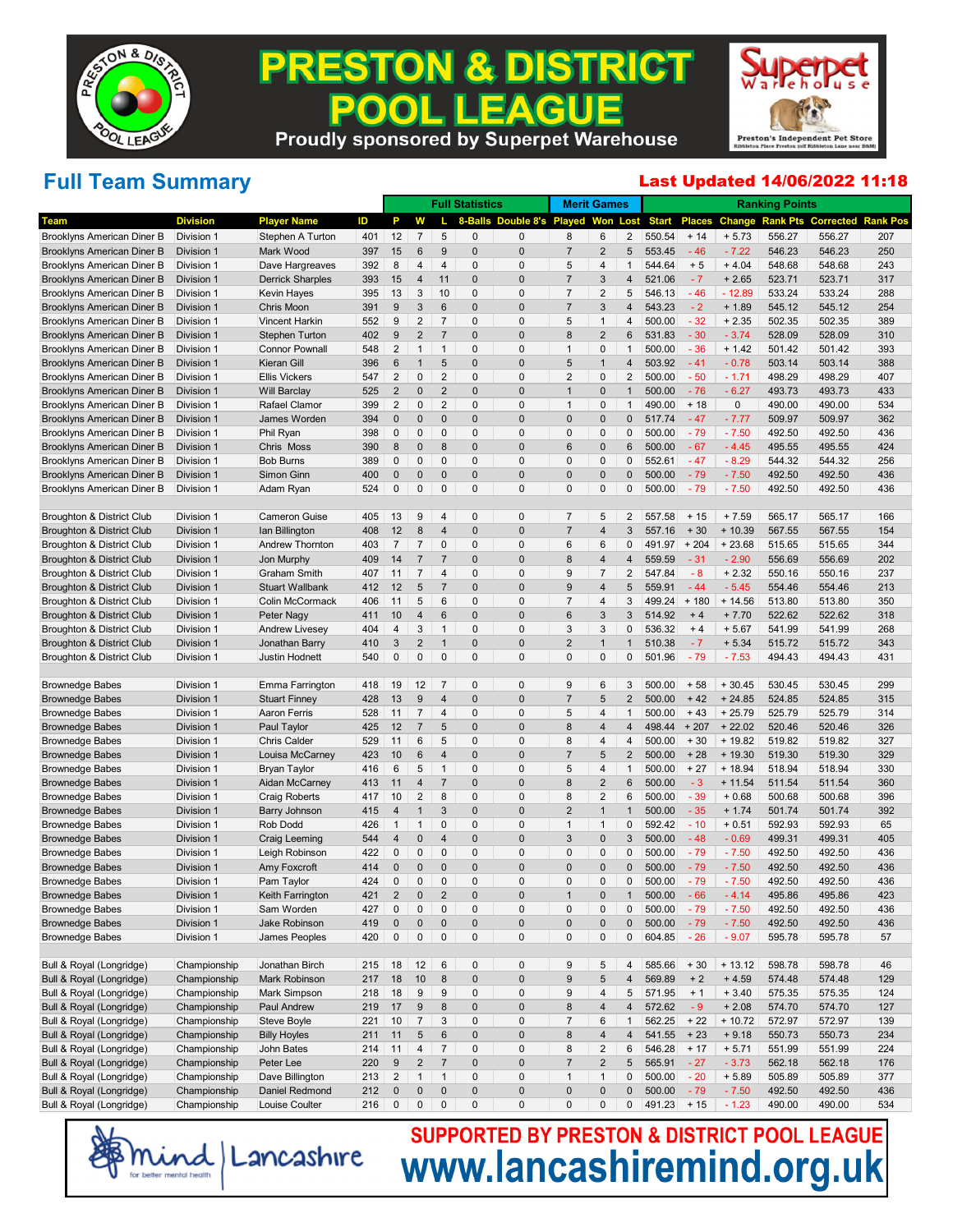

#### **PRESTON & DISTRICT EAGUE** 200 . IL **Proudly sponsored by Superpet Warehouse**



# **Full Team Summary**

#### Last Updated 14/06/2022 11:18

|                                      |                 |                         |     |                |                |                | <b>Full Statistics</b> |                   |                  | <b>Merit Games</b>      |                |              |               |           | <b>Ranking Points</b> |                  |                 |
|--------------------------------------|-----------------|-------------------------|-----|----------------|----------------|----------------|------------------------|-------------------|------------------|-------------------------|----------------|--------------|---------------|-----------|-----------------------|------------------|-----------------|
| Team                                 | <b>Division</b> | <b>Player Name</b>      | ID  | P              | w              |                | 8-Balls                | Double 8's Played |                  | Won                     | Lost           | <b>Start</b> | <b>Places</b> | Change    | <b>Rank Pts</b>       | <b>Corrected</b> | <b>Rank Pos</b> |
| Brooklyns American Diner B           | Division 1      | Stephen A Turton        | 401 | 12             | 7              | 5              | 0                      | 0                 | 8                | 6                       | 2              | 550.54       | $+ 14$        | $+ 5.73$  | 556.27                | 556.27           | 207             |
| Brooklyns American Diner B           | Division 1      | Mark Wood               | 397 | 15             | 6              | 9              | $\overline{0}$         | $\mathbf 0$       | $\overline{7}$   | $\overline{2}$          | 5              | 553.45       | $-46$         | $-7.22$   | 546.23                | 546.23           | 250             |
| Brooklyns American Diner B           | Division 1      | Dave Hargreaves         | 392 | 8              | 4              | 4              | 0                      | 0                 | 5                | 4                       | $\mathbf{1}$   | 544.64       | $+5$          | $+4.04$   | 548.68                | 548.68           | 243             |
| Brooklyns American Diner B           | Division 1      | <b>Derrick Sharples</b> | 393 | 15             | 4              | 11             | $\mathbf 0$            | $\mathbf 0$       | $\overline{7}$   | 3                       | 4              | 521.06       | $-7$          | $+2.65$   | 523.71                | 523.71           | 317             |
| Brooklyns American Diner B           | Division 1      | <b>Kevin Hayes</b>      | 395 | 13             | 3              | 10             | 0                      | 0                 | $\overline{7}$   | 2                       | 5              | 546.13       | $-46$         | $-12.89$  | 533.24                | 533.24           | 288             |
| <b>Brooklyns American Diner B</b>    | Division 1      | Chris Moon              | 391 | 9              | 3              | 6              | $\mathbf 0$            | $\mathbf 0$       | $\overline{7}$   | 3                       | $\overline{4}$ | 543.23       | $-2$          | $+ 1.89$  | 545.12                | 545.12           | 254             |
| Brooklyns American Diner B           | Division 1      | <b>Vincent Harkin</b>   | 552 | 9              | 2              | $\overline{7}$ | 0                      | 0                 | 5                | $\mathbf{1}$            | 4              | 500.00       | $-32$         | $+2.35$   | 502.35                | 502.35           | 389             |
| Brooklyns American Diner B           | Division 1      | <b>Stephen Turton</b>   | 402 | 9              | $\overline{2}$ | $\overline{7}$ | $\mathbf 0$            | $\mathbf 0$       | 8                | $\overline{2}$          | 6              | 531.83       | $-30$         | $-3.74$   | 528.09                | 528.09           | 310             |
| Brooklyns American Diner B           | Division 1      | <b>Connor Pownall</b>   | 548 | $\overline{2}$ | $\mathbf{1}$   | $\mathbf{1}$   | 0                      | 0                 | $\overline{1}$   | $\mathbf 0$             | $\mathbf{1}$   | 500.00       | $-36$         | $+ 1.42$  | 501.42                | 501.42           | 393             |
| Brooklyns American Diner B           | Division 1      | Kieran Gill             | 396 | 6              | $\mathbf{1}$   | 5              | $\mathbf 0$            | $\mathbf 0$       | 5                | $\mathbf 1$             | 4              | 503.92       | $-41$         | $-0.78$   | 503.14                | 503.14           | 388             |
| Brooklyns American Diner B           | Division 1      | <b>Ellis Vickers</b>    | 547 | $\overline{2}$ | 0              | $\overline{2}$ | 0                      | 0                 | $\overline{2}$   | $\mathbf 0$             | 2              | 500.00       | $-50$         | $-1.71$   | 498.29                | 498.29           | 407             |
| Brooklyns American Diner B           | Division 1      | <b>Will Barclay</b>     | 525 | $\overline{2}$ | $\mathbf 0$    | $\overline{2}$ | $\mathbf 0$            | $\mathbf 0$       | $\mathbf 1$      | $\overline{0}$          | $\mathbf{1}$   | 500.00       | $-76$         | $-6.27$   | 493.73                | 493.73           | 433             |
| Brooklyns American Diner B           | Division 1      | Rafael Clamor           | 399 | $\overline{2}$ | 0              | $\overline{2}$ | 0                      | $\Omega$          | $\overline{1}$   | $\mathbf 0$             | $\mathbf{1}$   | 490.00       | $+18$         | 0         | 490.00                | 490.00           | 534             |
| Brooklyns American Diner B           | Division 1      | James Worden            | 394 | $\mathbf 0$    | $\mathbf 0$    | $\mathbf 0$    | $\mathbf 0$            | $\mathbf 0$       | $\mathbf 0$      | $\overline{0}$          | 0              | 517.74       | $-47$         | $-7.77$   | 509.97                | 509.97           | 362             |
| Brooklyns American Diner B           | Division 1      | Phil Ryan               | 398 | 0              | 0              | 0              | 0                      | 0                 | $\mathbf 0$      | $\mathbf 0$             | 0              | 500.00       | $-79$         | $-7.50$   | 492.50                | 492.50           | 436             |
| Brooklyns American Diner B           | Division 1      | Chris Moss              | 390 | 8              | $\mathbf 0$    | 8              | $\mathbf 0$            | $\mathbf 0$       | 6                | $\overline{0}$          | 6              | 500.00       | $-67$         | $-4.45$   | 495.55                | 495.55           | 424             |
| Brooklyns American Diner B           | Division 1      | <b>Bob Burns</b>        | 389 | 0              | 0              | 0              | 0                      | $\Omega$          | $\mathbf 0$      | $\mathbf 0$             | 0              | 552.61       | $-47$         | $-8.29$   | 544.32                | 544.32           | 256             |
| Brooklyns American Diner B           | Division 1      | Simon Ginn              | 400 | $\mathbf 0$    | $\mathbf 0$    | $\mathbf 0$    | $\mathbf 0$            | $\mathbf 0$       | $\mathbf 0$      | $\overline{0}$          | $\mathbf{0}$   | 500.00       | $-79$         | $-7.50$   | 492.50                | 492.50           | 436             |
| Brooklyns American Diner B           | Division 1      | Adam Ryan               | 524 | 0              | 0              | 0              | 0                      | $\Omega$          | $\mathbf 0$      | $\mathbf 0$             | 0              | 500.00       | $-79$         | $-7.50$   | 492.50                | 492.50           | 436             |
|                                      |                 |                         |     |                |                |                |                        |                   |                  |                         |                |              |               |           |                       |                  |                 |
| Broughton & District Club            | Division 1      | <b>Cameron Guise</b>    | 405 | 13             | 9              | $\overline{4}$ | 0                      | 0                 | $\overline{7}$   | 5                       | 2              | 557.58       | $+15$         | $+7.59$   | 565.17                | 565.17           | 166             |
| Broughton & District Club            | Division 1      | lan Billington          | 408 | 12             | 8              | $\overline{4}$ | $\mathbf 0$            | $\mathbf 0$       | $\overline{7}$   | $\overline{4}$          | 3              | 557.16       | $+30$         | $+10.39$  | 567.55                | 567.55           | 154             |
| Broughton & District Club            | Division 1      | Andrew Thornton         | 403 | $\overline{7}$ | $\overline{7}$ | $\mathbf 0$    | 0                      | 0                 | 6                | 6                       | 0              | 491.97       | $+204$        | $+23.68$  | 515.65                | 515.65           | 344             |
| Broughton & District Club            | Division 1      | Jon Murphy              | 409 | 14             | $\overline{7}$ | $\overline{7}$ | $\mathbf 0$            | $\mathbf 0$       | 8                | $\overline{4}$          | 4              | 559.59       | $-31$         | $-2.90$   | 556.69                | 556.69           | 202             |
| <b>Broughton &amp; District Club</b> | Division 1      | Graham Smith            | 407 | 11             | 7              | $\overline{4}$ | 0                      | 0                 | 9                | 7                       | 2              | 547.84       | $-8$          | $+2.32$   | 550.16                | 550.16           | 237             |
| Broughton & District Club            | Division 1      | <b>Stuart Wallbank</b>  | 412 | 12             | 5              | $\overline{7}$ | $\mathbf 0$            | $\mathbf 0$       | 9                | $\overline{4}$          | 5              | 559.91       | $-44$         | $-5.45$   | 554.46                | 554.46           | 213             |
| Broughton & District Club            | Division 1      | Colin McCormack         | 406 | 11             | 5              | 6              | 0                      | 0                 | $\overline{7}$   | $\overline{4}$          | 3              | 499.24       | $+180$        | $+14.56$  | 513.80                | 513.80           | 350             |
| <b>Broughton &amp; District Club</b> | Division 1      | Peter Nagy              | 411 | 10             | 4              | 6              | $\mathbf 0$            | $\mathbf 0$       | 6                | 3                       | 3              | 514.92       | $+4$          | $+7.70$   | 522.62                | 522.62           | 318             |
| <b>Broughton &amp; District Club</b> | Division 1      | <b>Andrew Livesey</b>   | 404 | 4              | 3              | $\mathbf{1}$   | 0                      | 0                 | 3                | 3                       | 0              | 536.32       | $+4$          | $+5.67$   | 541.99                | 541.99           | 268             |
| Broughton & District Club            | Division 1      | Jonathan Barry          | 410 | 3              | $\overline{2}$ | $\mathbf 1$    | $\mathbf 0$            | $\mathbf 0$       | $\overline{2}$   | $\mathbf 1$             | $\mathbf 1$    | 510.38       | $-7$          | $+ 5.34$  | 515.72                | 515.72           | 343             |
| Broughton & District Club            | Division 1      | <b>Justin Hodnett</b>   | 540 | 0              | 0              | $\mathbf 0$    | 0                      | $\Omega$          | $\mathbf{0}$     | $\mathbf 0$             | 0              | 501.96       | $-79$         | $-7.53$   | 494.43                | 494.43           | 431             |
|                                      |                 |                         |     |                |                |                |                        |                   |                  |                         |                |              |               |           |                       |                  |                 |
| <b>Brownedge Babes</b>               | Division 1      | Emma Farrington         | 418 | 19             | 12             | $\overline{7}$ | 0                      | 0                 | 9                | 6                       | 3              | 500.00       | $+58$         | $+30.45$  | 530.45                | 530.45           | 299             |
| <b>Brownedge Babes</b>               | Division 1      | <b>Stuart Finney</b>    | 428 | 13             | 9              | $\overline{4}$ | $\mathbf 0$            | $\mathbf 0$       | $\overline{7}$   | 5                       | $\overline{2}$ | 500.00       | $+42$         | $+24.85$  | 524.85                | 524.85           | 315             |
| <b>Brownedge Babes</b>               | Division 1      | <b>Aaron Ferris</b>     | 528 | 11             | 7              | 4              | 0                      | 0                 | 5                | 4                       | $\mathbf{1}$   | 500.00       | $+43$         | $+25.79$  | 525.79                | 525.79           | 314             |
| <b>Brownedge Babes</b>               | Division 1      | Paul Taylor             | 425 | 12             | $\overline{7}$ | 5              | $\mathbf 0$            | $\mathbf 0$       | 8                | $\overline{4}$          | 4              | 498.44       | $+207$        | $+22.02$  | 520.46                | 520.46           | 326             |
| <b>Brownedge Babes</b>               | Division 1      | Chris Calder            | 529 | 11             | 6              | 5              | 0                      | 0                 | 8                | 4                       | 4              | 500.00       | $+30$         | $+19.82$  | 519.82                | 519.82           | 327             |
| <b>Brownedge Babes</b>               | Division 1      | Louisa McCarney         | 423 | 10             | 6              | 4              | $\mathbf 0$            | $\mathbf 0$       | $\overline{7}$   | 5                       | $\overline{2}$ | 500.00       | $+28$         | $+19.30$  | 519.30                | 519.30           | 329             |
| <b>Brownedge Babes</b>               | Division 1      | Bryan Taylor            | 416 | 6              | 5              | $\mathbf{1}$   | 0                      | 0                 | 5                | $\overline{4}$          | $\mathbf{1}$   | 500.00       | $+27$         | $+18.94$  | 518.94                | 518.94           | 330             |
| <b>Brownedge Babes</b>               | Division 1      | Aidan McCarney          | 413 | 11             | 4              | $\overline{7}$ | $\mathbf 0$            | $\mathbf 0$       | 8                | 2                       | 6              | 500.00       | $-3$          | $+ 11.54$ | 511.54                | 511.54           | 360             |
| <b>Brownedge Babes</b>               | Division 1      | <b>Craig Roberts</b>    | 417 | 10             | 2              | 8              | 0                      | 0                 | 8                | $\overline{2}$          | 6              | 500.00       | $-39$         | $+0.68$   | 500.68                | 500.68           | 396             |
| <b>Brownedge Babes</b>               | Division 1      | Barry Johnson           | 415 | 4              | $\mathbf{1}$   | 3              | $\mathbf 0$            | $\mathbf 0$       | $\overline{2}$   | $\mathbf 1$             | $\mathbf 1$    | 500.00       | $-35$         | $+1.74$   | 501.74                | 501.74           | 392             |
| <b>Brownedge Babes</b>               | Division 1      | Rob Dodd                | 426 | 1              | $\mathbf{1}$   | 0              | 0                      | 0                 | $\mathbf{1}$     | $\mathbf{1}$            | 0              | 592.42       | $-10$         | $+0.51$   | 592.93                | 592.93           | 65              |
| <b>Brownedge Babes</b>               | Division 1      | Craig Leeming           | 544 | 4              | $\mathbf 0$    | 4              | $\mathbf 0$            | $\mathbf 0$       | 3                | $\overline{0}$          | 3              | 500.00       | $-48$         | $-0.69$   | 499.31                | 499.31           | 405             |
| <b>Brownedge Babes</b>               | Division 1      | Leigh Robinson          | 422 | 0              | 0              | 0              | 0                      | 0                 | $\mathbf 0$      | $\mathbf 0$             | 0              | 500.00       | $-79$         | $-7.50$   | 492.50                | 492.50           | 436             |
| <b>Brownedge Babes</b>               | Division 1      | Amy Foxcroft            | 414 | $\mathbf 0$    | $\mathbf 0$    | $\mathbf{0}$   | $\mathbf 0$            | $\mathbf 0$       | $\mathbf 0$      | $\overline{0}$          | $\mathbf{0}$   | 500.00       | $-79$         | $-7.50$   | 492.50                | 492.50           | 436             |
| <b>Brownedge Babes</b>               | Division 1      | Pam Taylor              | 424 | 0              | 0              | $\mathbf{0}$   | $\Omega$               | $\Omega$          | $\Omega$         | $\Omega$                | 0              | 500.00       | $-79$         | $-7.50$   | 492.50                | 492.50           | 436             |
| <b>Brownedge Babes</b>               | Division 1      | Keith Farrington        | 421 | $\overline{2}$ | $\mathbf{0}$   | $\mathcal{D}$  | $\Omega$               | $\mathbf 0$       | $\overline{1}$   | 0                       | $\overline{1}$ | 500.00       | 66            | $-4.14$   | 495.86                | 495.86           | 423             |
| <b>Brownedge Babes</b>               | Division 1      | Sam Worden              | 427 | 0              | 0              | 0              | 0                      | 0                 | $\pmb{0}$        | $\mathbf 0$             | 0              | 500.00       | $-79$         | $-7.50$   | 492.50                | 492.50           | 436             |
| <b>Brownedge Babes</b>               | Division 1      | Jake Robinson           | 419 | $\pmb{0}$      | $\pmb{0}$      | 0              | $\mathbf{0}$           | $\mathbf{0}$      | $\mathbf 0$      | $\mathbf{0}$            | $\mathbf 0$    | 500.00       | $-79$         | $-7.50$   | 492.50                | 492.50           | 436             |
| <b>Brownedge Babes</b>               | Division 1      | James Peoples           | 420 | $\pmb{0}$      | 0              | $\pmb{0}$      | $\overline{0}$         | $\overline{0}$    | $\pmb{0}$        | $\pmb{0}$               | 0              | 604.85       | $-26$         | $-9.07$   | 595.78                | 595.78           | 57              |
|                                      |                 |                         |     |                |                |                |                        |                   |                  |                         |                |              |               |           |                       |                  |                 |
| Bull & Royal (Longridge)             | Championship    | Jonathan Birch          | 215 | 18             | 12             | 6              | 0                      | 0                 | 9                | 5                       | 4              | 585.66       | $+30$         | $+13.12$  | 598.78                | 598.78           | 46              |
| Bull & Royal (Longridge)             | Championship    | Mark Robinson           | 217 | 18             | 10             | $\bf 8$        | $\mathbf{0}$           | $\overline{0}$    | $\boldsymbol{9}$ | 5                       | $\overline{4}$ | 569.89       | $+2$          | $+4.59$   | 574.48                | 574.48           | 129             |
| Bull & Royal (Longridge)             | Championship    | Mark Simpson            | 218 | 18             | 9              | 9              | $\mathbf{0}$           | $\mathbf{0}$      | 9                | $\sqrt{4}$              | 5              | 571.95       | $+1$          | $+3.40$   | 575.35                | 575.35           | 124             |
| Bull & Royal (Longridge)             | Championship    | Paul Andrew             | 219 | 17             | 9              | 8              | $\mathbf{0}$           | $\mathbf{0}$      | 8                | 4                       | $\overline{4}$ | 572.62       | $-9$          | $+2.08$   | 574.70                | 574.70           | 127             |
| Bull & Royal (Longridge)             | Championship    | Steve Boyle             | 221 | $10$           | $\overline{7}$ | 3              | $\mathbf{0}$           | 0                 | $\overline{7}$   | $\,6$                   | $\mathbf{1}$   | 562.25       | $+22$         | $+10.72$  | 572.97                | 572.97           | 139             |
| Bull & Royal (Longridge)             | Championship    | <b>Billy Hoyles</b>     | 211 | 11             | $\overline{5}$ | 6              | $\mathbf{0}$           | $\mathbf{0}$      | $\bf 8$          | 4                       | $\overline{4}$ | 541.55       | $+23$         | $+9.18$   | 550.73                | 550.73           | 234             |
| Bull & Royal (Longridge)             | Championship    | John Bates              | 214 | 11             | $\overline{4}$ | $\overline{7}$ | $\mathbf{0}$           | $\mathbf{0}$      | 8                | $\overline{c}$          | 6              | 546.28       | $+17$         | $+ 5.71$  | 551.99                | 551.99           | 224             |
| Bull & Royal (Longridge)             | Championship    | Peter Lee               | 220 | 9              | $\overline{c}$ | $\sqrt{7}$     | $\mathbf{0}$           | $\mathbf{0}$      | $\overline{7}$   | $\overline{\mathbf{c}}$ | 5              | 565.91       | $-27$         | $-3.73$   | 562.18                | 562.18           | 176             |
| Bull & Royal (Longridge)             | Championship    | Dave Billington         | 213 | $\overline{c}$ | $\mathbf{1}$   | $\mathbf{1}$   | $\mathbf{0}$           | 0                 | $\mathbf{1}$     | $\mathbf{1}$            | 0              | 500.00       | $-20$         | $+5.89$   | 505.89                | 505.89           | 377             |
| Bull & Royal (Longridge)             | Championship    | Daniel Redmond          | 212 | $\pmb{0}$      | 0              | $\pmb{0}$      | $\mathbf{0}$           | $\mathbf{0}$      | $\pmb{0}$        | $\mathbf{0}$            | 0              | 500.00       | $-79$         | $-7.50$   | 492.50                | 492.50           | 436             |
| Bull & Royal (Longridge)             | Championship    | Louise Coulter          | 216 | $\mathbf 0$    | 0              | $\pmb{0}$      | $\overline{0}$         | $\overline{0}$    | $\mathbf 0$      | $\pmb{0}$               | 0              | 491.23       | $+15$         | $-1.23$   | 490.00                | 490.00           | 534             |

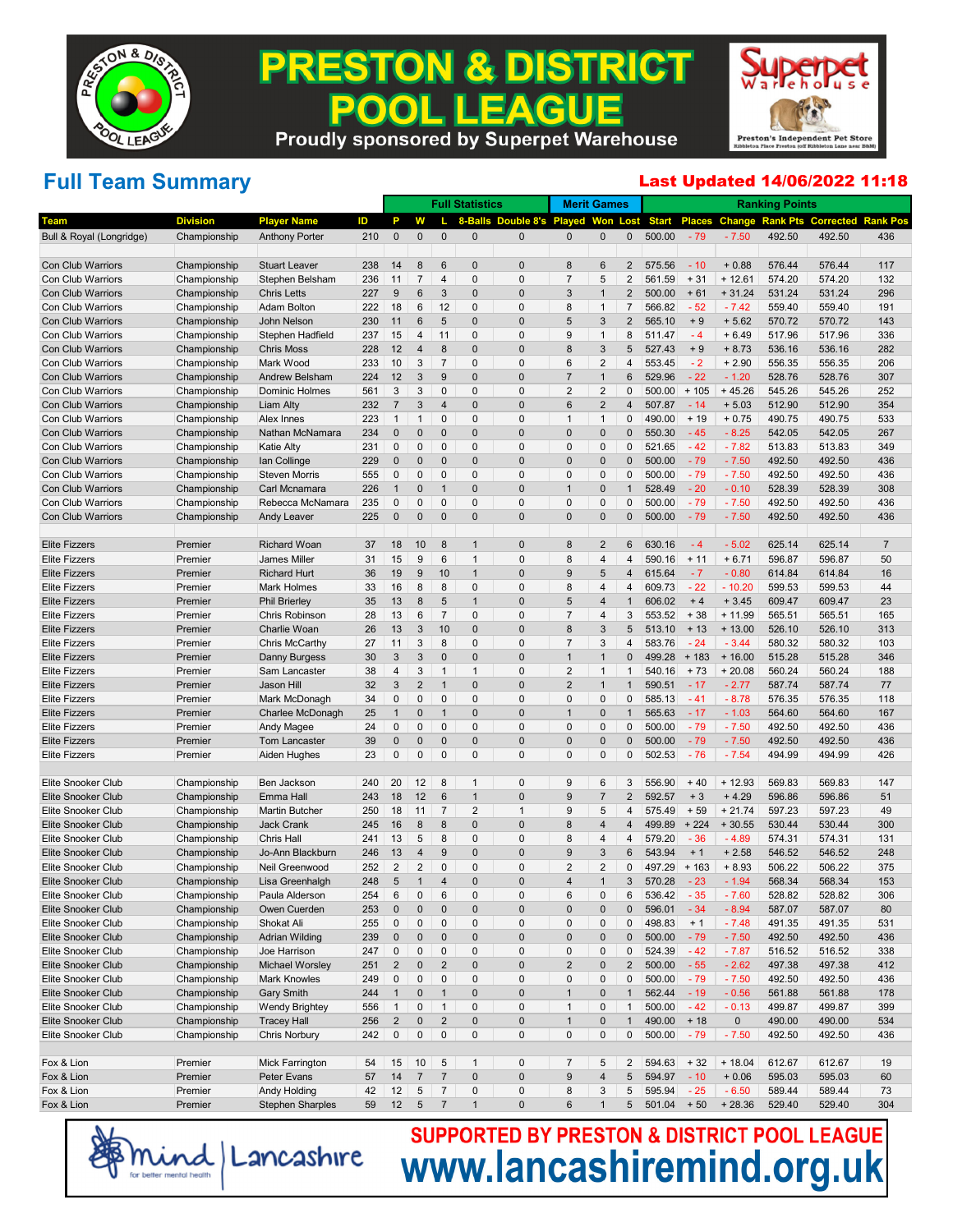

#### **PRESTON & DISTRICT EAGUE** 200 . IL **Proudly sponsored by Superpet Warehouse**

Preston's Independent Pet Store

# **Full Team Summary**

#### Last Updated 14/06/2022 11:18

|                                                 |                              |                                   |            |                               |                     |                             | <b>Full Statistics</b> |                       |                         | <b>Merit Games</b>      |                         |                  |                 |                    | <b>Ranking Points</b> |                  |                 |
|-------------------------------------------------|------------------------------|-----------------------------------|------------|-------------------------------|---------------------|-----------------------------|------------------------|-----------------------|-------------------------|-------------------------|-------------------------|------------------|-----------------|--------------------|-----------------------|------------------|-----------------|
| Team                                            | <b>Division</b>              | <b>Player Name</b>                | ID         | P                             | w                   |                             | 8-Balls                | Double 8's Played Won |                         |                         | Lost                    | <b>Start</b>     | <b>Places</b>   | Change             | <b>Rank Pts</b>       | <b>Corrected</b> | <b>Rank Pos</b> |
| Bull & Royal (Longridge)                        | Championship                 | <b>Anthony Porter</b>             | 210        | $\pmb{0}$                     | $\mathbf 0$         | $\mathbf{0}$                | 0                      | 0                     | $\mathbf 0$             | 0                       | 0                       | 500.00           | $-79$           | $-7.50$            | 492.50                | 492.50           | 436             |
|                                                 |                              |                                   |            |                               |                     |                             |                        |                       |                         |                         |                         |                  |                 |                    |                       |                  |                 |
| <b>Con Club Warriors</b>                        | Championship                 | <b>Stuart Leaver</b>              | 238        | 14                            | 8                   | 6                           | 0                      | 0                     | 8                       | 6                       | 2                       | 575.56           | $-10$           | $+0.88$            | 576.44                | 576.44           | 117             |
| <b>Con Club Warriors</b>                        | Championship                 | Stephen Belsham                   | 236        | 11                            | $\overline{7}$      | $\overline{4}$              | 0                      | 0                     | $\overline{7}$          | 5                       | $\overline{2}$          | 561.59           | $+31$           | $+12.61$           | 574.20                | 574.20           | 132             |
| <b>Con Club Warriors</b>                        | Championship                 | <b>Chris Letts</b>                | 227        | $\boldsymbol{9}$              | 6                   | 3                           | 0                      | 0                     | 3                       | $\mathbf{1}$            | $\overline{2}$          | 500.00           | $+61$           | $+31.24$           | 531.24                | 531.24           | 296             |
| <b>Con Club Warriors</b>                        | Championship                 | Adam Bolton                       | 222        | 18                            | 6                   | 12                          | 0                      | 0                     | 8                       | $\mathbf{1}$            | $\overline{7}$          | 566.82           | $-52$           | $-7.42$            | 559.40                | 559.40           | 191             |
| <b>Con Club Warriors</b>                        | Championship                 | John Nelson                       | 230        | 11                            | $6\,$               | 5                           | 0                      | 0                     | 5                       | 3                       | $\overline{2}$          | 565.10           | $+9$            | $+5.62$            | 570.72                | 570.72           | 143             |
| Con Club Warriors                               | Championship                 | Stephen Hadfield                  | 237        | 15                            | $\overline{4}$      | 11                          | 0                      | 0                     | 9                       | $\overline{1}$          | 8                       | 511.47           | $-4$            | $+6.49$            | 517.96                | 517.96           | 336             |
| <b>Con Club Warriors</b>                        | Championship                 | <b>Chris Moss</b>                 | 228        | 12                            | $\overline{4}$      | 8                           | 0                      | 0                     | 8                       | 3                       | 5                       | 527.43           | $+9$            | $+8.73$            | 536.16                | 536.16           | 282             |
| Con Club Warriors                               | Championship                 | Mark Wood                         | 233        | 10                            | 3                   | $\overline{7}$              | 0                      | 0                     | 6                       | $\overline{c}$          | 4                       | 553.45           | $-2$            | $+2.90$            | 556.35                | 556.35           | 206             |
| <b>Con Club Warriors</b>                        | Championship                 | Andrew Belsham                    | 224        | 12                            | $\sqrt{3}$          | 9                           | 0                      | 0                     | $\overline{7}$          | $\mathbf{1}$            | 6                       | 529.96           | $-22$           | $-1.20$            | 528.76                | 528.76           | 307             |
| Con Club Warriors                               | Championship                 | Dominic Holmes                    | 561        | $\sqrt{3}$                    | 3                   | $\mathbf{0}$                | 0                      | 0                     | $\overline{2}$          | 2                       | 0                       | 500.00           | $+105$          | $+45.26$           | 545.26                | 545.26           | 252             |
| <b>Con Club Warriors</b>                        | Championship                 | Liam Alty                         | 232        | $\overline{7}$                | 3                   | $\overline{4}$              | 0                      | 0                     | 6                       | $\overline{\mathbf{c}}$ | 4                       | 507.87           | $-14$           | $+5.03$            | 512.90                | 512.90           | 354             |
| Con Club Warriors                               | Championship                 | <b>Alex Innes</b>                 | 223        | $\mathbf{1}$                  | $\mathbf{1}$        | $\mathbf{0}$                | 0                      | 0                     | $\mathbf{1}$            | $\mathbf{1}$            | 0                       | 490.00           | $+19$           | $+0.75$            | 490.75                | 490.75           | 533             |
| <b>Con Club Warriors</b>                        | Championship                 | Nathan McNamara                   | 234        | $\mathbf 0$                   | 0                   | $\overline{0}$              | 0                      | 0                     | $\mathbf 0$             | 0                       | $\overline{0}$          | 550.30           | $-45$           | $-8.25$            | 542.05                | 542.05           | 267             |
| Con Club Warriors                               | Championship                 | <b>Katie Alty</b>                 | 231        | $\mathbf 0$                   | 0                   | $\mathbf{0}$                | 0                      | 0                     | $\Omega$                | 0                       | 0<br>$\Omega$           | 521.65           | $-42$           | $-7.82$            | 513.83                | 513.83           | 349             |
| <b>Con Club Warriors</b>                        | Championship                 | Ian Collinge                      | 229        | $\mathbf{0}$                  | 0                   | $\overline{0}$              | 0<br>0                 | 0<br>0                | $\mathbf 0$<br>$\Omega$ | 0                       |                         | 500.00           | $-79$           | $-7.50$            | 492.50                | 492.50           | 436             |
| Con Club Warriors                               | Championship                 | <b>Steven Morris</b>              | 555        | $\mathbf 0$<br>$\overline{1}$ | 0                   | $\mathbf{0}$<br>$\mathbf 1$ | 0                      | 0                     | $\mathbf{1}$            | 0                       | 0                       | 500.00           | $-79$           | $-7.50$            | 492.50                | 492.50           | 436             |
| <b>Con Club Warriors</b>                        | Championship                 | Carl Mcnamara                     | 226        |                               | $\mathbf 0$         | $\mathbf{0}$                | 0                      | 0                     | $\Omega$                | 0                       | 0                       | 528.49           | $-20$           | $-0.10$            | 528.39                | 528.39           | 308             |
| <b>Con Club Warriors</b>                        | Championship<br>Championship | Rebecca McNamara                  | 235        | $\mathbf 0$<br>$\mathbf 0$    | 0<br>0              | $\overline{0}$              | 0                      | 0                     | $\overline{0}$          | 0                       | 0                       | 500.00<br>500.00 | $-79$           | $-7.50$<br>$-7.50$ | 492.50<br>492.50      | 492.50           | 436<br>436      |
| <b>Con Club Warriors</b>                        |                              | <b>Andy Leaver</b>                | 225        |                               |                     |                             |                        |                       |                         | 0                       |                         |                  | $-79$           |                    |                       | 492.50           |                 |
| <b>Elite Fizzers</b>                            | Premier                      | <b>Richard Woan</b>               | 37         | 18                            | 10                  | 8                           | $\mathbf{1}$           | 0                     | 8                       | 2                       | 6                       | 630.16           | $-4$            | $-5.02$            | 625.14                | 625.14           | $\overline{7}$  |
| <b>Elite Fizzers</b>                            | Premier                      | <b>James Miller</b>               | 31         | 15                            | 9                   | 6                           | $\overline{1}$         | 0                     | 8                       | 4                       | 4                       | 590.16           | $+ 11$          | $+6.71$            | 596.87                | 596.87           | 50              |
| <b>Elite Fizzers</b>                            | Premier                      | <b>Richard Hurt</b>               | 36         | 19                            | 9                   | 10                          | $\mathbf{1}$           | 0                     | 9                       | 5                       | $\overline{4}$          | 615.64           | $-7$            | $-0.80$            | 614.84                | 614.84           | 16              |
| <b>Elite Fizzers</b>                            | Premier                      | Mark Holmes                       | 33         | 16                            | $\,8\,$             | 8                           | 0                      | 0                     | 8                       | 4                       | 4                       | 609.73           | $-22$           | $-10.20$           | 599.53                | 599.53           | 44              |
| <b>Elite Fizzers</b>                            | Premier                      | <b>Phil Brierley</b>              | 35         | 13                            | 8                   | 5                           | $\mathbf{1}$           | 0                     | 5                       | 4                       |                         | 606.02           | $+4$            | $+3.45$            | 609.47                | 609.47           | 23              |
| <b>Elite Fizzers</b>                            | Premier                      | Chris Robinson                    | 28         | 13                            | 6                   | $\overline{7}$              | 0                      | 0                     | $\overline{7}$          | 4                       | 3                       | 553.52           | $+38$           | $+11.99$           | 565.51                | 565.51           | 165             |
| <b>Elite Fizzers</b>                            | Premier                      | Charlie Woan                      | 26         | 13                            | 3                   | 10                          | 0                      | 0                     | 8                       | 3                       | 5                       | 513.10           | $+13$           | $+13.00$           | 526.10                | 526.10           | 313             |
| <b>Elite Fizzers</b>                            | Premier                      | Chris McCarthy                    | 27         | 11                            | 3                   | 8                           | 0                      | 0                     | $\overline{7}$          | 3                       | 4                       | 583.76           | $-24$           | $-3.44$            | 580.32                | 580.32           | 103             |
| <b>Elite Fizzers</b>                            | Premier                      | Danny Burgess                     | 30         | 3                             | 3                   | $\overline{0}$              | 0                      | 0                     | $\mathbf{1}$            | $\mathbf{1}$            | 0                       | 499.28           | $+183$          | $+16.00$           | 515.28                | 515.28           | 346             |
| <b>Elite Fizzers</b>                            | Premier                      | Sam Lancaster                     | 38         | 4                             | 3                   | $\mathbf{1}$                | $\overline{1}$         | 0                     | $\overline{2}$          | $\mathbf{1}$            | $\mathbf 1$             | 540.16           | $+73$           | $+20.08$           | 560.24                | 560.24           | 188             |
| <b>Elite Fizzers</b>                            | Premier                      | Jason Hill                        | 32         | 3                             | $\overline{2}$      | 1                           | 0                      | 0                     | $\overline{2}$          | $\mathbf{1}$            |                         | 590.51           | $-17$           | $-2.77$            | 587.74                | 587.74           | 77              |
| <b>Elite Fizzers</b>                            | Premier                      | Mark McDonagh                     | 34         | 0                             | 0                   | $\mathbf{0}$                | 0                      | 0                     | $\Omega$                | 0                       | 0                       | 585.13           | $-41$           | $-8.78$            | 576.35                | 576.35           | 118             |
| <b>Elite Fizzers</b>                            | Premier                      | Charlee McDonagh                  | 25         | $\mathbf{1}$                  | $\mathbf 0$         | 1                           | 0                      | 0                     | $\mathbf{1}$            | 0                       | $\mathbf 1$             | 565.63           | $-17$           | $-1.03$            | 564.60                | 564.60           | 167             |
| <b>Elite Fizzers</b>                            | Premier                      | Andy Magee                        | 24         | 0                             | 0                   | $\mathbf{0}$                | 0                      | 0                     | $\Omega$                | 0                       | 0                       | 500.00           | $-79$           | $-7.50$            | 492.50                | 492.50           | 436             |
| <b>Elite Fizzers</b>                            | Premier                      | Tom Lancaster                     | 39         | $\mathbf 0$                   | 0                   | $\overline{0}$              | 0                      | 0                     | $\overline{0}$          | 0                       | $\Omega$                | 500.00           | $-79$           | $-7.50$            | 492.50                | 492.50           | 436             |
| <b>Elite Fizzers</b>                            | Premier                      | Aiden Hughes                      | 23         | $\mathbf 0$                   | 0                   | 0                           | 0                      | 0                     | $\Omega$                | 0                       | 0                       | 502.53           | $-76$           | $-7.54$            | 494.99                | 494.99           | 426             |
|                                                 |                              |                                   |            |                               |                     |                             |                        |                       |                         |                         |                         |                  |                 |                    |                       |                  |                 |
| Elite Snooker Club                              | Championship                 | Ben Jackson                       | 240        | 20                            | 12                  | 8                           | $\mathbf{1}$           | 0                     | 9                       | 6                       | 3                       | 556.90           | $+40$           | $+12.93$           | 569.83                | 569.83           | 147             |
| Elite Snooker Club                              | Championship                 | Emma Hall                         | 243        | 18                            | 12                  | $6\phantom{1}6$             | $\overline{1}$         | 0                     | 9                       | 7                       | $\overline{2}$          | 592.57           | $+3$            | $+4.29$            | 596.86                | 596.86           | 51              |
| Elite Snooker Club                              | Championship                 | <b>Martin Butcher</b>             | 250        | 18                            | 11                  | $\overline{7}$              | $\overline{2}$         | 1                     | 9                       | 5                       | 4                       | 575.49           | $+59$           | $+21.74$           | 597.23                | 597.23           | 49              |
| <b>Elite Snooker Club</b>                       | Championship                 | <b>Jack Crank</b>                 | 245        | 16                            | 8                   | 8                           | 0                      | 0<br>0                | 8<br>8                  | 4                       | 4                       | 499.89           | $+224$          | $+30.55$           | 530.44                | 530.44           | 300             |
| Elite Snooker Club                              | Championship                 | Chris Hall                        | 241        | 13                            | 5                   | 8<br>9                      | 0                      |                       | 9                       | 4<br>3                  | 4<br>6                  | 579.20           | $-36$<br>$+1$   | $-4.89$            | 574.31                | 574.31           | 131             |
| Elite Snooker Club<br><b>Elite Snooker Club</b> | Championship                 | Jo-Ann Blackburn                  | 246        | 13<br>$\overline{2}$          | 4<br>$\overline{2}$ | $\mathbf{0}$                | 0<br>0                 | 0<br>0                | $\overline{2}$          | $\overline{2}$          | 0                       | 543.94           |                 | $+2.58$            | 546.52                | 546.52           | 248             |
|                                                 | Championship                 | Neil Greenwood                    | 252        | 5                             | $\mathbf{1}$        | $\overline{4}$              | 0                      | $\overline{0}$        | $\overline{4}$          | $\overline{1}$          | 3                       | 497.29<br>570.28 | $+163$<br>$-23$ | $+8.93$<br>$-1.94$ | 506.22<br>568.34      | 506.22           | 375<br>153      |
| Elite Snooker Club                              | Championship                 | Lisa Greenhalgh<br>Paula Alderson | 248<br>254 | $\,6$                         | $\mathbf 0$         | $\,6$                       | 0                      | 0                     | 6                       | $\mathsf 0$             | 6                       | 536.42           | $-35$           |                    | 528.82                | 568.34<br>528.82 | 306             |
| Elite Snooker Club<br>Elite Snooker Club        | Championship<br>Championship | Owen Cuerden                      | 253        | $\boldsymbol{0}$              | $\pmb{0}$           | $\pmb{0}$                   | 0                      | 0                     | $\mathbf 0$             | 0                       | 0                       | 596.01           | $-34$           | $-7.60$<br>$-8.94$ | 587.07                | 587.07           | 80              |
| Elite Snooker Club                              | Championship                 | Shokat Ali                        | 255        | $\boldsymbol{0}$              | 0                   | $\pmb{0}$                   | 0                      | 0                     | $\mathbf 0$             | 0                       | 0                       | 498.83           | $+1$            | $-7.48$            | 491.35                | 491.35           | 531             |
| Elite Snooker Club                              | Championship                 | <b>Adrian Wilding</b>             | 239        | $\pmb{0}$                     | $\pmb{0}$           | $\pmb{0}$                   | 0                      | 0                     | $\pmb{0}$               | 0                       | 0                       | 500.00           | $-79$           | $-7.50$            | 492.50                | 492.50           | 436             |
| Elite Snooker Club                              | Championship                 | Joe Harrison                      | 247        | $\bf{0}$                      | $\pmb{0}$           | $\pmb{0}$                   | 0                      | 0                     | $\pmb{0}$               | 0                       | 0                       | 524.39           | $-42$           | $-7.87$            | 516.52                | 516.52           | 338             |
| Elite Snooker Club                              | Championship                 | Michael Worsley                   | 251        | $\overline{c}$                | $\pmb{0}$           | $\overline{2}$              | 0                      | 0                     | $\overline{2}$          | 0                       | $\overline{\mathbf{c}}$ | 500.00           | $-55$           | $-2.62$            | 497.38                | 497.38           | 412             |
| Elite Snooker Club                              | Championship                 | <b>Mark Knowles</b>               | 249        | $\pmb{0}$                     | $\pmb{0}$           | $\pmb{0}$                   | 0                      | 0                     | $\pmb{0}$               | 0                       | 0                       | 500.00           | $-79$           | $-7.50$            | 492.50                | 492.50           | 436             |
| Elite Snooker Club                              | Championship                 | <b>Gary Smith</b>                 | 244        | $\mathbf{1}$                  | $\pmb{0}$           | $\mathbf{1}$                | 0                      | 0                     | $\mathbf{1}$            | 0                       | $\mathbf{1}$            | 562.44           | $-19$           | $-0.56$            | 561.88                | 561.88           | 178             |
| Elite Snooker Club                              | Championship                 | <b>Wendy Brightey</b>             | 556        | $\mathbf{1}$                  | $\mathbf 0$         | $\mathbf{1}$                | 0                      | 0                     | $\mathbf{1}$            | $\pmb{0}$               | $\mathbf 1$             | 500.00           | $-42$           | $-0.13$            | 499.87                | 499.87           | 399             |
| Elite Snooker Club                              | Championship                 | <b>Tracey Hall</b>                | 256        | $\sqrt{2}$                    | $\pmb{0}$           | $\sqrt{2}$                  | 0                      | 0                     | $\mathbf{1}$            | 0                       | 1                       | 490.00           | $+18$           | 0                  | 490.00                | 490.00           | 534             |
| Elite Snooker Club                              | Championship                 | Chris Norbury                     | 242        | $\pmb{0}$                     | $\pmb{0}$           | $\pmb{0}$                   | 0                      | 0                     | $\pmb{0}$               | 0                       | 0                       | 500.00           | $-79$           | $-7.50$            | 492.50                | 492.50           | 436             |
|                                                 |                              |                                   |            |                               |                     |                             |                        |                       |                         |                         |                         |                  |                 |                    |                       |                  |                 |
| Fox & Lion                                      | Premier                      | Mick Farrington                   | 54         | 15                            | 10                  | 5                           | $\mathbf{1}$           | 0                     | 7                       | 5                       | 2                       | 594.63           | $+32$           | $+18.04$           | 612.67                | 612.67           | 19              |
| Fox & Lion                                      | Premier                      | Peter Evans                       | 57         | 14                            | $\overline{7}$      | $\overline{7}$              | 0                      | $\pmb{0}$             | $\boldsymbol{9}$        | $\overline{\mathbf{4}}$ | 5                       | 594.97           | $-10$           | $+0.06$            | 595.03                | 595.03           | 60              |
| Fox & Lion                                      | Premier                      | <b>Andy Holding</b>               | 42         | 12                            | $\sqrt{5}$          | $\overline{7}$              | 0                      | 0                     | 8                       | 3                       | 5                       | 595.94           | $-25$           | $-6.50$            | 589.44                | 589.44           | 73              |
| Fox & Lion                                      | Premier                      | <b>Stephen Sharples</b>           | 59         | 12                            | $\sqrt{5}$          | $\overline{7}$              | $\mathbf{1}$           | 0                     | $\,6$                   | $\mathbf{1}$            | 5                       | 501.04           | $+50$           | $+28.36$           | 529.40                | 529.40           | 304             |

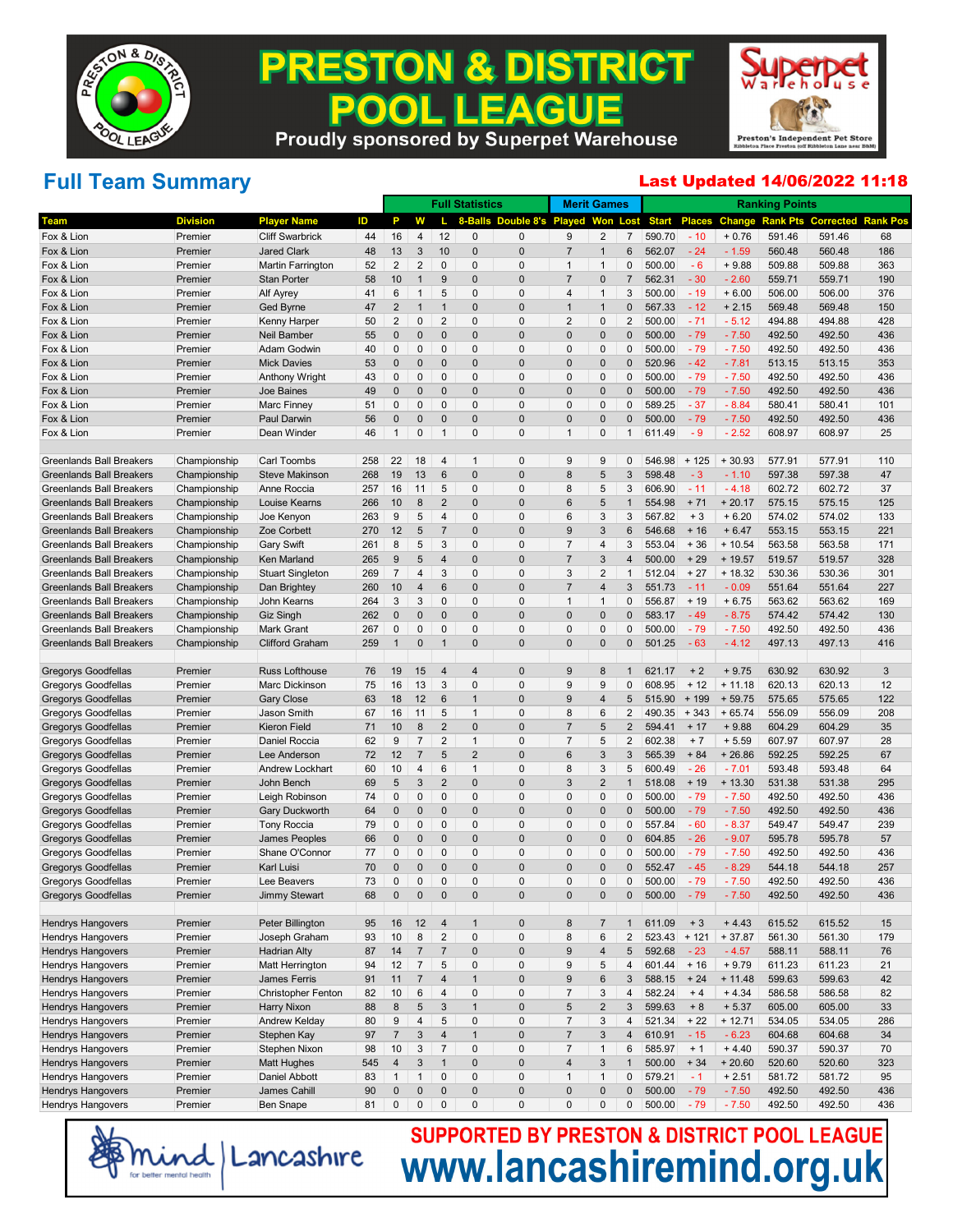

#### **PRESTON & DISTRICT EAGUE** 200 . IL **Proudly sponsored by Superpet Warehouse**



### **Full Team Summary**

#### Last Updated 14/06/2022 11:18

|                                 |                 |                           |     |                |                |                     | <b>Full Statistics</b> |                   | <b>Merit Games</b> |                         |                |              |               |               | <b>Ranking Points</b> |                  |                 |
|---------------------------------|-----------------|---------------------------|-----|----------------|----------------|---------------------|------------------------|-------------------|--------------------|-------------------------|----------------|--------------|---------------|---------------|-----------------------|------------------|-----------------|
| Team                            | <b>Division</b> | <b>Player Name</b>        | ID  | P              | w              |                     | 8-Balls                | Double 8's Played |                    | Won                     | Lost           | <b>Start</b> | <b>Places</b> | <b>Change</b> | <b>Rank Pts</b>       | <b>Corrected</b> | <b>Rank Pos</b> |
| Fox & Lion                      | Premier         | <b>Cliff Swarbrick</b>    | 44  | 16             | 4              | 12                  | 0                      | 0                 | 9                  | $\overline{2}$          | 7              | 590.70       | $-10$         | $+0.76$       | 591.46                | 591.46           | 68              |
| Fox & Lion                      | Premier         | <b>Jared Clark</b>        | 48  | 13             | 3              | 10                  | $\overline{0}$         | $\overline{0}$    | $\overline{7}$     | $\mathbf 1$             | 6              | 562.07       | $-24$         | $-1.59$       | 560.48                | 560.48           | 186             |
| Fox & Lion                      | Premier         | Martin Farrington         | 52  | 2              | 2              | $\mathbf 0$         | 0                      | 0                 | $\overline{1}$     | $\mathbf{1}$            | 0              | 500.00       | $-6$          | $+9.88$       | 509.88                | 509.88           | 363             |
| Fox & Lion                      | Premier         | <b>Stan Porter</b>        | 58  | 10             | $\mathbf{1}$   | 9                   | $\mathbf 0$            | $\mathbf 0$       | $\overline{7}$     | $\overline{0}$          | $\overline{7}$ | 562.31       | $-30$         | $-2.60$       | 559.71                | 559.71           | 190             |
| Fox & Lion                      | Premier         | Alf Ayrey                 | 41  | 6              | $\mathbf{1}$   | 5                   | 0                      | $\Omega$          | $\overline{4}$     | $\mathbf{1}$            | 3              | 500.00       | $-19$         | $+6.00$       | 506.00                | 506.00           | 376             |
| Fox & Lion                      | Premier         | Ged Byrne                 | 47  | 2              | $\mathbf{1}$   | $\mathbf{1}$        | $\mathbf 0$            | $\mathbf 0$       | $\overline{1}$     | $\mathbf 1$             | 0              | 567.33       | $-12$         | $+2.15$       | 569.48                | 569.48           | 150             |
| Fox & Lion                      | Premier         | Kenny Harper              | 50  | $\overline{2}$ | 0              | 2                   | 0                      | 0                 | $\overline{2}$     | $\mathbf 0$             | 2              | 500.00       | $-71$         | $-5.12$       | 494.88                | 494.88           | 428             |
| Fox & Lion                      | Premier         | Neil Bamber               | 55  | $\mathbf 0$    | 0              | 0                   | $\mathbf 0$            | $\mathbf 0$       | $\mathbf 0$        | $\overline{0}$          | 0              | 500.00       | $-79$         | $-7.50$       | 492.50                | 492.50           | 436             |
| Fox & Lion                      | Premier         | Adam Godwin               | 40  | 0              | 0              | $\mathbf 0$         | 0                      | 0                 | $\mathbf 0$        | $\mathbf 0$             | 0              | 500.00       | $-79$         | $-7.50$       | 492.50                | 492.50           | 436             |
| Fox & Lion                      | Premier         | <b>Mick Davies</b>        | 53  | $\mathbf 0$    | $\mathbf{0}$   | 0                   | $\mathbf 0$            | $\mathbf 0$       | $\mathbf 0$        | $\overline{0}$          | $\mathbf{0}$   | 520.96       | $-42$         | $-7.81$       | 513.15                | 513.15           | 353             |
| Fox & Lion                      | Premier         | <b>Anthony Wright</b>     | 43  | 0              | 0              | $\mathbf 0$         | 0                      | 0                 | $\mathbf 0$        | $\mathbf 0$             | 0              | 500.00       | $-79$         | $-7.50$       | 492.50                | 492.50           | 436             |
| Fox & Lion                      | Premier         | Joe Baines                | 49  | $\mathbf 0$    | $\mathbf{0}$   | 0                   | $\mathbf 0$            | $\mathbf 0$       | $\overline{0}$     | $\overline{0}$          | 0              | 500.00       | $-79$         | $-7.50$       | 492.50                | 492.50           | 436             |
| Fox & Lion                      | Premier         | Marc Finney               | 51  | 0              | 0              | $\mathbf 0$         | 0                      | $\Omega$          | $\mathbf 0$        | $\mathbf 0$             | 0              | 589.25       | $-37$         | $-8.84$       | 580.41                | 580.41           | 101             |
| Fox & Lion                      | Premier         | Paul Darwin               | 56  | $\mathbf 0$    | $\mathbf{0}$   | $\mathbf{0}$        | $\mathbf 0$            | $\mathbf 0$       | $\overline{0}$     | $\overline{0}$          | $\mathbf{0}$   | 500.00       | $-79$         | $-7.50$       | 492.50                | 492.50           | 436             |
| Fox & Lion                      | Premier         | Dean Winder               | 46  | $\mathbf{1}$   | 0              | $\mathbf{1}$        | 0                      | $\Omega$          | $\overline{1}$     | $\mathbf 0$             | $\mathbf{1}$   | 611.49       | $-9$          | $-2.52$       | 608.97                | 608.97           | 25              |
|                                 |                 |                           |     |                |                |                     |                        |                   |                    |                         |                |              |               |               |                       |                  |                 |
| <b>Greenlands Ball Breakers</b> | Championship    | Carl Toombs               | 258 | 22             | 18             | $\overline{4}$      | $\mathbf{1}$           | 0                 | 9                  | 9                       | 0              | 546.98       | $+125$        | $+30.93$      | 577.91                | 577.91           | 110             |
| <b>Greenlands Ball Breakers</b> | Championship    | <b>Steve Makinson</b>     | 268 | 19             | 13             | 6                   | $\overline{0}$         | $\overline{0}$    | 8                  | 5                       | 3              | 598.48       | $-3$          | $-1.10$       | 597.38                | 597.38           | 47              |
| <b>Greenlands Ball Breakers</b> | Championship    | Anne Roccia               | 257 | 16             | 11             | 5                   | 0                      | 0                 | 8                  | 5                       | 3              | 606.90       | $-11$         | $-4.18$       | 602.72                | 602.72           | 37              |
| <b>Greenlands Ball Breakers</b> | Championship    | Louise Kearns             | 266 | 10             | 8              | $\overline{2}$      | $\mathbf 0$            | $\mathbf 0$       | 6                  | 5                       | $\mathbf{1}$   | 554.98       | $+71$         | $+20.17$      | 575.15                | 575.15           | 125             |
| <b>Greenlands Ball Breakers</b> | Championship    | Joe Kenyon                | 263 | 9              | 5              | $\overline{4}$      | 0                      | 0                 | 6                  | 3                       | 3              | 567.82       | $+3$          | $+6.20$       | 574.02                | 574.02           | 133             |
| <b>Greenlands Ball Breakers</b> | Championship    | Zoe Corbett               | 270 | 12             | 5              | $\overline{7}$      | $\mathbf 0$            | $\mathbf 0$       | 9                  | 3                       | 6              | 546.68       | $+16$         | $+6.47$       | 553.15                | 553.15           | 221             |
| <b>Greenlands Ball Breakers</b> | Championship    | <b>Gary Swift</b>         | 261 | 8              | 5              | 3                   | 0                      | 0                 | $\overline{7}$     | 4                       | 3              | 553.04       | $+36$         | $+10.54$      | 563.58                | 563.58           | 171             |
| <b>Greenlands Ball Breakers</b> | Championship    | Ken Marland               | 265 | 9              | 5              | $\overline{4}$      | $\mathbf 0$            | $\mathbf 0$       | $\overline{7}$     | 3                       | $\overline{4}$ | 500.00       | $+29$         | $+19.57$      | 519.57                | 519.57           | 328             |
| <b>Greenlands Ball Breakers</b> | Championship    | <b>Stuart Singleton</b>   | 269 | $\overline{7}$ | 4              | 3                   | 0                      | $\Omega$          | 3                  | $\overline{2}$          | $\mathbf{1}$   | 512.04       | $+27$         | $+18.32$      | 530.36                | 530.36           | 301             |
| <b>Greenlands Ball Breakers</b> | Championship    | Dan Brightey              | 260 | 10             | 4              | $6\phantom{1}$      | $\mathbf 0$            | $\mathbf 0$       | $\overline{7}$     | $\overline{4}$          | 3              | 551.73       | $-11$         | $-0.09$       | 551.64                | 551.64           | 227             |
| <b>Greenlands Ball Breakers</b> | Championship    | John Kearns               | 264 | 3              | 3              | $\mathbf 0$         | 0                      | 0                 | $\overline{1}$     | $\mathbf{1}$            | 0              | 556.87       | $+19$         | $+6.75$       | 563.62                | 563.62           | 169             |
| <b>Greenlands Ball Breakers</b> | Championship    | <b>Giz Singh</b>          | 262 | $\mathbf 0$    | 0              | $\mathbf{0}$        | $\mathbf 0$            | $\overline{0}$    | $\mathbf{0}$       | $\overline{0}$          | $\mathbf{0}$   | 583.17       | $-49$         | $-8.75$       | 574.42                | 574.42           | 130             |
| <b>Greenlands Ball Breakers</b> | Championship    | Mark Grant                | 267 | 0              | 0              | $\mathbf 0$         | 0                      | 0                 | $\mathbf 0$        | $\mathbf 0$             | 0              | 500.00       | $-79$         | $-7.50$       | 492.50                | 492.50           | 436             |
| <b>Greenlands Ball Breakers</b> | Championship    | <b>Clifford Graham</b>    | 259 | 1              | 0              | $\mathbf{1}$        | $\Omega$               | $\Omega$          | $\Omega$           | $\overline{0}$          | $\mathbf{0}$   | 501.25       | $-63$         | $-4.12$       | 497.13                | 497.13           | 416             |
|                                 |                 |                           |     |                |                |                     |                        |                   |                    |                         |                |              |               |               |                       |                  |                 |
| <b>Gregorys Goodfellas</b>      | Premier         | Russ Lofthouse            | 76  | 19             | 15             | $\overline{4}$      | $\overline{4}$         | $\mathbf 0$       | 9                  | 8                       | $\mathbf{1}$   | 621.17       | $+2$          | $+9.75$       | 630.92                | 630.92           | 3               |
| Gregorys Goodfellas             | Premier         | Marc Dickinson            | 75  | 16             | 13             | 3                   | 0                      | 0                 | 9                  | 9                       | 0              | 608.95       | $+12$         | $+11.18$      | 620.13                | 620.13           | 12              |
| <b>Gregorys Goodfellas</b>      | Premier         | <b>Gary Close</b>         | 63  | 18             | 12             | 6                   | $\mathbf{1}$           | $\mathbf 0$       | 9                  | $\overline{4}$          | 5              | 515.90       | $+199$        | $+59.75$      | 575.65                | 575.65           | 122             |
| Gregorys Goodfellas             | Premier         | Jason Smith               | 67  | 16             | 11             | 5                   | $\mathbf{1}$           | 0                 | 8                  | 6                       | 2              | 490.35       | $+343$        | $+65.74$      | 556.09                | 556.09           | 208             |
| <b>Gregorys Goodfellas</b>      | Premier         | <b>Kieron Field</b>       | 71  | 10             | 8              | $\overline{2}$      | $\mathbf 0$            | $\overline{0}$    | $\overline{7}$     | 5                       | 2              | 594.41       | $+17$         | $+9.88$       | 604.29                | 604.29           | 35              |
| Gregorys Goodfellas             | Premier         | Daniel Roccia             | 62  | 9              | $\overline{7}$ | 2                   | $\mathbf{1}$           | 0                 | $\overline{7}$     | 5                       | 2              | 602.38       | $+7$          | $+5.59$       | 607.97                | 607.97           | 28              |
| <b>Gregorys Goodfellas</b>      | Premier         | Lee Anderson              | 72  | 12             | $\overline{7}$ | 5                   | $\overline{2}$         | $\overline{0}$    | 6                  | 3                       | 3              | 565.39       | $+84$         | $+26.86$      | 592.25                | 592.25           | 67              |
| Gregorys Goodfellas             | Premier         | <b>Andrew Lockhart</b>    | 60  | 10             | 4              | 6                   | $\mathbf{1}$           | 0                 | 8                  | 3                       | 5              | 600.49       | $-26$         | $-7.01$       | 593.48                | 593.48           | 64              |
| <b>Gregorys Goodfellas</b>      | Premier         | John Bench                | 69  | 5              | 3              | $\overline{2}$      | $\mathbf 0$            | $\overline{0}$    | 3                  | $\overline{2}$          | $\mathbf{1}$   | 518.08       | $+19$         | $+13.30$      | 531.38                | 531.38           | 295             |
| Gregorys Goodfellas             | Premier         | Leigh Robinson            | 74  | 0              | 0              | $\mathbf 0$         | 0                      | 0                 | $\mathbf 0$        | $\mathbf 0$             | 0              | 500.00       | $-79$         | $-7.50$       | 492.50                | 492.50           | 436             |
| <b>Gregorys Goodfellas</b>      | Premier         | <b>Gary Duckworth</b>     | 64  | $\mathbf 0$    | $\mathbf{0}$   | 0                   | $\mathbf 0$            | $\mathbf 0$       | $\mathbf 0$        | $\overline{0}$          | 0              | 500.00       | $-79$         | $-7.50$       | 492.50                | 492.50           | 436             |
| Gregorys Goodfellas             | Premier         | <b>Tony Roccia</b>        | 79  | 0              | 0              | $\mathbf 0$         | 0                      | 0                 | $\mathbf 0$        | $\mathbf 0$             | 0              | 557.84       | $-60$         | $-8.37$       | 549.47                | 549.47           | 239             |
| <b>Gregorys Goodfellas</b>      | Premier         | <b>James Peoples</b>      | 66  | $\mathbf 0$    | 0              | 0                   | $\mathbf 0$            | $\mathbf 0$       | $\mathbf 0$        | $\overline{0}$          | 0              | 604.85       | $-26$         | $-9.07$       | 595.78                | 595.78           | 57              |
| Gregorys Goodfellas             | Premier         | Shane O'Connor            | 77  | 0              | 0              | $\mathbf 0$         | 0                      | 0                 | $\mathbf 0$        | $\mathbf 0$             | 0              | 500.00       | $-79$         | $-7.50$       | 492.50                | 492.50           | 436             |
| <b>Gregorys Goodfellas</b>      | Premier         | Karl Luisi                | 70  | $\Omega$       | $\mathbf{0}$   | $\mathbf{0}$        | $\mathbf 0$            | $\mathbf 0$       | $\mathbf 0$        | $\overline{0}$          | $\mathbf{0}$   | 552.47       | $-45$         | $-8.29$       | 544.18                | 544.18           | 257             |
| Gregorys Goodfellas             | Premier         | Lee Beavers               | 73  | $\mathbf{0}$   | 0              | $\mathbf{0}$        | $\Omega$               | $\Omega$          | $\mathbf{0}$       | $\mathbf 0$             | 0              | 500.00       | $-79$         | $-7.50$       | 492.50                | 492.50           | 436             |
| Gregorys Goodfellas             | Premier         | Jimmy Stewart             | 68  | $\mathbf{0}$   | 0              | $\mathbf{0}$        | $\Omega$               | $\Omega$          | $\Omega$           | 0                       | $\mathbf 0$    | 500.00       | 79            | 7.50          | 492.50                | 492.50           | 436             |
|                                 |                 |                           |     |                |                |                     |                        |                   |                    |                         |                |              |               |               |                       |                  |                 |
| <b>Hendrys Hangovers</b>        | Premier         | Peter Billington          | 95  | 16             | 12             | $\overline{4}$      | $\overline{1}$         | $\pmb{0}$         | $\bf 8$            | $\overline{7}$          | $\mathbf{1}$   | 611.09       | $+3$          | $+4.43$       | 615.52                | 615.52           | 15              |
| <b>Hendrys Hangovers</b>        | Premier         | Joseph Graham             | 93  | 10             | 8              | 2                   | $\mathbf 0$            | $\overline{0}$    | 8                  | $6\phantom{1}6$         | $\overline{2}$ | 523.43       | $+121$        | $+37.87$      | 561.30                | 561.30           | 179             |
| <b>Hendrys Hangovers</b>        | Premier         | <b>Hadrian Alty</b>       | 87  | 14             | $\overline{7}$ | $\overline{7}$      | $\mathbf{0}$           | $\pmb{0}$         | 9                  | 4                       | 5              | 592.68       | $-23$         | $-4.57$       | 588.11                | 588.11           | 76              |
| Hendrys Hangovers               | Premier         | Matt Herrington           | 94  | 12             | $\overline{7}$ | 5                   | $\overline{0}$         | $\overline{0}$    | 9                  | 5                       | $\overline{4}$ | 601.44       | $+16$         | $+9.79$       | 611.23                | 611.23           | 21              |
| <b>Hendrys Hangovers</b>        | Premier         | James Ferris              | 91  | 11             | $\overline{7}$ | $\overline{4}$      | $\overline{1}$         | $\pmb{0}$         | $\boldsymbol{9}$   | 6                       | 3              | 588.15       | $+24$         | $+ 11.48$     | 599.63                | 599.63           | 42              |
| Hendrys Hangovers               | Premier         | <b>Christopher Fenton</b> | 82  | 10             | 6              | $\overline{4}$      | $\overline{0}$         | $\overline{0}$    | $\overline{7}$     | 3                       | $\overline{4}$ | 582.24       | $+4$          | $+4.34$       | 586.58                | 586.58           | 82              |
| <b>Hendrys Hangovers</b>        | Premier         | Harry Nixon               | 88  | $\bf 8$        | 5              | $\mathsf 3$         | $\overline{1}$         | $\pmb{0}$         | $\sqrt{5}$         | $\overline{\mathbf{c}}$ | 3              | 599.63       | $+8$          | $+ 5.37$      | 605.00                | 605.00           | 33              |
| Hendrys Hangovers               | Premier         | Andrew Kelday             | 80  | 9              | $\overline{4}$ | 5                   | 0                      | $\overline{0}$    | $\overline{7}$     | $\sqrt{3}$              | $\overline{4}$ | 521.34       | $+22$         | $+12.71$      | 534.05                | 534.05           | 286             |
| <b>Hendrys Hangovers</b>        | Premier         | Stephen Kay               | 97  | $\overline{7}$ | $\mathfrak{S}$ | $\overline{4}$      | $\overline{1}$         | $\pmb{0}$         | $\overline{7}$     | 3                       | $\overline{4}$ | 610.91       | $-15$         | $-6.23$       | 604.68                | 604.68           | 34              |
| Hendrys Hangovers               | Premier         | Stephen Nixon             | 98  | 10             | 3              | $\overline{7}$      | $\mathbf 0$            | $\overline{0}$    | $\overline{7}$     | $\mathbf{1}$            | 6              | 585.97       | $+1$          | $+4.40$       | 590.37                | 590.37           | 70              |
| Hendrys Hangovers               | Premier         | <b>Matt Hughes</b>        | 545 | $\overline{4}$ | 3              | $\mathbf{1}$        | $\overline{0}$         | $\pmb{0}$         | $\overline{4}$     | 3                       | $\mathbf{1}$   | 500.00       | $+34$         | $+20.60$      | 520.60                | 520.60           | 323             |
| Hendrys Hangovers               | Premier         | <b>Daniel Abbott</b>      | 83  | $\mathbf{1}$   | $\mathbf{1}$   | $\mathsf{O}\xspace$ | $\mathbf 0$            | $\overline{0}$    | $\mathbf{1}$       | $\mathbf{1}$            | 0              | 579.21       | $-1$          | $+2.51$       | 581.72                | 581.72           | 95              |
| Hendrys Hangovers               | Premier         | James Cahill              | 90  | $\mathbf 0$    | $\mathbf 0$    | $\mathbf 0$         | $\pmb{0}$              | $\pmb{0}$         | $\pmb{0}$          | $\mathbf{0}$            | $\mathbf 0$    | 500.00       | $-79$         | $-7.50$       | 492.50                | 492.50           | 436             |
| Hendrys Hangovers               | Premier         | <b>Ben Snape</b>          | 81  | $\mathbf 0$    | 0              | $\mathbf 0$         | 0                      | $\overline{0}$    | $\mathbf 0$        | $\mathbf 0$             | 0              | 500.00       | $-79$         | $-7.50$       | 492.50                | 492.50           | 436             |

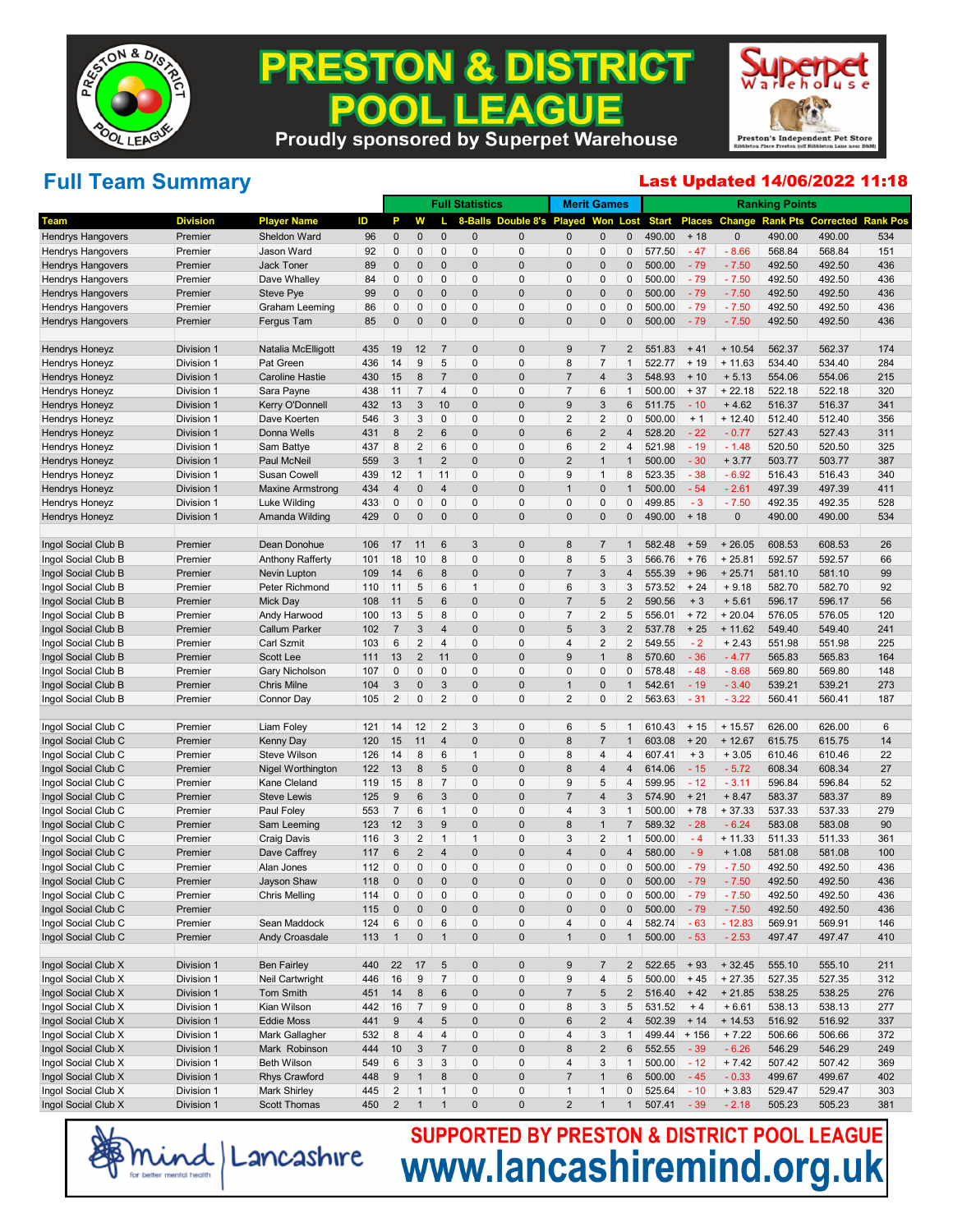

### **PRESTON & DISTRICT** . LEAGUE 200 **Proudly sponsored by Superpet Warehouse**



# **Full Team Summary**

#### Last Updated 14/06/2022 11:18

|                          |                 |                         |     |                 |                         |                | <b>Full Statistics</b> |                                    |                  | <b>Merit Games</b>      |                |                |               |             | <b>Ranking Points</b> |                  |                 |
|--------------------------|-----------------|-------------------------|-----|-----------------|-------------------------|----------------|------------------------|------------------------------------|------------------|-------------------------|----------------|----------------|---------------|-------------|-----------------------|------------------|-----------------|
| Team                     | <b>Division</b> | <b>Player Name</b>      | ID  | P               | w                       |                |                        | 8-Balls Double 8's Played Won Lost |                  |                         |                | <b>Start</b>   | <b>Places</b> | Change      | <b>Rank Pts</b>       | <b>Corrected</b> | <b>Rank Pos</b> |
| <b>Hendrys Hangovers</b> | Premier         | Sheldon Ward            | 96  | $\mathbf 0$     | 0                       | $\mathbf{0}$   | $\mathbf 0$            | $\mathbf 0$                        | $\Omega$         | 0                       | $\mathbf{0}$   | 490.00         | $+18$         | $\mathbf 0$ | 490.00                | 490.00           | 534             |
| <b>Hendrys Hangovers</b> | Premier         | Jason Ward              | 92  | $\mathbf{0}$    | 0                       | 0              | 0                      | 0                                  | $\mathbf{0}$     | 0                       | 0              | 577.50         | $-47$         | $-8.66$     | 568.84                | 568.84           | 151             |
| <b>Hendrys Hangovers</b> | Premier         | <b>Jack Toner</b>       | 89  | 0               | $\mathbf{0}$            | $\mathbf{0}$   | $\mathbf 0$            | $\mathbf 0$                        | $\Omega$         | $\overline{0}$          | $\mathbf{0}$   | 500.00         | $-79$         | $-7.50$     | 492.50                | 492.50           | 436             |
| <b>Hendrys Hangovers</b> | Premier         | Dave Whalley            | 84  | $\mathbf{0}$    | 0                       | $\mathbf{0}$   | 0                      | 0                                  | $\Omega$         | $\mathbf 0$             | 0              | 500.00         | $-79$         | $-7.50$     | 492.50                | 492.50           | 436             |
| <b>Hendrys Hangovers</b> | Premier         | Steve Pye               | 99  | $\overline{0}$  | $\mathbf{0}$            | $\mathbf{0}$   | $\mathbf 0$            | $\mathbf 0$                        | $\Omega$         | $\overline{0}$          | $\mathbf{0}$   | 500.00         | $-79$         | $-7.50$     | 492.50                | 492.50           | 436             |
| <b>Hendrys Hangovers</b> | Premier         | Graham Leeming          | 86  | $\mathbf{0}$    | 0                       | $\mathbf{0}$   | $\Omega$               | 0                                  | $\mathbf{0}$     | 0                       | 0              | 500.00         | $-79$         | $-7.50$     | 492.50                | 492.50           | 436             |
| <b>Hendrys Hangovers</b> | Premier         | Fergus Tam              | 85  | 0               | $\mathbf{0}$            | $\pmb{0}$      | $\mathbf 0$            | $\Omega$                           | $\Omega$         | $\overline{0}$          | $\mathbf{0}$   | 500.00         | $-79$         | $-7.50$     | 492.50                | 492.50           | 436             |
| <b>Hendrys Honeyz</b>    | Division 1      | Natalia McElligott      | 435 | 19              | 12                      | $\overline{7}$ | $\mathbf 0$            | $\mathbf 0$                        | 9                | $\overline{7}$          | $\overline{2}$ | 551.83         | $+41$         | $+10.54$    | 562.37                | 562.37           | 174             |
| <b>Hendrys Honeyz</b>    | Division 1      | Pat Green               | 436 | 14              | 9                       | 5              | 0                      | 0                                  | 8                | 7                       | $\mathbf{1}$   | 522.77         | $+19$         | $+ 11.63$   | 534.40                | 534.40           | 284             |
| <b>Hendrys Honeyz</b>    | Division 1      | <b>Caroline Hastie</b>  | 430 | 15              | 8                       | $\overline{7}$ | $\mathbf 0$            | $\mathbf 0$                        | 7                | 4                       | 3              | 548.93         | $+10$         | $+5.13$     | 554.06                | 554.06           | 215             |
| Hendrys Honeyz           | Division 1      | Sara Payne              | 438 | 11              | $\overline{7}$          | $\overline{4}$ | 0                      | 0                                  | $\overline{7}$   | 6                       | $\mathbf{1}$   | 500.00         | $+37$         | $+22.18$    | 522.18                | 522.18           | 320             |
| <b>Hendrys Honeyz</b>    | Division 1      | Kerry O'Donnell         | 432 | 13              | 3                       | 10             | $\mathbf 0$            | $\mathbf 0$                        | 9                | 3                       | 6              | 511.75         | $-10$         | $+4.62$     | 516.37                | 516.37           | 341             |
| Hendrys Honeyz           | Division 1      | Dave Koerten            | 546 | 3               | 3                       | 0              | $\Omega$               | $\Omega$                           | $\overline{2}$   | $\sqrt{2}$              | 0              | 500.00         | $+1$          | $+12.40$    | 512.40                | 512.40           | 356             |
| <b>Hendrys Honeyz</b>    | Division 1      | Donna Wells             | 431 | 8               | $\overline{2}$          | 6              | $\mathbf 0$            | $\mathbf 0$                        | 6                | $\overline{\mathbf{c}}$ | $\overline{4}$ | 528.20         | $-22$         | $-0.77$     | 527.43                | 527.43           | 311             |
| Hendrys Honeyz           | Division 1      | Sam Battye              | 437 | 8               | $\overline{2}$          | 6              | 0                      | 0                                  | 6                | $\overline{2}$          | 4              | 521.98         | $-19$         | $-1.48$     | 520.50                | 520.50           | 325             |
| <b>Hendrys Honeyz</b>    | Division 1      | Paul McNeil             | 559 | 3               | $\mathbf{1}$            | $\overline{2}$ | $\mathbf 0$            | $\mathbf 0$                        | $\overline{2}$   | $\mathbf 1$             | $\mathbf{1}$   | 500.00         | $-30$         | $+3.77$     | 503.77                | 503.77           | 387             |
| Hendrys Honeyz           | Division 1      | <b>Susan Cowell</b>     | 439 | 12              | $\mathbf{1}$            | 11             | 0                      | $\Omega$                           | 9                | $\mathbf{1}$            | 8              | 523.35         | $-38$         | $-6.92$     | 516.43                | 516.43           | 340             |
| <b>Hendrys Honeyz</b>    | Division 1      | <b>Maxine Armstrong</b> | 434 | 4               | $\mathbf{0}$            | $\overline{4}$ | $\mathbf 0$            | $\mathbf 0$                        |                  | $\overline{0}$          | $\mathbf{1}$   | 500.00         | $-54$         | $-2.61$     | 497.39                | 497.39           | 411             |
| <b>Hendrys Honeyz</b>    | Division 1      | <b>Luke Wilding</b>     | 433 | 0               | $\mathbf 0$             | $\mathbf{0}$   | 0                      | 0                                  | $\Omega$         | $\mathbf 0$             | 0              | 499.85         | $-3$          | $-7.50$     | 492.35                | 492.35           | 528             |
| <b>Hendrys Honeyz</b>    | Division 1      | Amanda Wilding          | 429 | $\mathbf 0$     | $\mathbf{0}$            | $\mathbf{0}$   | $\mathbf 0$            | $\Omega$                           | $\Omega$         | $\overline{0}$          | $\mathbf{0}$   | 490.00         | $+18$         | $\pmb{0}$   | 490.00                | 490.00           | 534             |
| Ingol Social Club B      | Premier         | Dean Donohue            | 106 | 17              | 11                      | 6              | 3                      | $\mathbf 0$                        | 8                | 7                       | 1              | 582.48         | $+59$         | $+26.05$    | 608.53                | 608.53           | 26              |
| Ingol Social Club B      | Premier         | <b>Anthony Rafferty</b> | 101 | 18              | 10                      | 8              | $\overline{0}$         | 0                                  | 8                | 5                       | 3              | 566.76         | $+76$         | $+25.81$    | 592.57                | 592.57           | 66              |
| Ingol Social Club B      | Premier         | Nevin Lupton            | 109 | 14              | $6\phantom{1}$          | 8              | $\mathbf 0$            | $\mathbf 0$                        | 7                | 3                       | $\overline{4}$ | 555.39         | $+96$         | $+25.71$    | 581.10                | 581.10           | 99              |
| Ingol Social Club B      | Premier         | Peter Richmond          | 110 | 11              | 5                       | 6              | $\mathbf{1}$           | $\Omega$                           | 6                | 3                       | 3              | 573.52         | $+24$         | $+9.18$     | 582.70                | 582.70           | 92              |
| Ingol Social Club B      | Premier         | <b>Mick Day</b>         | 108 | 11              | 5                       | $6\phantom{1}$ | $\mathbf 0$            | $\mathbf 0$                        | 7                | 5                       | $\overline{2}$ | 590.56         | $+3$          | $+5.61$     | 596.17                | 596.17           | 56              |
| Ingol Social Club B      | Premier         | Andy Harwood            | 100 | 13              | 5                       | 8              | 0                      | 0                                  | $\overline{7}$   | $\overline{2}$          | 5              | 556.01         | $+72$         | $+20.04$    | 576.05                | 576.05           | 120             |
| Ingol Social Club B      | Premier         | <b>Callum Parker</b>    | 102 | $\overline{7}$  | 3                       | $\overline{4}$ | $\mathbf 0$            | $\mathbf 0$                        | 5                | 3                       | $\overline{2}$ | 537.78         | $+25$         | $+11.62$    | 549.40                | 549.40           | 241             |
| Ingol Social Club B      | Premier         | Carl Szmit              | 103 | 6               | 2                       | $\overline{4}$ | $\Omega$               | $\Omega$                           | $\overline{4}$   | $\overline{c}$          | 2              | 549.55         | $-2$          | $+2.43$     | 551.98                | 551.98           | 225             |
| Ingol Social Club B      | Premier         | Scott Lee               | 111 | 13              | $\overline{2}$          | 11             | $\mathbf 0$            | $\mathbf 0$                        | 9                | 1                       | 8              | 570.60         | $-36$         | $-4.77$     | 565.83                | 565.83           | 164             |
| Ingol Social Club B      | Premier         | Gary Nicholson          | 107 | $\mathbf{0}$    | 0                       | $\mathbf{0}$   | 0                      | 0                                  | $\Omega$         | $\mathbf 0$             | 0              | 578.48         | $-48$         | $-8.68$     | 569.80                | 569.80           | 148             |
| Ingol Social Club B      | Premier         | Chris Milne             | 104 | 3               | $\pmb{0}$               | 3              | $\overline{0}$         | $\mathbf 0$                        | 1                | $\overline{0}$          | $\mathbf{1}$   | 542.61         | $-19$         | $-3.40$     | 539.21                | 539.21           | 273             |
| Ingol Social Club B      | Premier         | Connor Day              | 105 | $\sqrt{2}$      | 0                       | $\overline{2}$ | $\Omega$               | $\Omega$                           | $\overline{2}$   | $\mathbf 0$             | 2              | 563.63         | $-31$         | $-3.22$     | 560.41                | 560.41           | 187             |
| Ingol Social Club C      | Premier         | Liam Foley              | 121 | 14              | 12                      | 2              | 3                      | 0                                  | 6                | 5                       | $\mathbf{1}$   | 610.43         | $+15$         | $+15.57$    | 626.00                | 626.00           | 6               |
| Ingol Social Club C      | Premier         | <b>Kenny Day</b>        | 120 | 15              | 11                      | $\overline{4}$ | $\mathbf 0$            | $\mathbf 0$                        | 8                | $\overline{7}$          | $\mathbf{1}$   | 603.08         | $+20$         | $+12.67$    | 615.75                | 615.75           | 14              |
| Ingol Social Club C      | Premier         | Steve Wilson            | 126 | 14              | 8                       | 6              | $\mathbf{1}$           | $\Omega$                           | 8                | 4                       | 4              | 607.41         | $+3$          | $+3.05$     | 610.46                | 610.46           | 22              |
| Ingol Social Club C      | Premier         | Nigel Worthington       | 122 | 13              | 8                       | 5              | $\mathbf 0$            | $\mathbf 0$                        | 8                | $\overline{4}$          | 4              | 614.06         | $-15$         | $-5.72$     | 608.34                | 608.34           | 27              |
| Ingol Social Club C      | Premier         | Kane Cleland            | 119 | 15              | 8                       | $\overline{7}$ | 0                      | 0                                  | 9                | 5                       | 4              | 599.95         | $-12$         | $-3.11$     | 596.84                | 596.84           | 52              |
| Ingol Social Club C      | Premier         | <b>Steve Lewis</b>      | 125 | 9               | $6\phantom{1}$          | 3              | $\mathbf 0$            | $\mathbf 0$                        | 7                | 4                       | 3              | 574.90         | $+21$         | $+8.47$     | 583.37                | 583.37           | 89              |
| Ingol Social Club C      | Premier         | Paul Foley              | 553 | $\overline{7}$  | 6                       | $\mathbf{1}$   | $\Omega$               | $\Omega$                           | $\overline{4}$   | 3                       | $\mathbf 1$    | 500.00         | $+78$         | $+37.33$    | 537.33                | 537.33           | 279             |
| Ingol Social Club C      | Premier         | Sam Leeming             | 123 | 12              | 3                       | 9              | $\mathbf 0$            | $\mathbf 0$                        | 8                | 1                       | $\overline{7}$ | 589.32         | $-28$         | $-6.24$     | 583.08                | 583.08           | 90              |
| Ingol Social Club C      | Premier         | <b>Craig Davis</b>      | 116 | 3               | 2                       | $\mathbf{1}$   | $\mathbf{1}$           | 0                                  | 3                | $\overline{2}$          | $\mathbf{1}$   | 500.00         | $-4$          | $+11.33$    | 511.33                | 511.33           | 361             |
| Ingol Social Club C      | Premier         | Dave Caffrey            | 117 | $6\phantom{1}6$ | $\overline{2}$          | $\overline{4}$ | $\mathbf 0$            | $\mathbf 0$                        | $\overline{4}$   | $\overline{0}$          | 4              | 580.00         | $-9$          | $+1.08$     | 581.08                | 581.08           | 100             |
| Ingol Social Club C      | Premier         | Alan Jones              | 112 | $\mathbf{0}$    | 0                       | 0              | $\Omega$               | $\Omega$                           | $\Omega$         | $\mathbf{0}$            | $\Omega$       | 500.00         | $-79$         | $-7.50$     | 492.50                | 492.50           | 436             |
| Ingol Social Club C      | Premier         | Jayson Shaw             | 118 | $\mathbf{0}$    | $\Omega$                | $\Omega$       | $\Omega$               | $\Omega$                           | $\Omega$         | $\Omega$                | $\Omega$       | 500.00         | $-79$         | $-7.50$     | 492.50                | 492.50           | 436             |
| Ingol Social Club C      | Premier         | Chris Melling           | 114 | $\pmb{0}$       | 0                       | $\pmb{0}$      |                        |                                    |                  |                         |                | 500.00         | - 79          | $-7.50$     | 492.50                | 492.50           | 436             |
| Ingol Social Club C      | Premier         |                         | 115 | $\bf{0}$        | $\pmb{0}$               | $\pmb{0}$      | 0                      | 0                                  | $\mathbf 0$      | 0                       | 0              | 500.00         | $-79$         | $-7.50$     | 492.50                | 492.50           | 436             |
| Ingol Social Club C      | Premier         | Sean Maddock            | 124 | 6               | 0                       | 6              | $\mathbf{0}$           | 0                                  | 4                | $\pmb{0}$               | 4              | 582.74         | $-63$         | $-12.83$    | 569.91                | 569.91           | 146             |
| Ingol Social Club C      | Premier         | Andy Croasdale          | 113 | $\mathbf{1}$    | 0                       | $\mathbf{1}$   | $\pmb{0}$              | $\pmb{0}$                          | $\overline{1}$   | $\pmb{0}$               | $\mathbf{1}$   | 500.00         | $-53$         | $-2.53$     | 497.47                | 497.47           | 410             |
| Ingol Social Club X      | Division 1      | <b>Ben Fairley</b>      | 440 | 22              | 17                      | $\sqrt{5}$     | 0                      | 0                                  | 9                | 7                       | $\overline{2}$ | 522.65         | $+93$         | $+32.45$    | 555.10                | 555.10           | 211             |
| Ingol Social Club X      | Division 1      | Neil Cartwright         | 446 | 16              | 9                       | $\overline{7}$ | $\pmb{0}$              | $\pmb{0}$                          | 9                | 4                       | 5              | 500.00         | $+45$         | $+27.35$    | 527.35                | 527.35           | 312             |
| Ingol Social Club X      | Division 1      | Tom Smith               | 451 | 14              | 8                       | 6              | $\pmb{0}$              | 0                                  | $\overline{7}$   | 5                       | $\overline{2}$ | 516.40         | $+42$         | $+21.85$    | 538.25                | 538.25           | 276             |
| Ingol Social Club X      | Division 1      | Kian Wilson             | 442 | 16              | $\overline{7}$          | 9              | $\pmb{0}$              | $\pmb{0}$                          | 8                | 3                       | 5              | 531.52         | $+4$          | $+6.61$     | 538.13                | 538.13           | 277             |
| Ingol Social Club X      | Division 1      | <b>Eddie Moss</b>       | 441 | $9\,$           | $\overline{\mathbf{4}}$ | 5              | $\pmb{0}$              | $\pmb{0}$                          | 6                | 2                       | 4              | 502.39         | $+14$         | $+14.53$    | 516.92                | 516.92           | 337             |
| Ingol Social Club X      | Division 1      | Mark Gallagher          | 532 | 8               | $\overline{4}$          | $\overline{4}$ | $\pmb{0}$              | $\pmb{0}$                          | $\sqrt{4}$       | 3                       | $\mathbf{1}$   | $499.44 + 156$ |               | $+7.22$     | 506.66                | 506.66           | 372             |
| Ingol Social Club X      | Division 1      | Mark Robinson           | 444 | 10              | $\mathsf 3$             | $\overline{7}$ | $\mathbf{0}$           | $\pmb{0}$                          | $\bf 8$          | 2                       | 6              | 552.55         | $-39$         | $-6.26$     | 546.29                | 546.29           | 249             |
| Ingol Social Club X      | Division 1      | <b>Beth Wilson</b>      | 549 | 6               | 3                       | 3              | $\pmb{0}$              | $\pmb{0}$                          | $\sqrt{4}$       | 3                       | $\mathbf{1}$   | 500.00         | $-12$         | $+7.42$     | 507.42                | 507.42           | 369             |
| Ingol Social Club X      | Division 1      | <b>Rhys Crawford</b>    | 448 | $9\,$           | $\mathbf{1}$            | 8              | 0                      | $\pmb{0}$                          | $\boldsymbol{7}$ | $\mathbf 1$             | 6              | 500.00         | $-45$         | $-0.33$     | 499.67                | 499.67           | 402             |
| Ingol Social Club X      | Division 1      | Mark Shirley            | 445 | $\overline{2}$  | $\mathbf{1}$            | $\overline{1}$ | $\pmb{0}$              | $\pmb{0}$                          | $\mathbf{1}$     | $\mathbf{1}$            | 0              | 525.64         | $-10$         | $+3.83$     | 529.47                | 529.47           | 303             |
| Ingol Social Club X      | Division 1      | <b>Scott Thomas</b>     | 450 | $\overline{2}$  | $\mathbf{1}$            | $\overline{1}$ | $\pmb{0}$              | $\pmb{0}$                          | $\sqrt{2}$       | $\mathbf 1$             | 1              | 507.41         | $-39$         | $-2.18$     | 505.23                | 505.23           | 381             |

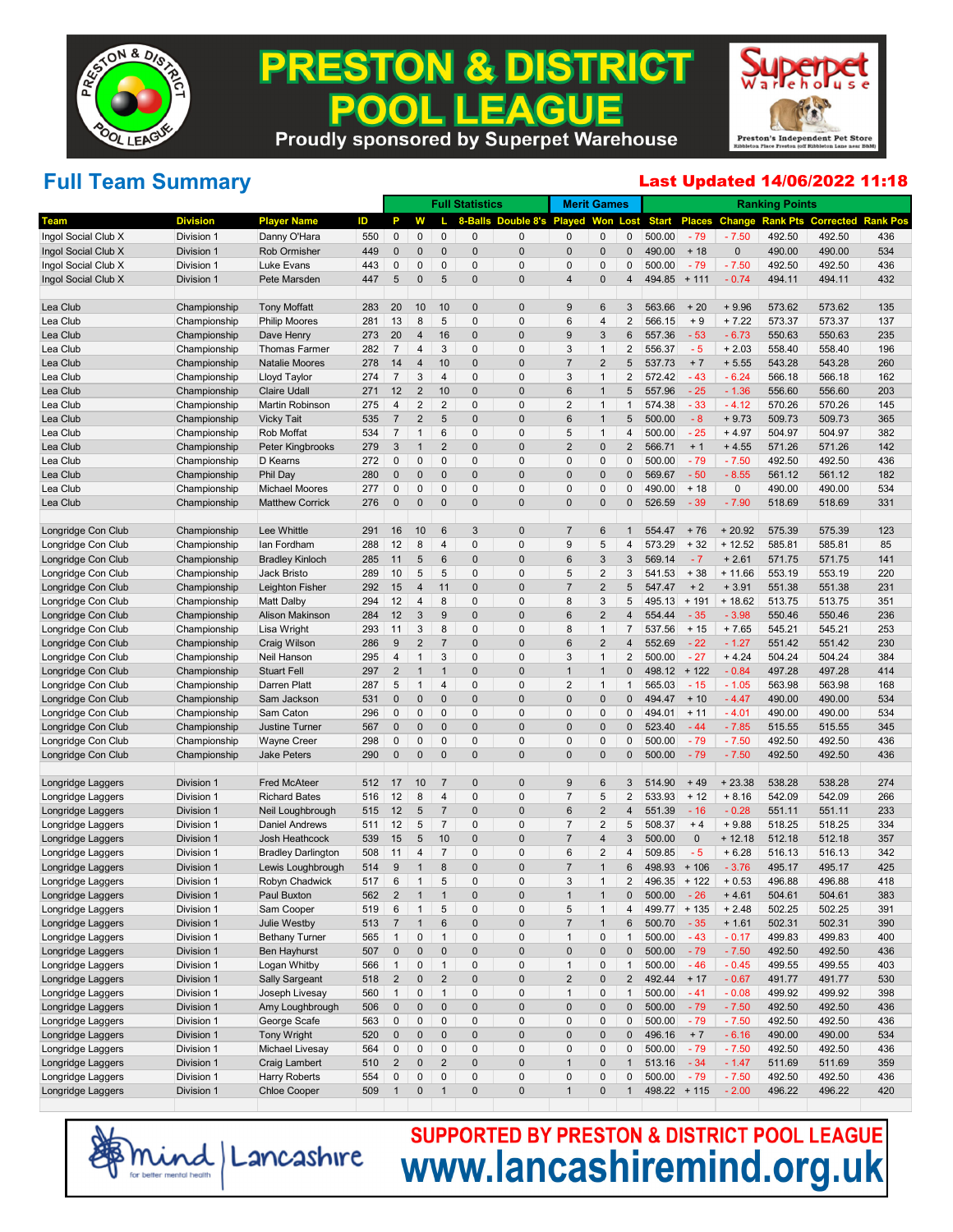

#### **PRESTON & DISTRICT EAGUE** P  $\bullet$ П **Proudly sponsored by Superpet Warehouse**



# **Full Team Summary**

#### Last Updated 14/06/2022 11:18

|                     |                 |                           |     |                |                |                 | <b>Full Statistics</b> |                   | <b>Merit Games</b> |                |                |                |               |               | <b>Ranking Points</b> |                  |                 |
|---------------------|-----------------|---------------------------|-----|----------------|----------------|-----------------|------------------------|-------------------|--------------------|----------------|----------------|----------------|---------------|---------------|-----------------------|------------------|-----------------|
| <b>Team</b>         | <b>Division</b> | <b>Player Name</b>        | ID  | Р              | w              |                 | 8-Balls                | Double 8's Played |                    | Won            | Lost           | <b>Start</b>   | <b>Places</b> | <b>Change</b> | <b>Rank Pts</b>       | <b>Corrected</b> | <b>Rank Pos</b> |
| Ingol Social Club X | Division 1      | Danny O'Hara              | 550 | 0              | 0              | $\mathbf{0}$    | 0                      | 0                 | $\mathbf 0$        | 0              | 0              | 500.00         | $-79$         | $-7.50$       | 492.50                | 492.50           | 436             |
| Ingol Social Club X | Division 1      | Rob Ormisher              | 449 | 0              | $\overline{0}$ | $\mathbf{0}$    | $\pmb{0}$              | $\overline{0}$    | $\mathbf 0$        | $\pmb{0}$      | 0              | 490.00         | $+18$         | $\mathbf{0}$  | 490.00                | 490.00           | 534             |
| Ingol Social Club X | Division 1      | Luke Evans                | 443 | 0              | 0              | 0               | 0                      | 0                 | $\mathbf 0$        | 0              | 0              | 500.00         | $-79$         | $-7.50$       | 492.50                | 492.50           | 436             |
| Ingol Social Club X | Division 1      | Pete Marsden              | 447 | 5              | $\mathbf 0$    | 5               | $\pmb{0}$              | $\mathbf 0$       | $\overline{4}$     | $\mathbf 0$    | $\overline{4}$ | 494.85         | $+ 111$       | $-0.74$       | 494.11                | 494.11           | 432             |
|                     |                 |                           |     |                |                | 10              | 0                      | $\mathbf 0$       | 9                  | 6              | 3              | 563.66         | $+20$         |               |                       |                  |                 |
| Lea Club            | Championship    | <b>Tony Moffatt</b>       | 283 | 20             | 10             |                 |                        |                   |                    |                |                |                |               | $+9.96$       | 573.62                | 573.62           | 135             |
| Lea Club            | Championship    | <b>Philip Moores</b>      | 281 | 13             | 8              | 5               | $\pmb{0}$              | 0                 | 6                  | 4              | 2              | 566.15         | $+9$          | $+7.22$       | 573.37                | 573.37           | 137             |
| Lea Club            | Championship    | Dave Henry                | 273 | 20             | 4              | 16              | 0                      | $\mathbf 0$       | 9                  | 3              | 6              | 557.36         | $-53$         | $-6.73$       | 550.63                | 550.63           | 235             |
| Lea Club            | Championship    | <b>Thomas Farmer</b>      | 282 | 7              | $\overline{4}$ | 3               | 0                      | $\mathbf 0$       | 3                  | $\mathbf{1}$   | $\overline{2}$ | 556.37         | $-5$          | $+2.03$       | 558.40                | 558.40           | 196             |
| Lea Club            | Championship    | <b>Natalie Moores</b>     | 278 | 14             | 4              | 10              | $\pmb{0}$              | $\mathbf 0$       | $\overline{7}$     | $\overline{2}$ | 5              | 537.73         | $+7$          | $+5.55$       | 543.28                | 543.28           | 260             |
| Lea Club            | Championship    | Lloyd Taylor              | 274 | $\overline{7}$ | 3              | $\overline{4}$  | $\pmb{0}$              | 0                 | 3                  | $\mathbf{1}$   | $\overline{2}$ | 572.42         | $-43$         | $-6.24$       | 566.18                | 566.18           | 162             |
| Lea Club            | Championship    | <b>Claire Udall</b>       | 271 | 12             | $\overline{2}$ | 10              | $\pmb{0}$              | $\mathbf 0$       | $6\phantom{1}6$    | $\mathbf{1}$   | 5              | 557.96         | $-25$         | $-1.36$       | 556.60                | 556.60           | 203             |
| Lea Club            | Championship    | Martin Robinson           | 275 | $\overline{4}$ | $\overline{2}$ | $\overline{2}$  | 0                      | $\mathbf 0$       | $\overline{2}$     | $\mathbf{1}$   | $\mathbf 1$    | 574.38         | $-33$         | $-4.12$       | 570.26                | 570.26           | 145             |
| Lea Club            | Championship    | <b>Vicky Tait</b>         | 535 | $\overline{7}$ | $\overline{2}$ | 5               | $\pmb{0}$              | $\mathbf 0$       | $6\phantom{1}6$    | $\mathbf{1}$   | 5              | 500.00         | $-8$          | $+9.73$       | 509.73                | 509.73           | 365             |
| Lea Club            | Championship    | Rob Moffat                | 534 | $\overline{7}$ | $\mathbf{1}$   | 6               | 0                      | $\mathbf 0$       | 5                  | $\mathbf{1}$   | $\overline{4}$ | 500.00         | $-25$         | $+4.97$       | 504.97                | 504.97           | 382             |
| Lea Club            | Championship    | Peter Kingbrooks          | 279 | 3              | 1              | $\overline{2}$  | $\pmb{0}$              | $\mathbf 0$       | $\overline{2}$     | $\pmb{0}$      | $\overline{2}$ | 566.71         | $+1$          | $+4.55$       | 571.26                | 571.26           | 142             |
| Lea Club            | Championship    | D Kearns                  | 272 | 0              | 0              | 0               | 0                      | 0                 | $\mathbf 0$        | 0              | 0              | 500.00         | $-79$         | $-7.50$       | 492.50                | 492.50           | 436             |
| Lea Club            | Championship    | Phil Day                  | 280 | $\mathbf 0$    | $\mathbf{0}$   | $\mathbf{0}$    | $\pmb{0}$              | $\mathbf 0$       | $\mathbf 0$        | $\mathbf 0$    | 0              | 569.67         | $-50$         | $-8.55$       | 561.12                | 561.12           | 182             |
| Lea Club            | Championship    | <b>Michael Moores</b>     | 277 | 0              | 0              | 0               | 0                      | $\mathbf 0$       | $\mathbf 0$        | $\pmb{0}$      | $\Omega$       | 490.00         | $+18$         | 0             | 490.00                | 490.00           | 534             |
| Lea Club            | Championship    | <b>Matthew Corrick</b>    | 276 | $\mathbf 0$    | $\mathbf 0$    | $\mathbf{0}$    | $\pmb{0}$              | $\mathbf 0$       | $\mathbf 0$        | $\pmb{0}$      | 0              | 526.59         | $-39$         | $-7.90$       | 518.69                | 518.69           | 331             |
| Longridge Con Club  | Championship    | Lee Whittle               | 291 | 16             | 10             | $6\phantom{1}6$ | 3                      | $\mathbf{0}$      | $\overline{7}$     | 6              | 1              | 554.47         | $+76$         | $+20.92$      | 575.39                | 575.39           | 123             |
| Longridge Con Club  | Championship    | lan Fordham               | 288 | 12             | 8              | 4               | 0                      | $\mathbf 0$       | 9                  | 5              | $\overline{4}$ | 573.29         | $+32$         | $+12.52$      | 585.81                | 585.81           | 85              |
| Longridge Con Club  | Championship    | <b>Bradley Kinloch</b>    | 285 | 11             | 5              | $6\phantom{1}6$ | 0                      | $\mathbf 0$       | $6\phantom{1}6$    | 3              | 3              | 569.14         | $-7$          | $+2.61$       | 571.75                | 571.75           | 141             |
| Longridge Con Club  | Championship    | Jack Bristo               | 289 | 10             | 5              | 5               | 0                      | $\mathbf 0$       | 5                  | $\overline{2}$ | 3              | 541.53         | $+38$         | $+11.66$      | 553.19                | 553.19           | 220             |
| Longridge Con Club  | Championship    | Leighton Fisher           | 292 | 15             | 4              | 11              | $\overline{0}$         | $\overline{0}$    | $\overline{7}$     | $\overline{2}$ | 5              | 547.47         | $+2$          | $+3.91$       | 551.38                | 551.38           | 231             |
| Longridge Con Club  | Championship    | <b>Matt Dalby</b>         | 294 | 12             | $\overline{4}$ | 8               | 0                      | 0                 | 8                  | 3              | 5              | 495.13         | $+191$        | $+18.62$      | 513.75                | 513.75           | 351             |
| Longridge Con Club  | Championship    | Alison Makinson           | 284 | 12             | 3              | 9               | $\pmb{0}$              | $\mathbf 0$       | $6\phantom{1}6$    | $\overline{2}$ | $\overline{4}$ | 554.44         | $-35$         | $-3.98$       | 550.46                | 550.46           | 236             |
| Longridge Con Club  | Championship    | Lisa Wright               | 293 | 11             | 3              | 8               | $\pmb{0}$              | $\mathbf 0$       | 8                  | $\mathbf{1}$   | $\overline{7}$ | 537.56         | $+15$         | $+7.65$       | 545.21                | 545.21           | 253             |
| Longridge Con Club  | Championship    | Craig Wilson              | 286 | 9              | $\overline{2}$ | $\overline{7}$  | $\pmb{0}$              | $\mathbf 0$       | $6\phantom{1}6$    | $\overline{2}$ | $\overline{4}$ | 552.69         | $-22$         | $-1.27$       | 551.42                | 551.42           | 230             |
| Longridge Con Club  | Championship    | Neil Hanson               | 295 | $\overline{4}$ | $\mathbf{1}$   | 3               | 0                      | 0                 | 3                  | $\mathbf{1}$   | 2              | 500.00         | $-27$         | $+4.24$       | 504.24                | 504.24           | 384             |
| Longridge Con Club  | Championship    | <b>Stuart Fell</b>        | 297 | $\overline{2}$ | 1              | $\overline{1}$  | $\pmb{0}$              | $\mathbf 0$       | $\overline{1}$     | $\mathbf{1}$   | $\mathbf{0}$   | 498.12         | $+122$        | $-0.84$       | 497.28                | 497.28           | 414             |
| Longridge Con Club  | Championship    | Darren Platt              | 287 | 5              | $\mathbf{1}$   | $\overline{4}$  | 0                      | $\mathbf 0$       | $\overline{2}$     | $\mathbf{1}$   | $\mathbf{1}$   | 565.03         | $-15$         | $-1.05$       | 563.98                | 563.98           | 168             |
| Longridge Con Club  | Championship    | Sam Jackson               | 531 | $\mathbf 0$    | $\mathbf{0}$   | $\mathbf{0}$    | $\pmb{0}$              | $\mathbf 0$       | $\mathbf 0$        | $\pmb{0}$      | 0              | 494.47         | $+10$         | $-4.47$       | 490.00                | 490.00           | 534             |
| Longridge Con Club  | Championship    | Sam Caton                 | 296 | 0              | 0              | 0               | 0                      | 0                 | $\mathbf 0$        | 0              | 0              | 494.01         | $+ 11$        | $-4.01$       | 490.00                | 490.00           | 534             |
| Longridge Con Club  | Championship    | Justine Turner            | 567 | $\mathbf 0$    | $\mathbf{0}$   | $\mathbf{0}$    | $\pmb{0}$              | $\mathbf 0$       | $\mathbf 0$        | $\mathbf 0$    | $\mathbf{0}$   | 523.40         | $-44$         | $-7.85$       | 515.55                | 515.55           | 345             |
| Longridge Con Club  | Championship    | <b>Wayne Creer</b>        | 298 | 0              | 0              | 0               | 0                      | $\mathbf 0$       | $\mathbf 0$        | $\pmb{0}$      | 0              | 500.00         | $-79$         | $-7.50$       | 492.50                | 492.50           | 436             |
| Longridge Con Club  | Championship    | Jake Peters               | 290 | $\mathbf 0$    | $\mathbf{0}$   | $\mathbf{0}$    | $\pmb{0}$              | $\overline{0}$    | $\overline{0}$     | $\mathbf 0$    | 0              | 500.00         | $-79$         | $-7.50$       | 492.50                | 492.50           | 436             |
|                     |                 |                           |     |                |                |                 |                        |                   |                    |                |                |                |               |               |                       |                  |                 |
| Longridge Laggers   | Division 1      | <b>Fred McAteer</b>       | 512 | 17             | 10             | $\overline{7}$  | 0                      | $\mathbf 0$       | 9                  | 6              | 3              | 514.90         | $+49$         | $+23.38$      | 538.28                | 538.28           | 274             |
| Longridge Laggers   | Division 1      | <b>Richard Bates</b>      | 516 | 12             | 8              | $\overline{4}$  | 0                      | $\mathbf 0$       | $\overline{7}$     | 5              | 2              | 533.93         | $+12$         | $+8.16$       | 542.09                | 542.09           | 266             |
| Longridge Laggers   | Division 1      | Neil Loughbrough          | 515 | 12             | 5              | $\overline{7}$  | 0                      | $\mathbf 0$       | $6\phantom{1}6$    | $\overline{2}$ | 4              | 551.39         | $-16$         | $-0.28$       | 551.11                | 551.11           | 233             |
| Longridge Laggers   | Division 1      | <b>Daniel Andrews</b>     | 511 | 12             | 5              | $\overline{7}$  | 0                      | 0                 | $\overline{7}$     | $\overline{2}$ | 5              | 508.37         | $+4$          | $+9.88$       | 518.25                | 518.25           | 334             |
| Longridge Laggers   | Division 1      | Josh Heathcock            | 539 | 15             | 5              | 10              | 0                      | $\mathbf 0$       | $\overline{7}$     | 4              | 3              | 500.00         | $\pmb{0}$     | $+12.18$      | 512.18                | 512.18           | 357             |
| Longridge Laggers   | Division 1      | <b>Bradley Darlington</b> | 508 | 11             | $\overline{4}$ | $\overline{7}$  | 0                      | 0                 | 6                  | $\overline{2}$ | 4              | 509.85         | $-5$          | $+6.28$       | 516.13                | 516.13           | 342             |
| Longridge Laggers   | Division 1      | Lewis Loughbrough         | 514 | 9              | 1              | 8               | $\pmb{0}$              | $\mathbf 0$       | $\overline{7}$     | $\mathbf{1}$   | 6              | 498.93         | $+106$        | $-3.76$       | 495.17                | 495.17           | 425             |
| Longridge Laggers   | Division 1      | Robyn Chadwick            | 517 | 6              | $\mathbf{1}$   | 5               | 0                      | $\mathbf 0$       | 3                  | $\mathbf{1}$   | $\overline{2}$ | 496.35         | $+122$        | $+0.53$       | 496.88                | 496.88           | 418             |
| Longridge Laggers   | Division 1      | Paul Buxton               | 562 | $\overline{2}$ | $\mathbf{1}$   | $\overline{1}$  | $\Omega$               | $\overline{0}$    | $\overline{1}$     | $\overline{1}$ | $\Omega$       | 500.00         | 26            | $+4.61$       | 504.61                | 504.61           | 383             |
| Longridge Laggers   | Division 1      | Sam Cooper                | 519 | 6              | $\mathbf{1}$   | 5               | 0                      | $\mathbf 0$       | 5                  | $\mathbf{1}$   | 4              | $499.77 + 135$ |               | $+2.48$       | 502.25                | 502.25           | 391             |
| Longridge Laggers   | Division 1      | Julie Westby              | 513 | $\overline{7}$ |                | $\,6$           | $\pmb{0}$              | $\overline{0}$    | $\overline{7}$     | $\mathbf{1}$   | 6              | 500.70         | $-35$         | $+ 1.61$      | 502.31                | 502.31           | 390             |
| Longridge Laggers   | Division 1      | <b>Bethany Turner</b>     | 565 | $\mathbf{1}$   | $\pmb{0}$      | $\mathbf{1}$    | 0                      | $\mathbf 0$       | $\mathbf{1}$       | $\pmb{0}$      | $\mathbf{1}$   | 500.00         | $-43$         | $-0.17$       | 499.83                | 499.83           | 400             |
| Longridge Laggers   | Division 1      | Ben Hayhurst              | 507 | $\pmb{0}$      | $\pmb{0}$      | $\pmb{0}$       | $\pmb{0}$              | $\pmb{0}$         | $\mathbf 0$        | $\pmb{0}$      | 0              | 500.00         | $-79$         | $-7.50$       | 492.50                | 492.50           | 436             |
| Longridge Laggers   | Division 1      | Logan Whitby              | 566 | $\mathbf{1}$   | $\pmb{0}$      | $\mathbf{1}$    | 0                      | $\mathbf 0$       | $\mathbf{1}$       | $\pmb{0}$      | $\mathbf{1}$   | 500.00         | $-46$         | $-0.45$       | 499.55                | 499.55           | 403             |
| Longridge Laggers   | Division 1      | <b>Sally Sargeant</b>     | 518 | $\sqrt{2}$     | $\pmb{0}$      | $\overline{2}$  | $\pmb{0}$              | $\pmb{0}$         | $\sqrt{2}$         | $\pmb{0}$      | $\overline{2}$ | 492.44         | $+17$         | $-0.67$       | 491.77                | 491.77           | 530             |
| Longridge Laggers   | Division 1      | Joseph Livesay            | 560 | $\mathbf{1}$   | $\pmb{0}$      | $\mathbf{1}$    | 0                      | $\mathbf 0$       | $\mathbf{1}$       | $\pmb{0}$      | $\mathbf{1}$   | 500.00         | $-41$         | $-0.08$       | 499.92                | 499.92           | 398             |
| Longridge Laggers   | Division 1      | Amy Loughbrough           | 506 | $\pmb{0}$      | $\pmb{0}$      | $\pmb{0}$       | $\pmb{0}$              | $\pmb{0}$         | $\mathbf 0$        | $\pmb{0}$      | 0              | 500.00         | $-79$         | $-7.50$       | 492.50                | 492.50           | 436             |
| Longridge Laggers   | Division 1      | George Scafe              | 563 | 0              | $\pmb{0}$      | $\pmb{0}$       | 0                      | $\mathbf 0$       | $\mathbf 0$        | $\pmb{0}$      | 0              | 500.00         | $-79$         | $-7.50$       | 492.50                | 492.50           | 436             |
| Longridge Laggers   | Division 1      | <b>Tony Wright</b>        | 520 | $\pmb{0}$      | $\pmb{0}$      | $\pmb{0}$       | $\pmb{0}$              | $\pmb{0}$         | $\mathbf 0$        | $\pmb{0}$      | $\pmb{0}$      | 496.16         | $+7$          | $-6.16$       | 490.00                | 490.00           | 534             |
| Longridge Laggers   | Division 1      | Michael Livesay           | 564 | 0              | 0              | $\pmb{0}$       | 0                      | $\mathbf 0$       | $\mathbf 0$        | $\pmb{0}$      | 0              | 500.00         | $-79$         | $-7.50$       | 492.50                | 492.50           | 436             |
| Longridge Laggers   | Division 1      | Craig Lambert             | 510 | $\overline{2}$ | $\pmb{0}$      | $\overline{2}$  | $\pmb{0}$              | $\pmb{0}$         | $\overline{1}$     | $\pmb{0}$      | $\mathbf{1}$   | 513.16         | $-34$         | $-1.47$       | 511.69                | 511.69           | 359             |
| Longridge Laggers   | Division 1      | Harry Roberts             | 554 | 0              | $\pmb{0}$      | $\pmb{0}$       | 0                      | $\pmb{0}$         | $\mathbf 0$        | $\pmb{0}$      | 0              | 500.00         | $-79$         | $-7.50$       | 492.50                | 492.50           | 436             |
| Longridge Laggers   | Division 1      | Chloe Cooper              | 509 | $\mathbf{1}$   | 0              | $\mathbf{1}$    | $\pmb{0}$              | $\overline{0}$    | $\overline{1}$     | $\pmb{0}$      | $\mathbf{1}$   | $498.22 + 115$ |               | $-2.00$       | 496.22                | 496.22           | 420             |
|                     |                 |                           |     |                |                |                 |                        |                   |                    |                |                |                |               |               |                       |                  |                 |

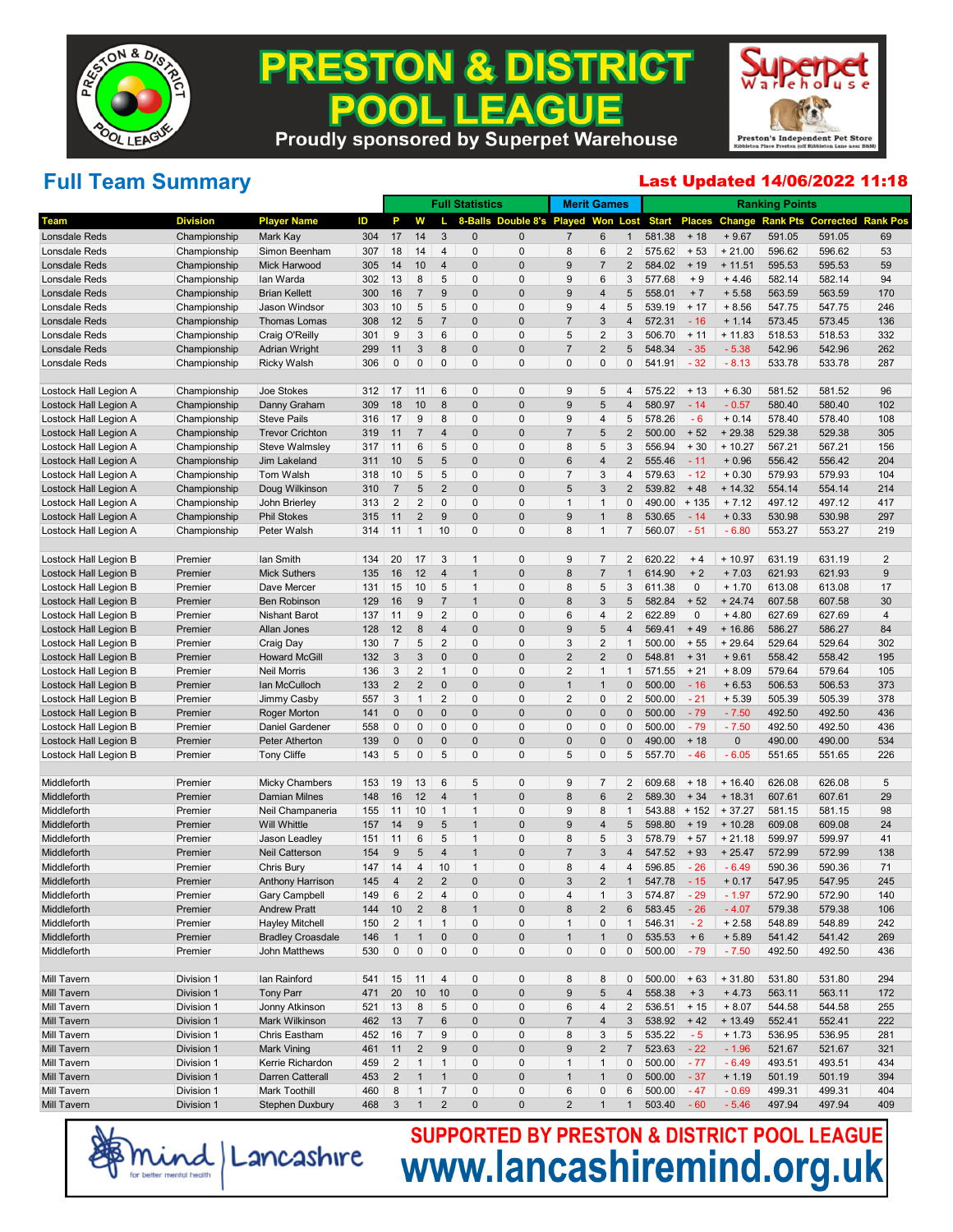

### **PRESTON & DISTRICT** . LEAGUE 200 **Proudly sponsored by Superpet Warehouse**



# **Full Team Summary**

#### Last Updated 14/06/2022 11:18

|                       |                 |                          |     |                |                         |                     | <b>Full Statistics</b> |                                    |                  | <b>Merit Games</b>       |                |              |               |              | <b>Ranking Points</b> |        |                           |
|-----------------------|-----------------|--------------------------|-----|----------------|-------------------------|---------------------|------------------------|------------------------------------|------------------|--------------------------|----------------|--------------|---------------|--------------|-----------------------|--------|---------------------------|
| Team                  | <b>Division</b> | <b>Player Name</b>       | ID  | P              | w                       |                     |                        | 8-Balls Double 8's Played Won Lost |                  |                          |                | <b>Start</b> | <b>Places</b> | Change       | <b>Rank Pts</b>       |        | <b>Corrected Rank Pos</b> |
| <b>Lonsdale Reds</b>  | Championship    | Mark Kay                 | 304 | 17             | 14                      | 3                   | $\mathbf 0$            | $\mathbf{0}$                       | 7                | $6\phantom{1}6$          | $\mathbf{1}$   | 581.38       | $+18$         | $+9.67$      | 591.05                | 591.05 | 69                        |
| Lonsdale Reds         | Championship    | Simon Beenham            | 307 | 18             | 14                      | $\overline{4}$      | 0                      | 0                                  | 8                | 6                        | 2              | 575.62       | $+53$         | $+21.00$     | 596.62                | 596.62 | 53                        |
| Lonsdale Reds         | Championship    | Mick Harwood             | 305 | 14             | 10                      | $\overline{4}$      | $\mathbf 0$            | $\mathbf 0$                        | 9                | 7                        | $\overline{2}$ | 584.02       | $+19$         | $+11.51$     | 595.53                | 595.53 | 59                        |
| Lonsdale Reds         | Championship    | lan Warda                | 302 | 13             | 8                       | 5                   | 0                      | 0                                  | 9                | 6                        | 3              | 577.68       | $+9$          | $+4.46$      | 582.14                | 582.14 | 94                        |
| Lonsdale Reds         | Championship    | <b>Brian Kellett</b>     | 300 | 16             | $\overline{7}$          | 9                   | $\mathbf 0$            | $\mathbf 0$                        | 9                | 4                        | 5              | 558.01       | $+7$          | $+5.58$      | 563.59                | 563.59 | 170                       |
| Lonsdale Reds         | Championship    | Jason Windsor            | 303 | 10             | 5                       | 5                   | 0                      | 0                                  | 9                | 4                        | 5              | 539.19       | $+17$         | $+8.56$      | 547.75                | 547.75 | 246                       |
| Lonsdale Reds         | Championship    | Thomas Lomas             | 308 | 12             | 5                       | $\overline{7}$      | $\mathbf 0$            | $\mathbf 0$                        | 7                | 3                        | $\overline{4}$ | 572.31       | $-16$         | $+ 1.14$     | 573.45                | 573.45 | 136                       |
| Lonsdale Reds         | Championship    | Craig O'Reilly           | 301 | 9              | 3                       | 6                   | 0                      | 0                                  | 5                | $\overline{2}$           | 3              | 506.70       | $+ 11$        | $+11.83$     | 518.53                | 518.53 | 332                       |
| Lonsdale Reds         | Championship    | <b>Adrian Wright</b>     | 299 | 11             | 3                       | 8                   | $\mathbf 0$            | $\mathbf 0$                        | 7                | $\overline{\mathbf{c}}$  | 5              | 548.34       | $-35$         | $-5.38$      | 542.96                | 542.96 | 262                       |
| Lonsdale Reds         | Championship    | <b>Ricky Walsh</b>       | 306 | 0              | $\mathbf 0$             | $\mathbf 0$         | 0                      | 0                                  | $\Omega$         | $\mathbf 0$              | 0              | 541.91       | $-32$         | $-8.13$      | 533.78                | 533.78 | 287                       |
| Lostock Hall Legion A | Championship    | Joe Stokes               | 312 | 17             | 11                      | 6                   | 0                      | 0                                  | 9                | 5                        | 4              | 575.22       | $+13$         | $+6.30$      | 581.52                | 581.52 | 96                        |
| Lostock Hall Legion A | Championship    | Danny Graham             | 309 | 18             | 10                      | 8                   | $\mathbf 0$            | $\mathbf 0$                        | 9                | 5                        | 4              | 580.97       | $-14$         | $-0.57$      | 580.40                | 580.40 | 102                       |
| Lostock Hall Legion A | Championship    | <b>Steve Pails</b>       | 316 | 17             | 9                       | 8                   | $\Omega$               | 0                                  | 9                | 4                        | 5              | 578.26       | $-6$          | $+0.14$      | 578.40                | 578.40 | 108                       |
| Lostock Hall Legion A | Championship    | <b>Trevor Crichton</b>   | 319 | 11             | $\overline{7}$          | $\overline{4}$      | $\mathbf 0$            | $\mathbf 0$                        | 7                | 5                        | 2              | 500.00       | $+52$         | $+29.38$     | 529.38                | 529.38 | 305                       |
| Lostock Hall Legion A | Championship    | <b>Steve Walmsley</b>    | 317 | 11             | 6                       | 5                   | 0                      | 0                                  | 8                | 5                        | 3              | 556.94       | $+30$         | $+10.27$     | 567.21                | 567.21 | 156                       |
| Lostock Hall Legion A | Championship    | Jim Lakeland             | 311 | 10             | 5                       | 5                   | $\mathbf 0$            | $\mathbf 0$                        | 6                | $\overline{4}$           | 2              | 555.46       | $-11$         | $+0.96$      | 556.42                | 556.42 | 204                       |
| Lostock Hall Legion A | Championship    | Tom Walsh                | 318 | 10             | 5                       | 5                   | $\Omega$               | 0                                  | $\overline{7}$   | 3                        | 4              | 579.63       | $-12$         | $+0.30$      | 579.93                | 579.93 | 104                       |
| Lostock Hall Legion A | Championship    | Doug Wilkinson           | 310 | 7              | 5                       | $\overline{2}$      | $\mathbf 0$            | $\mathbf 0$                        | 5                | 3                        | 2              | 539.82       | $+48$         | $+14.32$     | 554.14                | 554.14 | 214                       |
| Lostock Hall Legion A | Championship    | John Brierley            | 313 | $\overline{2}$ | $\overline{2}$          | $\mathbf 0$         | 0                      | 0                                  | $\overline{1}$   | 1                        | 0              | 490.00       | $+135$        | $+7.12$      | 497.12                | 497.12 | 417                       |
| Lostock Hall Legion A | Championship    | <b>Phil Stokes</b>       | 315 | 11             | $\overline{2}$          | 9                   | $\mathbf 0$            | $\mathbf 0$                        | 9                |                          | 8              | 530.65       | $-14$         | $+0.33$      | 530.98                | 530.98 | 297                       |
| Lostock Hall Legion A | Championship    | Peter Walsh              | 314 | 11             | $\mathbf{1}$            | 10                  | 0                      | $\Omega$                           | 8                | 1                        | $\overline{7}$ | 560.07       | $-51$         | $-6.80$      | 553.27                | 553.27 | 219                       |
| Lostock Hall Legion B | Premier         | Ian Smith                | 134 | 20             | 17                      | 3                   | $\mathbf 1$            | 0                                  | 9                | 7                        | $\overline{2}$ | 620.22       | $+4$          | $+10.97$     | 631.19                | 631.19 | 2                         |
| Lostock Hall Legion B | Premier         | <b>Mick Suthers</b>      | 135 | 16             | 12                      | $\overline{4}$      | $\mathbf 1$            | $\mathbf 0$                        | 8                | 7                        | $\mathbf{1}$   | 614.90       | $+2$          | $+7.03$      | 621.93                | 621.93 | 9                         |
| Lostock Hall Legion B | Premier         | Dave Mercer              | 131 | 15             | 10                      | 5                   | $\mathbf 1$            | 0                                  | 8                | 5                        | 3              | 611.38       | $\mathbf 0$   | $+ 1.70$     | 613.08                | 613.08 | 17                        |
| Lostock Hall Legion B | Premier         | <b>Ben Robinson</b>      | 129 | 16             | 9                       | $\overline{7}$      | $\mathbf{1}$           | $\mathbf 0$                        | 8                | 3                        | 5              | 582.84       | $+52$         | $+24.74$     | 607.58                | 607.58 | 30                        |
| Lostock Hall Legion B | Premier         | <b>Nishant Barot</b>     | 137 | 11             | 9                       | $\overline{2}$      | 0                      | 0                                  | 6                | $\overline{4}$           | 2              | 622.89       | $\mathbf 0$   | $+4.80$      | 627.69                | 627.69 | 4                         |
| Lostock Hall Legion B | Premier         | <b>Allan Jones</b>       | 128 | 12             | 8                       | 4                   | $\mathbf 0$            | $\mathbf 0$                        | 9                | 5                        | $\overline{4}$ | 569.41       | $+49$         | $+16.86$     | 586.27                | 586.27 | 84                        |
| Lostock Hall Legion B | Premier         | Craig Day                | 130 | $\overline{7}$ | 5                       | $\overline{2}$      | $\Omega$               | 0                                  | 3                | $\overline{2}$           | $\mathbf 1$    | 500.00       | $+55$         | $+29.64$     | 529.64                | 529.64 | 302                       |
| Lostock Hall Legion B | Premier         | <b>Howard McGill</b>     | 132 | $\sqrt{3}$     | 3                       | $\mathbf{0}$        | $\mathbf 0$            | $\mathbf 0$                        | $\overline{2}$   | $\overline{2}$           | $\mathbf{0}$   | 548.81       | $+31$         | $+9.61$      | 558.42                | 558.42 | 195                       |
| Lostock Hall Legion B | Premier         | <b>Neil Morris</b>       | 136 | 3              | 2                       | $\mathbf{1}$        | 0                      | 0                                  | $\overline{2}$   | $\mathbf{1}$             | $\mathbf 1$    | 571.55       | $+21$         | $+8.09$      | 579.64                | 579.64 | 105                       |
| Lostock Hall Legion B | Premier         | lan McCulloch            | 133 | $\sqrt{2}$     | $\overline{2}$          | $\mathbf 0$         | $\mathbf 0$            | $\mathbf 0$                        | $\overline{1}$   | 1                        | $\mathbf{0}$   | 500.00       | $-16$         | $+6.53$      | 506.53                | 506.53 | 373                       |
| Lostock Hall Legion B | Premier         | Jimmy Casby              | 557 | 3              | $\mathbf{1}$            | $\overline{2}$      | 0                      | 0                                  | $\overline{2}$   | $\mathbf 0$              | 2              | 500.00       | $-21$         | $+5.39$      | 505.39                | 505.39 | 378                       |
| Lostock Hall Legion B | Premier         | Roger Morton             | 141 | $\mathbf{0}$   | $\pmb{0}$               | $\mathbf{0}$        | $\mathbf 0$            | $\mathbf 0$                        | $\Omega$         | $\overline{0}$           | $\mathbf{0}$   | 500.00       | $-79$         | $-7.50$      | 492.50                | 492.50 | 436                       |
| Lostock Hall Legion B | Premier         | Daniel Gardener          | 558 | 0              | 0                       | 0                   | 0                      | 0                                  | $\Omega$         | $\mathbf 0$              | 0              | 500.00       | $-79$         | $-7.50$      | 492.50                | 492.50 | 436                       |
| Lostock Hall Legion B | Premier         | Peter Atherton           | 139 | $\mathbf{0}$   | $\mathbf 0$             | $\mathbf 0$         | $\mathbf 0$            | $\mathbf 0$                        | $\mathbf 0$      | $\overline{0}$           | $\mathbf{0}$   | 490.00       | $+18$         | $\mathbf{0}$ | 490.00                | 490.00 | 534                       |
| Lostock Hall Legion B | Premier         | <b>Tony Cliffe</b>       | 143 | 5              | $\mathbf 0$             | 5                   | 0                      | $\Omega$                           | 5                | $\mathbf 0$              | 5              | 557.70       | $-46$         | $-6.05$      | 551.65                | 551.65 | 226                       |
| Middleforth           | Premier         | <b>Micky Chambers</b>    | 153 | 19             | 13                      | 6                   | 5                      | 0                                  | 9                | 7                        | 2              | 609.68       | $+18$         | $+16.40$     | 626.08                | 626.08 | 5                         |
| Middleforth           | Premier         | <b>Damian Milnes</b>     | 148 | 16             | 12                      | 4                   | $\mathbf{1}$           | $\mathbf 0$                        | 8                | 6                        | $\overline{2}$ | 589.30       | $+34$         | $+18.31$     | 607.61                | 607.61 | 29                        |
| Middleforth           | Premier         | Neil Champaneria         | 155 | 11             | 10                      | $\mathbf{1}$        | $\mathbf{1}$           | $\Omega$                           | 9                | 8                        | $\mathbf 1$    | 543.88       | $+152$        | $+37.27$     | 581.15                | 581.15 | 98                        |
| Middleforth           | Premier         | Will Whittle             | 157 | 14             | 9                       | 5                   | $\mathbf{1}$           | $\mathbf 0$                        | 9                | 4                        | 5              | 598.80       | $+19$         | $+10.28$     | 609.08                | 609.08 | 24                        |
| Middleforth           | Premier         | Jason Leadley            | 151 | 11             | 6                       | 5                   | $\mathbf{1}$           | 0                                  | 8                | 5                        | 3              | 578.79       | $+57$         | $+21.18$     | 599.97                | 599.97 | 41                        |
| Middleforth           | Premier         | <b>Neil Catterson</b>    | 154 | 9              | 5                       | $\overline{4}$      | $\mathbf{1}$           | $\mathbf 0$                        | 7                | 3                        | $\overline{4}$ | 547.52       | $+93$         | $+25.47$     | 572.99                | 572.99 | 138                       |
| Middleforth           | Premier         | Chris Bury               | 147 | 14             | 4                       | 10                  | $\mathbf{1}$           | $\Omega$                           | 8                | $\overline{4}$           | 4              | 596.85       | $-26$         | $-6.49$      | 590.36                | 590.36 | 71                        |
| Middleforth           | Premier         | Anthony Harrison         | 145 | $\overline{4}$ | $\overline{2}$          | $\overline{2}$      | $\Omega$               | $\Omega$                           | 3                | 2                        | $\mathbf{1}$   | 547.78       | $-15$         | $+0.17$      | 547.95                | 547.95 | 245                       |
| Middleforth           | Premier         | ary Campbellب            | 149 | 6              | $\overline{\mathbf{c}}$ |                     |                        |                                    |                  |                          | 3              | 574.87       | - 29          | - 1.97       | 572.90                | 572.90 | 140                       |
| Middleforth           | Premier         | <b>Andrew Pratt</b>      | 144 | 10             | $\overline{2}$          | 8                   | $\mathbf{1}$           | 0                                  | 8                | 2                        | 6              | 583.45       | $-26$         | $-4.07$      | 579.38                | 579.38 | 106                       |
| Middleforth           | Premier         | <b>Hayley Mitchell</b>   | 150 | $\overline{2}$ | $\mathbf{1}$            | $\overline{1}$      | 0                      | 0                                  | $\mathbf{1}$     | $\pmb{0}$                | $\mathbf{1}$   | 546.31       | $-2$          | $+2.58$      | 548.89                | 548.89 | 242                       |
| Middleforth           | Premier         | <b>Bradley Croasdale</b> | 146 | $\mathbf{1}$   | $\mathbf{1}$            | $\pmb{0}$           | $\pmb{0}$              | $\pmb{0}$                          | $\mathbf{1}$     | $\mathbf{1}$             | $\mathbf 0$    | 535.53       | $+6$          | $+5.89$      | 541.42                | 541.42 | 269                       |
| Middleforth           | Premier         | John Matthews            | 530 | $\mathbf 0$    | $\mathsf{O}\xspace$     | $\mathsf{O}\xspace$ | $\pmb{0}$              | $\pmb{0}$                          | $\mathbf 0$      | $\pmb{0}$                | 0              | 500.00       | $-79$         | $-7.50$      | 492.50                | 492.50 | 436                       |
| Mill Tavern           | Division 1      | lan Rainford             | 541 | 15             | 11                      | 4                   | 0                      | 0                                  | 8                | 8                        | 0              | 500.00       | $+63$         | $+31.80$     | 531.80                | 531.80 | 294                       |
| Mill Tavern           | Division 1      | <b>Tony Parr</b>         | 471 | 20             | 10                      | 10                  | $\pmb{0}$              | $\pmb{0}$                          | $\boldsymbol{9}$ | 5                        | $\overline{4}$ | 558.38       | $+3$          | $+4.73$      | 563.11                | 563.11 | 172                       |
| Mill Tavern           | Division 1      | Jonny Atkinson           | 521 | 13             | 8                       | 5                   | $\pmb{0}$              | $\pmb{0}$                          | $\,6\,$          | 4                        | 2              | 536.51       | $+15$         | $+8.07$      | 544.58                | 544.58 | 255                       |
| Mill Tavern           | Division 1      | Mark Wilkinson           | 462 | 13             | $\overline{7}$          | $6\phantom{1}6$     | $\pmb{0}$              | $\pmb{0}$                          | $\overline{7}$   | $\overline{\mathcal{A}}$ | $\mathbf{3}$   | 538.92       | $+42$         | $+ 13.49$    | 552.41                | 552.41 | 222                       |
| Mill Tavern           | Division 1      | Chris Eastham            | 452 | 16             | $\overline{7}$          | 9                   | $\pmb{0}$              | $\pmb{0}$                          | 8                | 3                        | 5              | 535.22       | $-5$          | $+ 1.73$     | 536.95                | 536.95 | 281                       |
| Mill Tavern           | Division 1      | Mark Vining              | 461 | 11             | $\overline{2}$          | $\boldsymbol{9}$    | $\mathbf{0}$           | $\pmb{0}$                          | $\boldsymbol{9}$ | $\sqrt{2}$               | $\overline{7}$ | 523.63       | $-22$         | $-1.96$      | 521.67                | 521.67 | 321                       |
| Mill Tavern           | Division 1      | Kerrie Richardon         | 459 | $\overline{2}$ | $\mathbf{1}$            | $\mathbf{1}$        | 0                      | $\pmb{0}$                          | $\mathbf{1}$     | $\mathbf{1}$             | 0              | 500.00       | $-77$         | $-6.49$      | 493.51                | 493.51 | 434                       |
| Mill Tavern           | Division 1      | Darren Catterall         | 453 | $\overline{2}$ | $\mathbf{1}$            | $\mathbf{1}$        | 0                      | $\pmb{0}$                          | $\mathbf{1}$     | $\mathbf{1}$             | 0              | 500.00       | $-37$         | $+ 1.19$     | 501.19                | 501.19 | 394                       |
| Mill Tavern           | Division 1      | Mark Toothill            | 460 | 8              | $\mathbf{1}$            | $\overline{7}$      | $\pmb{0}$              | $\pmb{0}$                          | $\,6\,$          | $\pmb{0}$                | 6              | 500.00       | $-47$         | $-0.69$      | 499.31                | 499.31 | 404                       |
| Mill Tavern           | Division 1      | <b>Stephen Duxbury</b>   | 468 | $\mathbf{3}$   | $\mathbf{1}$            | $\overline{2}$      | $\pmb{0}$              | $\pmb{0}$                          | $\overline{2}$   | $\mathbf 1$              | $\mathbf{1}$   | 503.40       | $-60$         | $-5.46$      | 497.94                | 497.94 | 409                       |
|                       |                 |                          |     |                |                         |                     |                        |                                    |                  |                          |                |              |               |              |                       |        |                           |

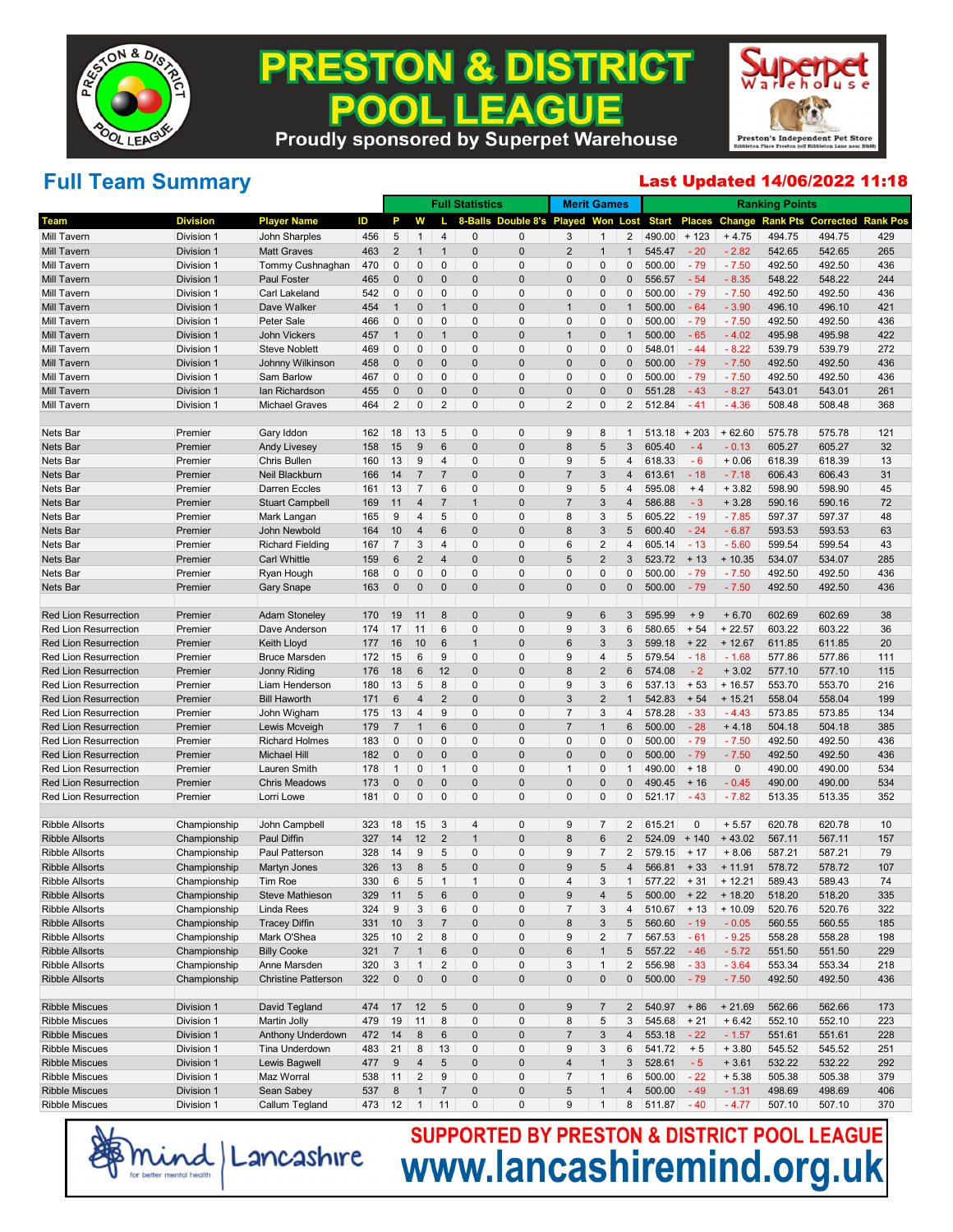

### **PRESTON & DISTRICT** . LEAGUE 200 **Proudly sponsored by Superpet Warehouse**



# **Full Team Summary**

#### Last Updated 14/06/2022 11:18

|                              |                 |                            |     |                |                           |                 | <b>Full Statistics</b> |                            | <b>Merit Games</b> |                |                |               |               |           | <b>Ranking Points</b> |                  |                 |
|------------------------------|-----------------|----------------------------|-----|----------------|---------------------------|-----------------|------------------------|----------------------------|--------------------|----------------|----------------|---------------|---------------|-----------|-----------------------|------------------|-----------------|
| <b>Team</b>                  | <b>Division</b> | <b>Player Name</b>         | ID  | P              | W                         |                 | 8-Balls                | Double 8's Played Won Lost |                    |                |                | <b>Start</b>  | <b>Places</b> | Change    | <b>Rank Pts</b>       | <b>Corrected</b> | <b>Rank Pos</b> |
| <b>Mill Tavern</b>           | Division 1      | John Sharples              | 456 | 5              | $\mathbf{1}$              | $\overline{4}$  | $\mathbf 0$            | $\mathbf 0$                | 3                  | $\mathbf{1}$   | 2              | 490.00        | $+123$        | $+4.75$   | 494.75                | 494.75           | 429             |
| <b>Mill Tavern</b>           | Division 1      | <b>Matt Graves</b>         | 463 | $\overline{2}$ | 1                         | $\overline{1}$  | $\pmb{0}$              | $\mathbf 0$                | $\overline{2}$     | $\mathbf{1}$   | $\mathbf{1}$   | 545.47        | $-20$         | $-2.82$   | 542.65                | 542.65           | 265             |
| Mill Tavern                  | Division 1      | Tommy Cushnaghan           | 470 | $\mathbf 0$    | 0                         | $\mathbf{0}$    | 0                      | $\mathbf 0$                | $\mathbf 0$        | $\pmb{0}$      | $\mathbf{0}$   | 500.00        | $-79$         | $-7.50$   | 492.50                | 492.50           | 436             |
| <b>Mill Tavern</b>           | Division 1      | Paul Foster                | 465 | $\mathbf 0$    | $\mathbf{0}$              | $\pmb{0}$       | $\pmb{0}$              | $\mathbf 0$                | $\mathbf 0$        | $\mathbf 0$    | 0              | 556.57        | $-54$         | $-8.35$   | 548.22                | 548.22           | 244             |
| Mill Tavern                  | Division 1      | <b>Carl Lakeland</b>       | 542 | $\mathbf 0$    | $\mathbf{0}$              | $\mathbf{0}$    | 0                      | $\mathbf 0$                | $\mathbf 0$        | $\pmb{0}$      | $\mathbf{0}$   | 500.00        | $-79$         | $-7.50$   | 492.50                | 492.50           | 436             |
| <b>Mill Tavern</b>           | Division 1      | Dave Walker                | 454 | $\mathbf{1}$   | $\mathbf{0}$              | $\overline{1}$  | $\pmb{0}$              | $\mathbf 0$                | $\overline{1}$     | $\mathbf 0$    | $\mathbf 1$    | 500.00        | $-64$         | $-3.90$   | 496.10                | 496.10           | 421             |
| Mill Tavern                  | Division 1      | <b>Peter Sale</b>          | 466 | $\mathbf 0$    | $\mathbf{0}$              | $\mathbf{0}$    | 0                      | $\mathbf 0$                | $\mathbf 0$        | $\pmb{0}$      | $\mathbf{0}$   | 500.00        | $-79$         | $-7.50$   | 492.50                | 492.50           | 436             |
| <b>Mill Tavern</b>           | Division 1      | <b>John Vickers</b>        | 457 | $\mathbf{1}$   | $\mathbf{0}$              | $\overline{1}$  | $\pmb{0}$              | $\mathbf 0$                | $\overline{1}$     | $\mathbf 0$    | $\mathbf 1$    | 500.00        | $-65$         | $-4.02$   | 495.98                | 495.98           | 422             |
| Mill Tavern                  | Division 1      | <b>Steve Noblett</b>       | 469 | $\mathbf 0$    | $\mathbf{0}$              | $\mathbf{0}$    | $\mathbf 0$            | $\mathbf 0$                | $\mathbf 0$        | $\pmb{0}$      | $\mathbf{0}$   | 548.01        | $-44$         | $-8.22$   | 539.79                | 539.79           | 272             |
| <b>Mill Tavern</b>           | Division 1      | Johnny Wilkinson           | 458 | $\bf{0}$       | $\mathbf{0}$              | $\pmb{0}$       | $\pmb{0}$              | $\mathbf 0$                | $\mathbf 0$        | $\mathbf 0$    | 0              | 500.00        | $-79$         | $-7.50$   | 492.50                | 492.50           | 436             |
| Mill Tavern                  | Division 1      | Sam Barlow                 | 467 | $\mathbf 0$    | $\mathbf{0}$              | $\mathbf{0}$    | 0                      | $\mathbf 0$                | $\mathbf 0$        | $\pmb{0}$      | $\mathbf{0}$   | 500.00        | $-79$         | $-7.50$   | 492.50                | 492.50           | 436             |
| <b>Mill Tavern</b>           | Division 1      | lan Richardson             | 455 | $\bf{0}$       | $\mathbf{0}$              | $\pmb{0}$       | $\pmb{0}$              | $\mathbf 0$                | $\mathbf 0$        | $\pmb{0}$      | $\mathbf 0$    | 551.28        | $-43$         | $-8.27$   | 543.01                | 543.01           | 261             |
| <b>Mill Tavern</b>           | Division 1      | <b>Michael Graves</b>      | 464 | $\overline{2}$ | $\mathbf 0$               | $\overline{2}$  | $\mathbf 0$            | $\mathbf 0$                | $\overline{2}$     | $\pmb{0}$      | $\overline{2}$ | 512.84        | $-41$         | $-4.36$   | 508.48                | 508.48           | 368             |
| Nets Bar                     | Premier         | Gary Iddon                 | 162 | 18             | 13                        | 5               | 0                      | 0                          | 9                  | 8              | $\mathbf{1}$   | 513.18        | $+203$        | $+62.60$  | 575.78                | 575.78           | 121             |
| Nets Bar                     | Premier         | <b>Andy Livesey</b>        | 158 | 15             | 9                         | $6\,$           | $\pmb{0}$              | $\mathbf 0$                | 8                  | 5              | 3              | 605.40        | $-4$          | $-0.13$   | 605.27                | 605.27           | 32              |
| Nets Bar                     | Premier         | <b>Chris Bullen</b>        | 160 | 13             | 9                         | $\overline{4}$  | 0                      | $\mathbf 0$                | 9                  | 5              | 4              | 618.33        | $-6$          | $+0.06$   | 618.39                | 618.39           | 13              |
| Nets Bar                     | Premier         | Neil Blackburn             | 166 | 14             | $\overline{7}$            | $\overline{7}$  | $\pmb{0}$              | $\mathbf 0$                | $\overline{7}$     | 3              | 4              | 613.61        | $-18$         | $-7.18$   | 606.43                | 606.43           | 31              |
| Nets Bar                     | Premier         | <b>Darren Eccles</b>       | 161 | 13             | $\overline{7}$            | $6\phantom{1}6$ | 0                      | $\mathbf 0$                | 9                  | 5              | 4              | 595.08        | $+4$          | $+3.82$   | 598.90                | 598.90           | 45              |
| Nets Bar                     | Premier         | <b>Stuart Campbell</b>     | 169 | 11             | $\overline{4}$            | $\overline{7}$  | $\mathbf{1}$           | $\mathbf 0$                | $\overline{7}$     | 3              | 4              | 586.88        | $-3$          | $+3.28$   | 590.16                | 590.16           | 72              |
| Nets Bar                     | Premier         | Mark Langan                | 165 | 9              | $\overline{4}$            | 5               | 0                      | $\mathbf 0$                | 8                  | 3              | 5              | 605.22        | $-19$         | $-7.85$   | 597.37                | 597.37           | 48              |
| Nets Bar                     | Premier         | John Newbold               | 164 | 10             | $\overline{4}$            | $6\,$           | $\pmb{0}$              | $\mathbf 0$                | 8                  | 3              | 5              | 600.40        | $-24$         | $-6.87$   | 593.53                | 593.53           | 63              |
| Nets Bar                     | Premier         | <b>Richard Fielding</b>    | 167 | $\overline{7}$ | 3                         | $\overline{4}$  | 0                      | $\mathbf 0$                | 6                  | $\overline{2}$ | 4              | 605.14        | $-13$         | $-5.60$   | 599.54                | 599.54           | 43              |
| Nets Bar                     | Premier         | <b>Carl Whittle</b>        | 159 | 6              | $\overline{2}$            | $\overline{4}$  | $\pmb{0}$              | $\mathbf 0$                | 5                  | $\overline{2}$ | 3              | 523.72        | $+13$         | $+10.35$  | 534.07                | 534.07           | 285             |
| Nets Bar                     | Premier         | Ryan Hough                 | 168 | 0              | $\mathbf 0$               | $\mathbf{0}$    | 0                      | $\mathbf 0$                | $\mathbf 0$        | $\pmb{0}$      | $\mathbf{0}$   | 500.00        | $-79$         | $-7.50$   | 492.50                | 492.50           | 436             |
| <b>Nets Bar</b>              | Premier         | <b>Gary Snape</b>          | 163 | $\mathbf 0$    | $\mathbf 0$               | $\pmb{0}$       | $\pmb{0}$              | $\mathbf 0$                | $\overline{0}$     | $\pmb{0}$      | $\pmb{0}$      | 500.00        | $-79$         | $-7.50$   | 492.50                | 492.50           | 436             |
| <b>Red Lion Resurrection</b> | Premier         | <b>Adam Stoneley</b>       | 170 | 19             | 11                        | 8               | 0                      | $\mathbf 0$                | 9                  | 6              | 3              | 595.99        | $+9$          | $+6.70$   | 602.69                | 602.69           | 38              |
| <b>Red Lion Resurrection</b> | Premier         | Dave Anderson              | 174 | 17             | 11                        | $6\phantom{1}6$ | 0                      | $\mathbf 0$                | 9                  | 3              | 6              | 580.65        | $+54$         | $+22.57$  | 603.22                | 603.22           | 36              |
| <b>Red Lion Resurrection</b> | Premier         | Keith Lloyd                | 177 | 16             | 10                        | $6\,$           | $\mathbf{1}$           | $\mathbf 0$                | $6\phantom{1}6$    | 3              | 3              | 599.18        | $+22$         | $+12.67$  | 611.85                | 611.85           | 20              |
| <b>Red Lion Resurrection</b> | Premier         | <b>Bruce Marsden</b>       | 172 | 15             | 6                         | 9               | 0                      | $\mathbf 0$                | 9                  | $\overline{4}$ | 5              | 579.54        | $-18$         | $-1.68$   | 577.86                | 577.86           | 111             |
| <b>Red Lion Resurrection</b> | Premier         | Jonny Riding               | 176 | 18             | $6\phantom{1}6$           | 12              | 0                      | $\mathbf 0$                | 8                  | $\overline{2}$ | 6              | 574.08        | $-2$          | $+3.02$   | 577.10                | 577.10           | 115             |
| <b>Red Lion Resurrection</b> | Premier         | Liam Henderson             | 180 | 13             | 5                         | 8               | 0                      | $\mathbf 0$                | 9                  | 3              | 6              | 537.13        | $+53$         | $+16.57$  | 553.70                | 553.70           | 216             |
| <b>Red Lion Resurrection</b> | Premier         | <b>Bill Haworth</b>        | 171 | $6\phantom{1}$ | $\overline{4}$            | $\overline{2}$  | $\pmb{0}$              | $\mathbf{0}$               | 3                  | $\overline{2}$ | $\overline{1}$ | 542.83        | $+54$         | $+15.21$  | 558.04                | 558.04           | 199             |
| <b>Red Lion Resurrection</b> | Premier         | John Wigham                | 175 | 13             | 4                         | 9               | 0                      | $\mathbf 0$                | $\overline{7}$     | 3              | 4              | 578.28        | $-33$         | $-4.43$   | 573.85                | 573.85           | 134             |
| <b>Red Lion Resurrection</b> | Premier         | Lewis Mcveigh              | 179 | $\overline{7}$ | $\mathbf 1$               | $6\,$           | 0                      | $\mathbf 0$                | $\overline{7}$     | $\overline{1}$ | 6              | 500.00        | $-28$         | $+4.18$   | 504.18                | 504.18           | 385             |
| <b>Red Lion Resurrection</b> | Premier         | <b>Richard Holmes</b>      | 183 | $\mathbf 0$    | $\mathbf 0$               | $\mathbf{0}$    | 0                      | $\mathbf 0$                | $\mathbf 0$        | $\pmb{0}$      | $\mathbf{0}$   | 500.00        | $-79$         | $-7.50$   | 492.50                | 492.50           | 436             |
| <b>Red Lion Resurrection</b> | Premier         | <b>Michael Hill</b>        | 182 | $\mathbf 0$    | $\mathbf{0}$              | $\pmb{0}$       | $\pmb{0}$              | $\mathbf 0$                | $\mathbf 0$        | $\pmb{0}$      | 0              | 500.00        | $-79$         | $-7.50$   | 492.50                | 492.50           | 436             |
| <b>Red Lion Resurrection</b> | Premier         | <b>Lauren Smith</b>        | 178 | $\mathbf{1}$   | $\mathbf 0$               | $\mathbf{1}$    | 0                      | $\mathbf 0$                | $\mathbf{1}$       | $\mathbf 0$    | $\mathbf{1}$   | 490.00        | $+18$         | $\pmb{0}$ | 490.00                | 490.00           | 534             |
| <b>Red Lion Resurrection</b> | Premier         | <b>Chris Meadows</b>       | 173 | $\mathbf 0$    | $\mathbf{0}$              | $\pmb{0}$       | $\pmb{0}$              | $\mathbf 0$                | $\mathbf 0$        | $\pmb{0}$      | $\mathbf{0}$   | 490.45        | $+16$         | $-0.45$   | 490.00                | 490.00           | 534             |
| <b>Red Lion Resurrection</b> | Premier         | Lorri Lowe                 | 181 | $\mathbf 0$    | $\mathbf 0$               | $\mathbf{0}$    | 0                      | $\mathbf 0$                | $\mathbf 0$        | $\pmb{0}$      | $\mathbf{0}$   | 521.17        | $-43$         | $-7.82$   | 513.35                | 513.35           | 352             |
| <b>Ribble Allsorts</b>       | Championship    | John Campbell              | 323 | 18             | 15                        | 3               | $\overline{4}$         | 0                          | 9                  | $\overline{7}$ | $\overline{2}$ | 615.21        | 0             | $+5.57$   | 620.78                | 620.78           | 10              |
| <b>Ribble Allsorts</b>       | Championship    | Paul Diffin                | 327 | 14             | 12                        | $\overline{2}$  | $\mathbf{1}$           | $\mathbf 0$                | 8                  | 6              | $\overline{2}$ | 524.09        | $+140$        | $+43.02$  | 567.11                | 567.11           | 157             |
| <b>Ribble Allsorts</b>       | Championship    | Paul Patterson             | 328 | 14             | 9                         | 5               | 0                      | $\mathbf 0$                | 9                  | $\overline{7}$ | $\overline{2}$ | 579.15        | $+17$         | $+8.06$   | 587.21                | 587.21           | 79              |
| <b>Ribble Allsorts</b>       | Championship    | Martyn Jones               | 326 | 13             | $\bf 8$                   | 5               | $\pmb{0}$              | $\mathbf 0$                | 9                  | 5              | $\overline{4}$ | 566.81        | $+33$         | $+11.91$  | 578.72                | 578.72           | 107             |
| <b>Ribble Allsorts</b>       | Championship    | Tim Roe                    | 330 | 6              | 5                         | $\mathbf{1}$    | $\mathbf{1}$           | $\mathbf 0$                | $\overline{4}$     | 3              | $\mathbf{1}$   | 577.22        | $+31$         | $+12.21$  | 589.43                | 589.43           | 74              |
| <b>Ribble Allsorts</b>       | Championship    | Steve Mathieson            | 329 | 11             | $\mathbf 5$               | $\,6$           | $\pmb{0}$              | $\pmb{0}$                  | 9                  | $\overline{4}$ | 5 <sup>5</sup> | $500.00 + 22$ |               | $+18.20$  | 518.20                | 518.20           | 335             |
| <b>Ribble Allsorts</b>       | Championship    | Linda Rees                 | 324 | 9              | 3                         | 6               | 0                      | 0                          | $\overline{7}$     | 3              | 4              | 510.67        | $+13$         | $+10.09$  | 520.76                | 520.76           | 322             |
| <b>Ribble Allsorts</b>       | Championship    | <b>Tracey Diffin</b>       | 331 | 10             | $\ensuremath{\mathsf{3}}$ | $\overline{7}$  | $\pmb{0}$              | $\pmb{0}$                  | 8                  | 3              | 5              | 560.60        | $-19$         | $-0.05$   | 560.55                | 560.55           | 185             |
| <b>Ribble Allsorts</b>       | Championship    | Mark O'Shea                | 325 | 10             | $\overline{c}$            | 8               | $\pmb{0}$              | $\mathbf 0$                | 9                  | $\sqrt{2}$     | 7              | 567.53        | $-61$         | $-9.25$   | 558.28                | 558.28           | 198             |
| <b>Ribble Allsorts</b>       | Championship    | <b>Billy Cooke</b>         | 321 | $\overline{7}$ | $\mathbf{1}$              | $\,6$           | $\pmb{0}$              | $\pmb{0}$                  | $\,6$              | $\overline{1}$ | 5              | 557.22        | $-46$         | $-5.72$   | 551.50                | 551.50           | 229             |
| <b>Ribble Allsorts</b>       | Championship    | Anne Marsden               | 320 | $\mathbf{3}$   | $\mathbf{1}$              | $\overline{c}$  | 0                      | $\mathbf 0$                | 3                  | $\mathbf{1}$   | $\sqrt{2}$     | 556.98        | $-33$         | $-3.64$   | 553.34                | 553.34           | 218             |
| <b>Ribble Allsorts</b>       | Championship    | <b>Christine Patterson</b> | 322 | $\pmb{0}$      | $\pmb{0}$                 | $\pmb{0}$       | $\pmb{0}$              | $\mathbf 0$                | $\pmb{0}$          | $\pmb{0}$      | $\pmb{0}$      | 500.00        | $-79$         | $-7.50$   | 492.50                | 492.50           | 436             |
| <b>Ribble Miscues</b>        | Division 1      | David Tegland              | 474 | 17             | 12                        | 5               | 0                      | $\mathbf 0$                | 9                  | 7              | 2              | 540.97        | $+86$         | $+21.69$  | 562.66                | 562.66           | 173             |
| <b>Ribble Miscues</b>        | Division 1      | Martin Jolly               | 479 | 19             | 11                        | 8               | $\pmb{0}$              | $\mathbf 0$                | 8                  | 5              | 3              | 545.68        | $+21$         | $+6.42$   | 552.10                | 552.10           | 223             |
| <b>Ribble Miscues</b>        | Division 1      | <b>Anthony Underdown</b>   | 472 | 14             | $\bf 8$                   | $\,6$           | 0                      | $\pmb{0}$                  | $\overline{7}$     | 3              | 4              | 553.18        | $-22$         | $-1.57$   | 551.61                | 551.61           | 228             |
| <b>Ribble Miscues</b>        | Division 1      | Tina Underdown             | 483 | 21             | 8                         | 13              | 0                      | $\mathbf 0$                | 9                  | $\sqrt{3}$     | 6              | 541.72        | $+5$          | $+3.80$   | 545.52                | 545.52           | 251             |
| <b>Ribble Miscues</b>        | Division 1      | Lewis Bagwell              | 477 | 9              | $\overline{4}$            | $\,$ 5 $\,$     | 0                      | $\pmb{0}$                  | $\overline{a}$     | $\overline{1}$ | 3              | 528.61        | $-5$          | $+3.61$   | 532.22                | 532.22           | 292             |
| <b>Ribble Miscues</b>        | Division 1      | Maz Worral                 | 538 | 11             | $\overline{2}$            | 9               | 0                      | $\mathbf 0$                | $\overline{7}$     | $\mathbf{1}$   | 6              | 500.00        | $-22$         | $+5.38$   | 505.38                | 505.38           | 379             |
| <b>Ribble Miscues</b>        | Division 1      | Sean Sabey                 | 537 | $\bf 8$        | $\mathbf{1}$              | $\overline{7}$  | 0                      | $\pmb{0}$                  | $\mathbf 5$        | $\overline{1}$ | 4              | 500.00        | $-49$         | $-1.31$   | 498.69                | 498.69           | 406             |
| <b>Ribble Miscues</b>        | Division 1      | Callum Tegland             | 473 | 12             | $\mathbf{1}$              | 11              | 0                      | $\mathbf 0$                | 9                  | $\mathbf{1}$   | 8              | 511.87        | $-40$         | $-4.77$   | 507.10                | 507.10           | 370             |

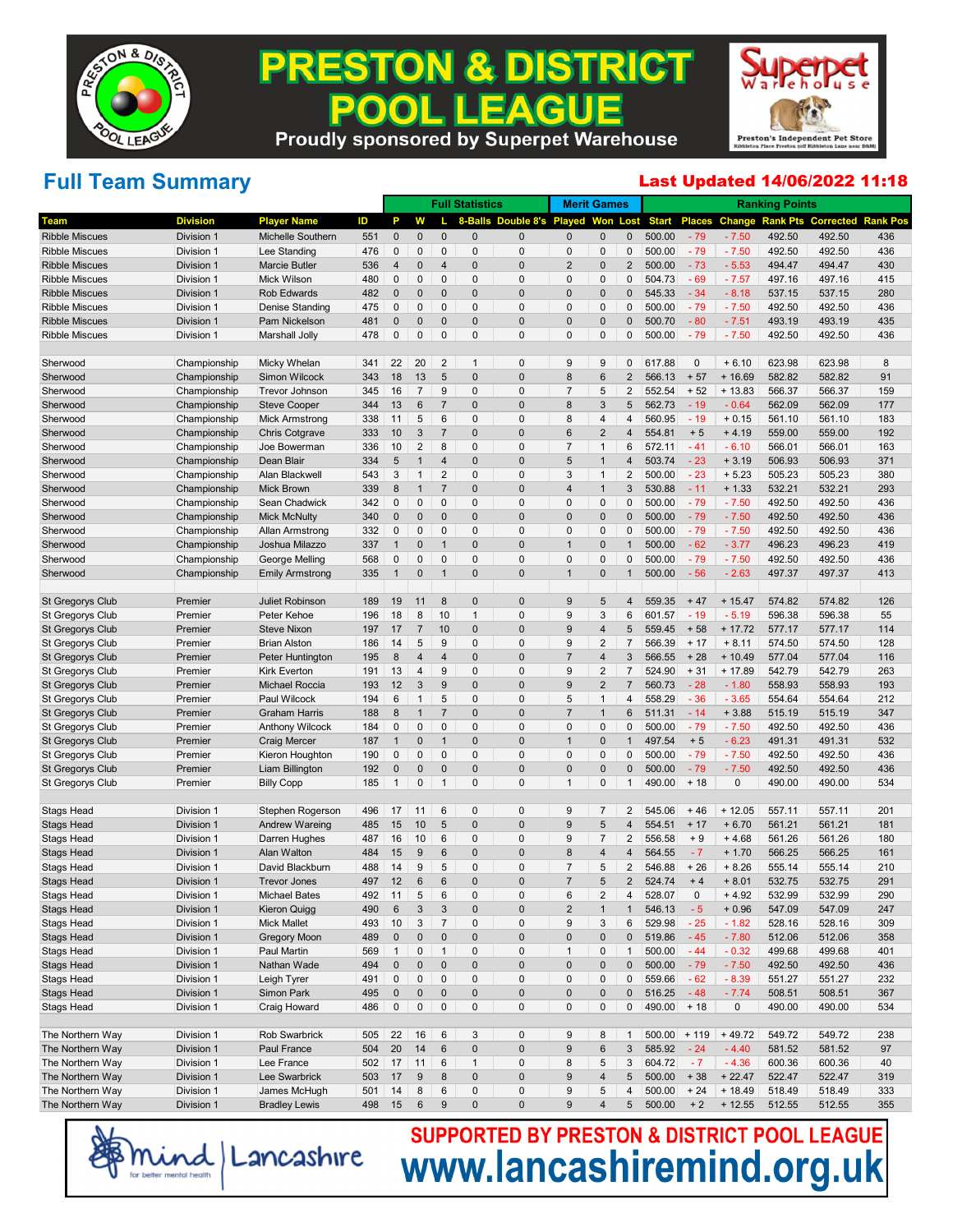

# **PRESTON & DISTRICT** . LEAGUE 200



### **Proudly sponsored by Superpet Warehouse**

### **Full Team Summary**

#### Last Updated 14/06/2022 11:18

|                         |                 |                        |     |                |                  |                           | <b>Full Statistics</b> |                            |                  | <b>Merit Games</b> |                |              |               |          | <b>Ranking Points</b> |                  |                 |
|-------------------------|-----------------|------------------------|-----|----------------|------------------|---------------------------|------------------------|----------------------------|------------------|--------------------|----------------|--------------|---------------|----------|-----------------------|------------------|-----------------|
| <b>Team</b>             | <b>Division</b> | <b>Player Name</b>     | ID  | P              | W                |                           | 8-Balls                | Double 8's Played Won Lost |                  |                    |                | <b>Start</b> | <b>Places</b> | Change   | <b>Rank Pts</b>       | <b>Corrected</b> | <b>Rank Pos</b> |
| <b>Ribble Miscues</b>   | Division 1      | Michelle Southern      | 551 | $\mathbf 0$    | $\mathbf 0$      | $\Omega$                  | 0                      | 0                          | $\mathbf{0}$     | $\mathbf 0$        | 0              | 500.00       | $-79$         | $-7.50$  | 492.50                | 492.50           | 436             |
| <b>Ribble Miscues</b>   | Division 1      | Lee Standing           | 476 | 0              | 0                | 0                         | 0                      | 0                          | 0                | 0                  | 0              | 500.00       | $-79$         | $-7.50$  | 492.50                | 492.50           | 436             |
| <b>Ribble Miscues</b>   | Division 1      | <b>Marcie Butler</b>   | 536 | $\overline{4}$ | 0                | 4                         | 0                      | 0                          | $\overline{2}$   | $\mathbf 0$        | 2              | 500.00       | $-73$         | $-5.53$  | 494.47                | 494.47           | 430             |
| <b>Ribble Miscues</b>   | Division 1      | Mick Wilson            | 480 | 0              | 0                | 0                         | 0                      | 0                          | $\Omega$         | 0                  | 0              | 504.73       | $-69$         | $-7.57$  | 497.16                | 497.16           | 415             |
| <b>Ribble Miscues</b>   | Division 1      | Rob Edwards            | 482 | 0              | 0                | $\Omega$                  | 0                      | 0                          | $\Omega$         | $\mathbf 0$        | $\Omega$       | 545.33       | $-34$         | $-8.18$  | 537.15                | 537.15           | 280             |
| <b>Ribble Miscues</b>   | Division 1      | <b>Denise Standing</b> | 475 | 0              | 0                | 0                         | 0                      | 0                          | $\Omega$         | 0                  | 0              | 500.00       | $-79$         | $-7.50$  | 492.50                | 492.50           | 436             |
| <b>Ribble Miscues</b>   | Division 1      | Pam Nickelson          | 481 | 0              | 0                | $\Omega$                  | 0                      | $\mathbf{0}$               | $\Omega$         | $\mathbf 0$        | $\overline{0}$ | 500.70       | $-80$         | $-7.51$  | 493.19                | 493.19           | 435             |
| <b>Ribble Miscues</b>   | Division 1      | <b>Marshall Jolly</b>  | 478 | 0              | 0                | 0                         | 0                      | 0                          | $\Omega$         | 0                  | 0              | 500.00       | $-79$         | $-7.50$  | 492.50                | 492.50           | 436             |
|                         |                 |                        |     |                |                  |                           |                        |                            |                  |                    |                |              |               |          |                       |                  |                 |
| Sherwood                | Championship    | Micky Whelan           | 341 | 22             | 20               | $\overline{2}$            | 1                      | 0                          | 9                | 9                  | 0              | 617.88       | 0             | $+6.10$  | 623.98                | 623.98           | 8               |
| Sherwood                | Championship    | Simon Wilcock          | 343 | 18             | 13               | 5                         | 0                      | $\mathbf 0$                | 8                | 6                  | 2              | 566.13       | $+57$         | $+16.69$ | 582.82                | 582.82           | 91              |
| Sherwood                | Championship    | <b>Trevor Johnson</b>  | 345 | 16             | 7                | 9                         | 0                      | 0                          | 7                | 5                  | 2              | 552.54       | $+52$         | $+13.83$ | 566.37                | 566.37           | 159             |
| Sherwood                | Championship    | <b>Steve Cooper</b>    | 344 | 13             | 6                | $\overline{7}$            | 0                      | 0                          | 8                | 3                  | 5              | 562.73       | $-19$         | $-0.64$  | 562.09                | 562.09           | 177             |
| Sherwood                | Championship    | <b>Mick Armstrong</b>  | 338 | 11             | 5                | 6                         | 0                      | 0                          | 8                | 4                  | 4              | 560.95       | $-19$         | $+0.15$  | 561.10                | 561.10           | 183             |
| Sherwood                | Championship    | <b>Chris Cotgrave</b>  | 333 | 10             | 3                | 7                         | 0                      | 0                          | 6                | $\overline{2}$     | 4              | 554.81       | $+5$          | $+4.19$  | 559.00                | 559.00           | 192             |
| Sherwood                | Championship    | Joe Bowerman           | 336 | 10             | 2                | 8                         | 0                      | 0                          | $\overline{7}$   | $\mathbf 1$        | 6              | 572.11       | $-41$         | $-6.10$  | 566.01                | 566.01           | 163             |
| Sherwood                | Championship    | Dean Blair             | 334 | 5              | $\mathbf 1$      | 4                         | 0                      | 0                          | 5                | 1                  | 4              | 503.74       | $-23$         | $+3.19$  | 506.93                | 506.93           | 371             |
| Sherwood                | Championship    | Alan Blackwell         | 543 | 3              | $\mathbf{1}$     | 2                         | 0                      | 0                          | 3                | $\mathbf 1$        | 2              | 500.00       | $-23$         | $+5.23$  | 505.23                | 505.23           | 380             |
| Sherwood                | Championship    | <b>Mick Brown</b>      | 339 | 8              | $\mathbf{1}$     | $\overline{7}$            | 0                      | 0                          | $\overline{4}$   | 1                  | 3              | 530.88       | $-11$         | $+1.33$  | 532.21                | 532.21           | 293             |
| Sherwood                | Championship    | Sean Chadwick          | 342 | 0              | 0                | 0                         | 0                      | 0                          | $\Omega$         | 0                  | 0              | 500.00       | $-79$         | $-7.50$  | 492.50                | 492.50           | 436             |
| Sherwood                | Championship    | <b>Mick McNulty</b>    | 340 | 0              | 0                | $\Omega$                  | 0                      | 0                          | $\Omega$         | $\mathbf 0$        | $\Omega$       | 500.00       | $-79$         | $-7.50$  | 492.50                | 492.50           | 436             |
| Sherwood                | Championship    | Allan Armstrong        | 332 | 0              | 0                | 0                         | 0                      | 0                          | $\Omega$         | 0                  | 0              | 500.00       | $-79$         | $-7.50$  | 492.50                | 492.50           | 436             |
| Sherwood                | Championship    | Joshua Milazzo         | 337 | $\mathbf 1$    | 0                | $\mathbf 1$               | 0                      | 0                          | $\mathbf{1}$     | $\mathbf 0$        | 1              | 500.00       | $-62$         | $-3.77$  | 496.23                | 496.23           | 419             |
| Sherwood                | Championship    | George Melling         | 568 | 0              | 0                | 0                         | 0                      | 0                          | $\Omega$         | 0                  | 0              | 500.00       | $-79$         | $-7.50$  | 492.50                | 492.50           | 436             |
| Sherwood                | Championship    | <b>Emily Armstrong</b> | 335 | $\overline{1}$ | 0                | $\mathbf{1}$              | 0                      | $\pmb{0}$                  | $\overline{1}$   | $\mathbf 0$        | $\mathbf{1}$   | 500.00       | $-56$         | $-2.63$  | 497.37                | 497.37           | 413             |
| St Gregorys Club        | Premier         | Juliet Robinson        | 189 | 19             | 11               | 8                         | 0                      | $\mathbf 0$                | 9                | 5                  | 4              | 559.35       | $+47$         | $+15.47$ | 574.82                | 574.82           | 126             |
| St Gregorys Club        | Premier         | Peter Kehoe            | 196 | 18             | 8                | 10                        | 1                      | 0                          | 9                | 3                  | 6              | 601.57       | $-19$         | $-5.19$  | 596.38                | 596.38           | 55              |
| St Gregorys Club        | Premier         | <b>Steve Nixon</b>     | 197 | 17             | $\overline{7}$   | 10                        | 0                      | 0                          | 9                | 4                  | 5              | 559.45       | $+58$         | $+17.72$ | 577.17                | 577.17           | 114             |
| St Gregorys Club        | Premier         | <b>Brian Alston</b>    | 186 | 14             | 5                | 9                         | 0                      | 0                          | 9                | $\overline{2}$     | $\overline{7}$ | 566.39       | $+17$         | $+8.11$  | 574.50                | 574.50           | 128             |
| St Gregorys Club        | Premier         | Peter Huntington       | 195 | 8              | 4                | $\overline{4}$            | 0                      | 0                          | $\overline{7}$   | 4                  | 3              | 566.55       | $+28$         | $+10.49$ | 577.04                | 577.04           | 116             |
| St Gregorys Club        | Premier         | <b>Kirk Everton</b>    | 191 | 13             | $\overline{4}$   | 9                         | 0                      | 0                          | 9                | $\overline{2}$     | 7              | 524.90       | $+31$         | $+17.89$ | 542.79                | 542.79           | 263             |
| <b>St Gregorys Club</b> | Premier         | Michael Roccia         | 193 | 12             | 3                | 9                         | 0                      | 0                          | 9                | $\overline{2}$     | $\overline{7}$ | 560.73       | $-28$         | $-1.80$  | 558.93                | 558.93           | 193             |
| St Gregorys Club        | Premier         | Paul Wilcock           | 194 | 6              | $\mathbf{1}$     | 5                         | 0                      | $\mathbf{0}$               | 5                | $\mathbf 1$        | 4              | 558.29       | $-36$         | $-3.65$  | 554.64                | 554.64           | 212             |
| St Gregorys Club        | Premier         | Graham Harris          | 188 | 8              | $\mathbf{1}$     | $\overline{7}$            | 0                      | 0                          | $\overline{7}$   | 1                  | 6              | 511.31       | $-14$         | $+3.88$  | 515.19                | 515.19           | 347             |
| St Gregorys Club        | Premier         | <b>Anthony Wilcock</b> | 184 | 0              | 0                | 0                         | 0                      | 0                          | $\Omega$         | 0                  | 0              | 500.00       | $-79$         | $-7.50$  | 492.50                | 492.50           | 436             |
| St Gregorys Club        | Premier         | <b>Craig Mercer</b>    | 187 | $\mathbf 1$    | 0                | $\mathbf{1}$              | 0                      | 0                          | $\overline{1}$   | $\mathbf 0$        | 1              | 497.54       | $+5$          | $-6.23$  | 491.31                | 491.31           | 532             |
| St Gregorys Club        | Premier         | Kieron Houghton        | 190 | 0              | 0                | 0                         | 0                      | 0                          | $\Omega$         | 0                  | 0              | 500.00       | $-79$         | $-7.50$  | 492.50                | 492.50           | 436             |
| St Gregorys Club        | Premier         | Liam Billington        | 192 | 0              | 0                | $\mathbf 0$               | 0                      | $\mathbf{0}$               | $\mathbf{0}$     | $\mathbf 0$        | $\mathbf{0}$   | 500.00       | $-79$         | $-7.50$  | 492.50                | 492.50           | 436             |
| St Gregorys Club        | Premier         | <b>Billy Copp</b>      | 185 | $\overline{1}$ | 0                | $\mathbf{1}$              | 0                      | 0                          | $\mathbf 1$      | 0                  | 1              | 490.00       | $+18$         | 0        | 490.00                | 490.00           | 534             |
| <b>Stags Head</b>       | Division 1      | Stephen Rogerson       | 496 | 17             | 11               | 6                         | 0                      | 0                          | 9                | $\overline{7}$     | 2              | 545.06       | $+46$         | $+12.05$ | 557.11                | 557.11           | 201             |
| <b>Stags Head</b>       | Division 1      | <b>Andrew Wareing</b>  | 485 | 15             | 10               | 5                         | 0                      | 0                          | 9                | 5                  | 4              | 554.51       | $+17$         | $+6.70$  | 561.21                | 561.21           | 181             |
| <b>Stags Head</b>       | Division 1      | Darren Hughes          | 487 | 16             | 10               | 6                         | 0                      | 0                          | 9                | 7                  | 2              | 556.58       | $+9$          | $+4.68$  | 561.26                | 561.26           | 180             |
| <b>Stags Head</b>       | Division 1      | Alan Walton            | 484 | 15             | 9                | 6                         | 0                      | 0                          | 8                | 4                  | 4              | 564.55       | $-7$          | $+1.70$  | 566.25                | 566.25           | 161             |
| <b>Stags Head</b>       | Division 1      | David Blackburn        | 488 | 14             | 9                | 5                         | 0                      | 0                          | 7                | 5                  | 2              | 546.88       | $+26$         | $+8.26$  | 555.14                | 555.14           | 210             |
| <b>Stags Head</b>       | Division 1      | <b>Trevor Jones</b>    | 497 | 12             | 6                | 6                         | 0                      | $\Omega$                   | $\overline{7}$   | 5                  | $\overline{2}$ | 524.74       | $+4$          | $+8.01$  | 532.75                | 532.75           | 291             |
| Stags Head              | Division 1      | Michael Bates          | 492 | 11             | 5                | 6                         | υ                      | U                          | b                | 2                  |                | 528.07       | U             | + 4.92   | 532.99                | 532.99           | 290             |
| <b>Stags Head</b>       | Division 1      | Kieron Quigg           | 490 | $\,6$          | 3                | $\ensuremath{\mathsf{3}}$ | 0                      | 0                          | $\sqrt{2}$       | $\mathbf{1}$       | 1              | 546.13       | $-5$          | $+0.96$  | 547.09                | 547.09           | 247             |
| <b>Stags Head</b>       | Division 1      | <b>Mick Mallet</b>     | 493 | 10             | 3                | $\overline{7}$            | 0                      | $\pmb{0}$                  | 9                | $\sqrt{3}$         | 6              | 529.98       | $-25$         | $-1.82$  | 528.16                | 528.16           | 309             |
| <b>Stags Head</b>       | Division 1      | <b>Gregory Moon</b>    | 489 | $\pmb{0}$      | 0                | $\pmb{0}$                 | 0                      | $\pmb{0}$                  | $\pmb{0}$        | $\pmb{0}$          | 0              | 519.86       | $-45$         | $-7.80$  | 512.06                | 512.06           | 358             |
| Stags Head              | Division 1      | Paul Martin            | 569 | $\mathbf{1}$   | $\pmb{0}$        | $\mathbf{1}$              | $\pmb{0}$              | 0                          | $\mathbf{1}$     | $\pmb{0}$          | $\mathbf{1}$   | 500.00       | $-44$         | $-0.32$  | 499.68                | 499.68           | 401             |
| <b>Stags Head</b>       | Division 1      | Nathan Wade            | 494 | $\pmb{0}$      | $\pmb{0}$        | $\pmb{0}$                 | 0                      | $\pmb{0}$                  | $\pmb{0}$        | $\pmb{0}$          | $\pmb{0}$      | 500.00       | $-79$         | $-7.50$  | 492.50                | 492.50           | 436             |
| <b>Stags Head</b>       | Division 1      | Leigh Tyrer            | 491 | $\pmb{0}$      | $\pmb{0}$        | $\pmb{0}$                 | 0                      | 0                          | $\pmb{0}$        | $\pmb{0}$          | 0              | 559.66       | $-62$         | $-8.39$  | 551.27                | 551.27           | 232             |
| <b>Stags Head</b>       | Division 1      | Simon Park             | 495 | $\pmb{0}$      | 0                | $\pmb{0}$                 | 0                      | $\pmb{0}$                  | $\pmb{0}$        | $\pmb{0}$          | $\pmb{0}$      | 516.25       | $-48$         | $-7.74$  | 508.51                | 508.51           | 367             |
| Stags Head              | Division 1      | Craig Howard           | 486 | $\mathbf 0$    | 0                | $\pmb{0}$                 | 0                      | 0                          | $\pmb{0}$        | 0                  | 0              | 490.00       | $+18$         | 0        | 490.00                | 490.00           | 534             |
| The Northern Way        | Division 1      | Rob Swarbrick          | 505 | 22             | 16               | 6                         | 3                      | $\pmb{0}$                  | 9                | 8                  | $\mathbf{1}$   | 500.00       | $+119$        | $+49.72$ | 549.72                | 549.72           | 238             |
| The Northern Way        | Division 1      | Paul France            | 504 | 20             | $14$             | $\,6$                     | 0                      | $\pmb{0}$                  | $\boldsymbol{9}$ | 6                  | 3              | 585.92       | $-24$         | $-4.40$  | 581.52                | 581.52           | 97              |
| The Northern Way        | Division 1      | Lee France             | 502 | 17             | 11               | 6                         | $\mathbf{1}$           | 0                          | 8                | $\mathbf 5$        | 3              | 604.72       | $-7$          | $-4.36$  | 600.36                | 600.36           | 40              |
| The Northern Way        | Division 1      | Lee Swarbrick          | 503 | 17             | $\boldsymbol{9}$ | $\bf 8$                   | 0                      | $\pmb{0}$                  | $\boldsymbol{9}$ | $\sqrt{4}$         | 5              | 500.00       | $+38$         | $+22.47$ | 522.47                | 522.47           | 319             |
| The Northern Way        | Division 1      | James McHugh           | 501 | 14             | $\bf 8$          | 6                         | $\pmb{0}$              | 0                          | 9                | $\mathbf 5$        | 4              | 500.00       | $+24$         | $+18.49$ | 518.49                | 518.49           | 333             |
| The Northern Way        | Division 1      | <b>Bradley Lewis</b>   | 498 | 15             | $\,6$            | $9\,$                     | 0                      | $\pmb{0}$                  | 9                | 4                  | 5              | 500.00       | $+2$          | $+12.55$ | 512.55                | 512.55           | 355             |

mind Lancashire